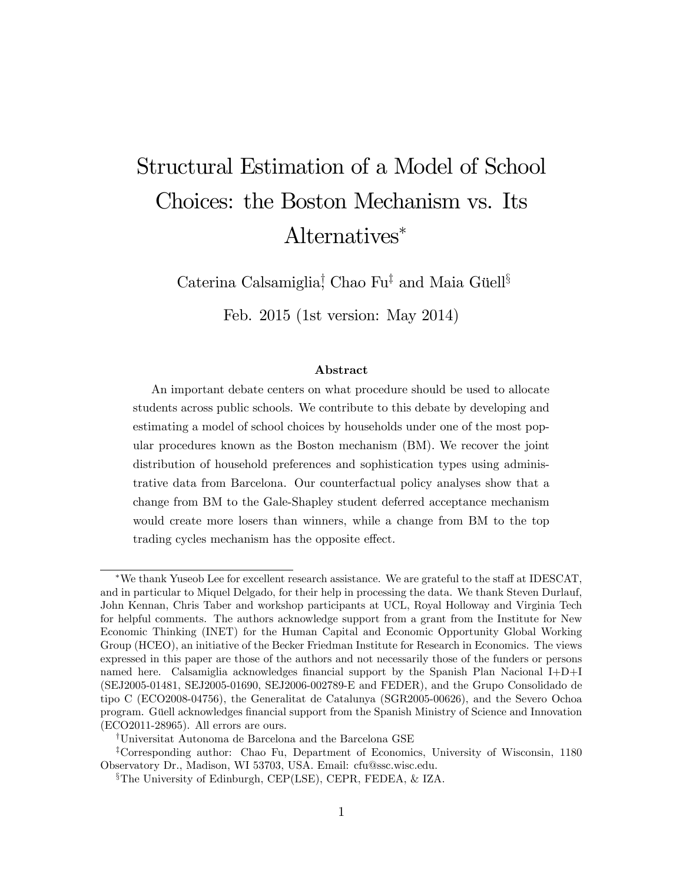# Structural Estimation of a Model of School Choices: the Boston Mechanism vs. Its Alternatives

Caterina Calsamiglia<sup>†</sup>, Chao Fu<sup>‡</sup> and Maia Güell<sup>§</sup>

Feb. 2015 (1st version: May 2014)

#### Abstract

An important debate centers on what procedure should be used to allocate students across public schools. We contribute to this debate by developing and estimating a model of school choices by households under one of the most popular procedures known as the Boston mechanism (BM). We recover the joint distribution of household preferences and sophistication types using administrative data from Barcelona. Our counterfactual policy analyses show that a change from BM to the Gale-Shapley student deferred acceptance mechanism would create more losers than winners, while a change from BM to the top trading cycles mechanism has the opposite effect.

<sup>\*</sup>We thank Yuseob Lee for excellent research assistance. We are grateful to the staff at IDESCAT, and in particular to Miquel Delgado, for their help in processing the data. We thank Steven Durlauf, John Kennan, Chris Taber and workshop participants at UCL, Royal Holloway and Virginia Tech for helpful comments. The authors acknowledge support from a grant from the Institute for New Economic Thinking (INET) for the Human Capital and Economic Opportunity Global Working Group (HCEO), an initiative of the Becker Friedman Institute for Research in Economics. The views expressed in this paper are those of the authors and not necessarily those of the funders or persons named here. Calsamiglia acknowledges financial support by the Spanish Plan Nacional I+D+I (SEJ2005-01481, SEJ2005-01690, SEJ2006-002789-E and FEDER), and the Grupo Consolidado de tipo C (ECO2008-04756), the Generalitat de Catalunya (SGR2005-00626), and the Severo Ochoa program. Güell acknowledges financial support from the Spanish Ministry of Science and Innovation (ECO2011-28965). All errors are ours.

<sup>&</sup>lt;sup>†</sup>Universitat Autonoma de Barcelona and the Barcelona GSE

<sup>&</sup>lt;sup>‡</sup>Corresponding author: Chao Fu, Department of Economics, University of Wisconsin, 1180 Observatory Dr., Madison, WI 53703, USA. Email: cfu@ssc.wisc.edu.

<sup>&</sup>lt;sup>§</sup>The University of Edinburgh, CEP(LSE), CEPR, FEDEA, & IZA.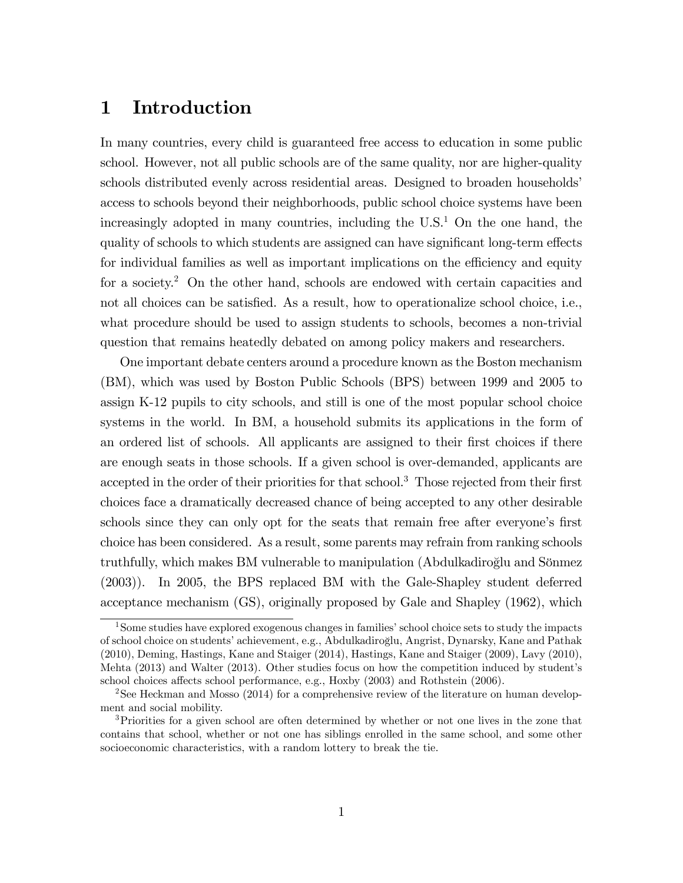# 1 Introduction

In many countries, every child is guaranteed free access to education in some public school. However, not all public schools are of the same quality, nor are higher-quality schools distributed evenly across residential areas. Designed to broaden households<sup>'</sup> access to schools beyond their neighborhoods, public school choice systems have been increasingly adopted in many countries, including the  $U.S.<sup>1</sup>$  On the one hand, the quality of schools to which students are assigned can have significant long-term effects for individual families as well as important implications on the efficiency and equity for a society.<sup>2</sup> On the other hand, schools are endowed with certain capacities and not all choices can be satisfied. As a result, how to operationalize school choice, i.e., what procedure should be used to assign students to schools, becomes a non-trivial question that remains heatedly debated on among policy makers and researchers.

One important debate centers around a procedure known as the Boston mechanism (BM), which was used by Boston Public Schools (BPS) between 1999 and 2005 to assign K-12 pupils to city schools, and still is one of the most popular school choice systems in the world. In BM, a household submits its applications in the form of an ordered list of schools. All applicants are assigned to their first choices if there are enough seats in those schools. If a given school is over-demanded, applicants are accepted in the order of their priorities for that school.<sup>3</sup> Those rejected from their first choices face a dramatically decreased chance of being accepted to any other desirable schools since they can only opt for the seats that remain free after everyone's first choice has been considered. As a result, some parents may refrain from ranking schools truthfully, which makes BM vulnerable to manipulation (Abdulkadiroğlu and Sönmez (2003)). In 2005, the BPS replaced BM with the Gale-Shapley student deferred acceptance mechanism (GS), originally proposed by Gale and Shapley (1962), which

<sup>&</sup>lt;sup>1</sup>Some studies have explored exogenous changes in families' school choice sets to study the impacts of school choice on studentsíachievement, e.g., Abdulkadiroglu, Angrist, Dynarsky, Kane and Pathak º (2010), Deming, Hastings, Kane and Staiger (2014), Hastings, Kane and Staiger (2009), Lavy (2010), Mehta (2013) and Walter (2013). Other studies focus on how the competition induced by student's school choices affects school performance, e.g., Hoxby (2003) and Rothstein (2006).

<sup>2</sup>See Heckman and Mosso (2014) for a comprehensive review of the literature on human development and social mobility.

<sup>&</sup>lt;sup>3</sup>Priorities for a given school are often determined by whether or not one lives in the zone that contains that school, whether or not one has siblings enrolled in the same school, and some other socioeconomic characteristics, with a random lottery to break the tie.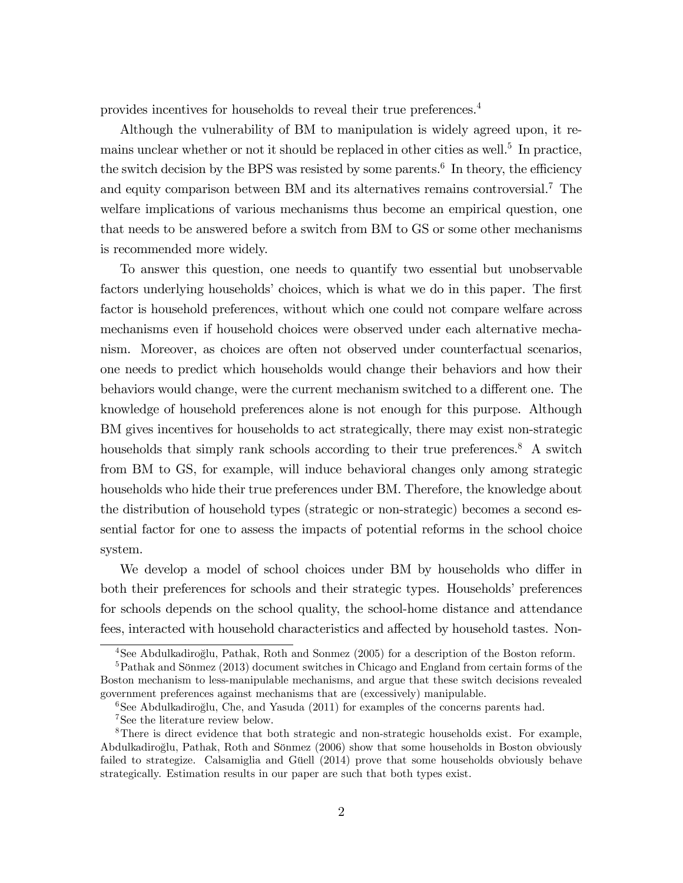provides incentives for households to reveal their true preferences.<sup>4</sup>

Although the vulnerability of BM to manipulation is widely agreed upon, it remains unclear whether or not it should be replaced in other cities as well.<sup>5</sup> In practice, the switch decision by the BPS was resisted by some parents.<sup>6</sup> In theory, the efficiency and equity comparison between BM and its alternatives remains controversial.<sup>7</sup> The welfare implications of various mechanisms thus become an empirical question, one that needs to be answered before a switch from BM to GS or some other mechanisms is recommended more widely.

To answer this question, one needs to quantify two essential but unobservable factors underlying households' choices, which is what we do in this paper. The first factor is household preferences, without which one could not compare welfare across mechanisms even if household choices were observed under each alternative mechanism. Moreover, as choices are often not observed under counterfactual scenarios, one needs to predict which households would change their behaviors and how their behaviors would change, were the current mechanism switched to a different one. The knowledge of household preferences alone is not enough for this purpose. Although BM gives incentives for households to act strategically, there may exist non-strategic households that simply rank schools according to their true preferences.<sup>8</sup> A switch from BM to GS, for example, will induce behavioral changes only among strategic households who hide their true preferences under BM. Therefore, the knowledge about the distribution of household types (strategic or non-strategic) becomes a second essential factor for one to assess the impacts of potential reforms in the school choice system.

We develop a model of school choices under BM by households who differ in both their preferences for schools and their strategic types. Households' preferences for schools depends on the school quality, the school-home distance and attendance fees, interacted with household characteristics and affected by household tastes. Non-

<sup>&</sup>lt;sup>4</sup>See Abdulkadiroğlu, Pathak, Roth and Sonmez (2005) for a description of the Boston reform.

 $5Pathak$  and Sönmez (2013) document switches in Chicago and England from certain forms of the Boston mechanism to less-manipulable mechanisms, and argue that these switch decisions revealed government preferences against mechanisms that are (excessively) manipulable.

 $6$ See Abdulkadiroglu, Che, and Yasuda (2011) for examples of the concerns parents had.

<sup>7</sup>See the literature review below.

<sup>8</sup>There is direct evidence that both strategic and non-strategic households exist. For example, Abdulkadiroğlu, Pathak, Roth and Sönmez (2006) show that some households in Boston obviously failed to strategize. Calsamiglia and Güell (2014) prove that some households obviously behave strategically. Estimation results in our paper are such that both types exist.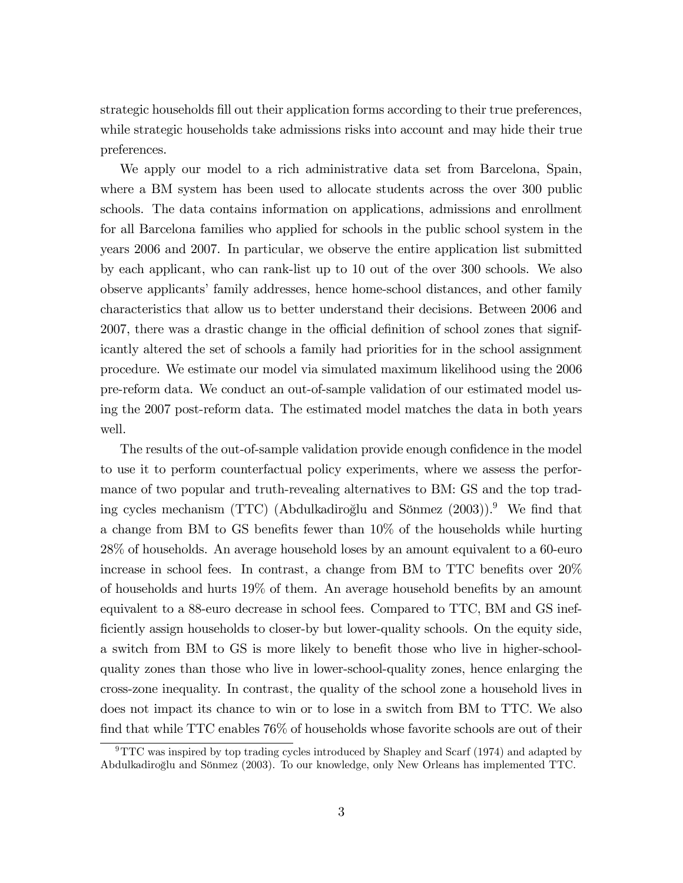strategic households fill out their application forms according to their true preferences, while strategic households take admissions risks into account and may hide their true preferences.

We apply our model to a rich administrative data set from Barcelona, Spain, where a BM system has been used to allocate students across the over 300 public schools. The data contains information on applications, admissions and enrollment for all Barcelona families who applied for schools in the public school system in the years 2006 and 2007. In particular, we observe the entire application list submitted by each applicant, who can rank-list up to 10 out of the over 300 schools. We also observe applicants' family addresses, hence home-school distances, and other family characteristics that allow us to better understand their decisions. Between 2006 and 2007, there was a drastic change in the official definition of school zones that significantly altered the set of schools a family had priorities for in the school assignment procedure. We estimate our model via simulated maximum likelihood using the 2006 pre-reform data. We conduct an out-of-sample validation of our estimated model using the 2007 post-reform data. The estimated model matches the data in both years well.

The results of the out-of-sample validation provide enough confidence in the model to use it to perform counterfactual policy experiments, where we assess the performance of two popular and truth-revealing alternatives to BM: GS and the top trading cycles mechanism (TTC) (Abdulkadiroğlu and Sönmez (2003)).<sup>9</sup> We find that a change from BM to GS benefits fewer than  $10\%$  of the households while hurting 28% of households. An average household loses by an amount equivalent to a 60-euro increase in school fees. In contrast, a change from BM to  $TTC$  benefits over  $20\%$ of households and hurts  $19\%$  of them. An average household benefits by an amount equivalent to a 88-euro decrease in school fees. Compared to TTC, BM and GS inefficiently assign households to closer-by but lower-quality schools. On the equity side, a switch from BM to GS is more likely to benefit those who live in higher-schoolquality zones than those who live in lower-school-quality zones, hence enlarging the cross-zone inequality. In contrast, the quality of the school zone a household lives in does not impact its chance to win or to lose in a switch from BM to TTC. We also find that while TTC enables  $76\%$  of households whose favorite schools are out of their

<sup>9</sup>TTC was inspired by top trading cycles introduced by Shapley and Scarf (1974) and adapted by Abdulkadiroğlu and Sönmez (2003). To our knowledge, only New Orleans has implemented TTC.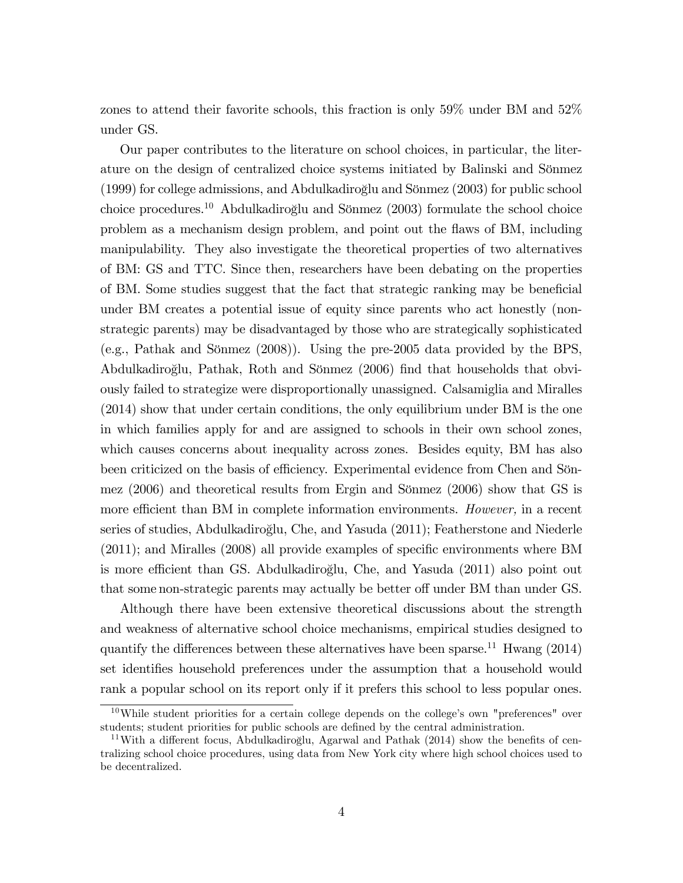zones to attend their favorite schools, this fraction is only 59% under BM and 52% under GS.

Our paper contributes to the literature on school choices, in particular, the literature on the design of centralized choice systems initiated by Balinski and Sönmez  $(1999)$  for college admissions, and Abdulkadiroglu and Sönmez  $(2003)$  for public school choice procedures.<sup>10</sup> Abdulkadiroğlu and Sönmez  $(2003)$  formulate the school choice problem as a mechanism design problem, and point out the áaws of BM, including manipulability. They also investigate the theoretical properties of two alternatives of BM: GS and TTC. Since then, researchers have been debating on the properties of BM. Some studies suggest that the fact that strategic ranking may be beneficial under BM creates a potential issue of equity since parents who act honestly (nonstrategic parents) may be disadvantaged by those who are strategically sophisticated (e.g., Pathak and Sönmez  $(2008)$ ). Using the pre-2005 data provided by the BPS, Abdulkadiroğlu, Pathak, Roth and Sönmez (2006) find that households that obviously failed to strategize were disproportionally unassigned. Calsamiglia and Miralles (2014) show that under certain conditions, the only equilibrium under BM is the one in which families apply for and are assigned to schools in their own school zones, which causes concerns about inequality across zones. Besides equity, BM has also been criticized on the basis of efficiency. Experimental evidence from Chen and Sönmez  $(2006)$  and theoretical results from Ergin and Sönmez  $(2006)$  show that GS is more efficient than BM in complete information environments. *However*, in a recent series of studies, Abdulkadiroğlu, Che, and Yasuda (2011); Featherstone and Niederle  $(2011)$ ; and Miralles  $(2008)$  all provide examples of specific environments where BM is more efficient than GS. Abdulkadiroğlu, Che, and Yasuda (2011) also point out that some non-strategic parents may actually be better off under BM than under GS.

Although there have been extensive theoretical discussions about the strength and weakness of alternative school choice mechanisms, empirical studies designed to quantify the differences between these alternatives have been sparse.<sup>11</sup> Hwang (2014) set identifies household preferences under the assumption that a household would rank a popular school on its report only if it prefers this school to less popular ones.

 $10$ While student priorities for a certain college depends on the college's own "preferences" over students; student priorities for public schools are defined by the central administration.

 $11$ With a different focus, Abdulkadiroğlu, Agarwal and Pathak (2014) show the benefits of centralizing school choice procedures, using data from New York city where high school choices used to be decentralized.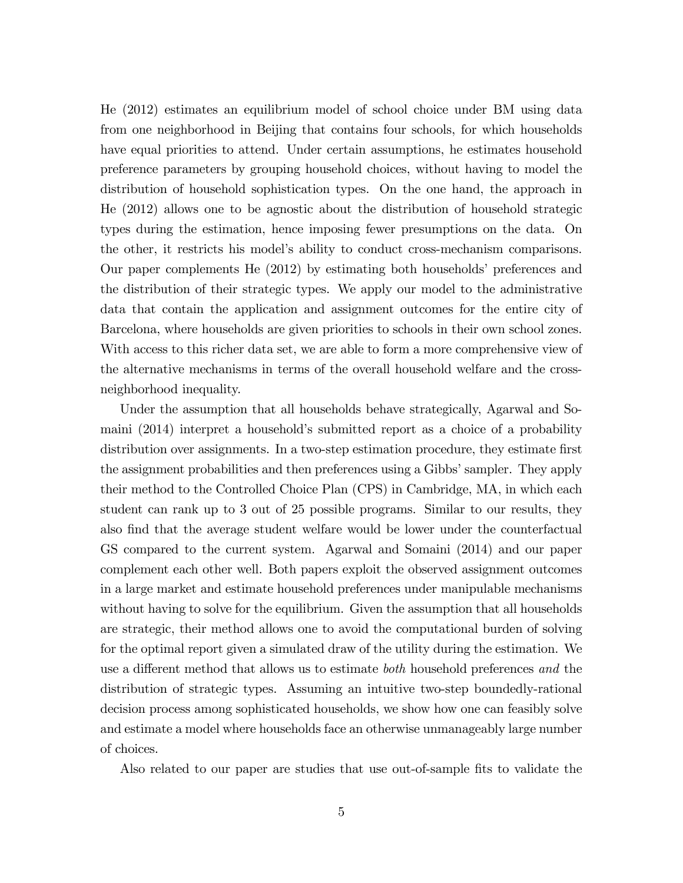He (2012) estimates an equilibrium model of school choice under BM using data from one neighborhood in Beijing that contains four schools, for which households have equal priorities to attend. Under certain assumptions, he estimates household preference parameters by grouping household choices, without having to model the distribution of household sophistication types. On the one hand, the approach in He (2012) allows one to be agnostic about the distribution of household strategic types during the estimation, hence imposing fewer presumptions on the data. On the other, it restricts his modelís ability to conduct cross-mechanism comparisons. Our paper complements He (2012) by estimating both households' preferences and the distribution of their strategic types. We apply our model to the administrative data that contain the application and assignment outcomes for the entire city of Barcelona, where households are given priorities to schools in their own school zones. With access to this richer data set, we are able to form a more comprehensive view of the alternative mechanisms in terms of the overall household welfare and the crossneighborhood inequality.

Under the assumption that all households behave strategically, Agarwal and Somaini (2014) interpret a household's submitted report as a choice of a probability distribution over assignments. In a two-step estimation procedure, they estimate first the assignment probabilities and then preferences using a Gibbs' sampler. They apply their method to the Controlled Choice Plan (CPS) in Cambridge, MA, in which each student can rank up to 3 out of 25 possible programs. Similar to our results, they also find that the average student welfare would be lower under the counterfactual GS compared to the current system. Agarwal and Somaini (2014) and our paper complement each other well. Both papers exploit the observed assignment outcomes in a large market and estimate household preferences under manipulable mechanisms without having to solve for the equilibrium. Given the assumption that all households are strategic, their method allows one to avoid the computational burden of solving for the optimal report given a simulated draw of the utility during the estimation. We use a different method that allows us to estimate *both* household preferences and the distribution of strategic types. Assuming an intuitive two-step boundedly-rational decision process among sophisticated households, we show how one can feasibly solve and estimate a model where households face an otherwise unmanageably large number of choices.

Also related to our paper are studies that use out-of-sample fits to validate the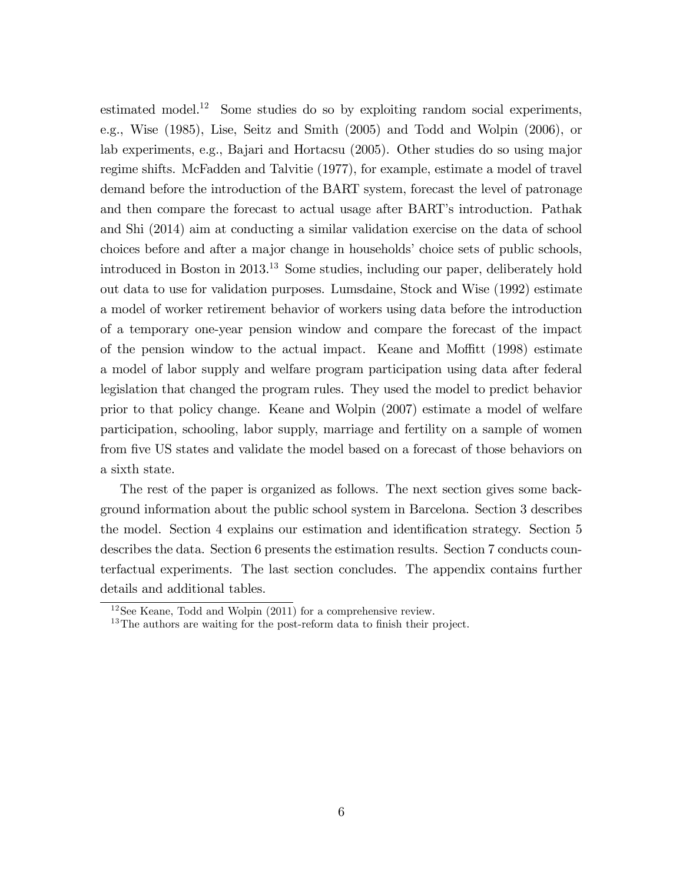estimated model.<sup>12</sup> Some studies do so by exploiting random social experiments, e.g., Wise (1985), Lise, Seitz and Smith (2005) and Todd and Wolpin (2006), or lab experiments, e.g., Bajari and Hortacsu (2005). Other studies do so using major regime shifts. McFadden and Talvitie (1977), for example, estimate a model of travel demand before the introduction of the BART system, forecast the level of patronage and then compare the forecast to actual usage after BART's introduction. Pathak and Shi (2014) aim at conducting a similar validation exercise on the data of school choices before and after a major change in households' choice sets of public schools, introduced in Boston in 2013.<sup>13</sup> Some studies, including our paper, deliberately hold out data to use for validation purposes. Lumsdaine, Stock and Wise (1992) estimate a model of worker retirement behavior of workers using data before the introduction of a temporary one-year pension window and compare the forecast of the impact of the pension window to the actual impact. Keane and Moffitt  $(1998)$  estimate a model of labor supply and welfare program participation using data after federal legislation that changed the program rules. They used the model to predict behavior prior to that policy change. Keane and Wolpin (2007) estimate a model of welfare participation, schooling, labor supply, marriage and fertility on a sample of women from five US states and validate the model based on a forecast of those behaviors on a sixth state.

The rest of the paper is organized as follows. The next section gives some background information about the public school system in Barcelona. Section 3 describes the model. Section 4 explains our estimation and identification strategy. Section 5 describes the data. Section 6 presents the estimation results. Section 7 conducts counterfactual experiments. The last section concludes. The appendix contains further details and additional tables.

<sup>12</sup>See Keane, Todd and Wolpin (2011) for a comprehensive review.

 $13$ The authors are waiting for the post-reform data to finish their project.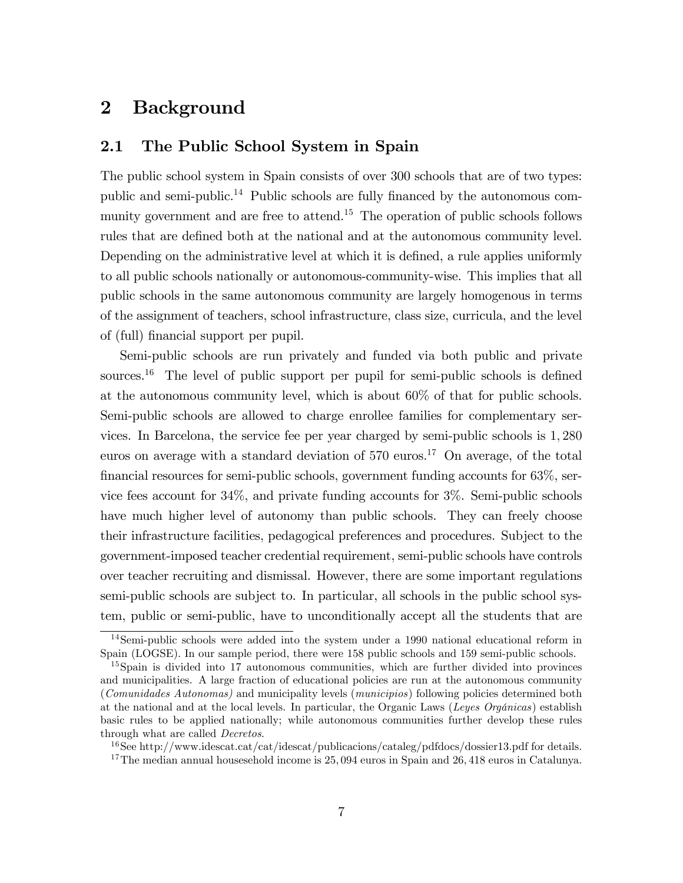# 2 Background

# 2.1 The Public School System in Spain

The public school system in Spain consists of over 300 schools that are of two types: public and semi-public.<sup>14</sup> Public schools are fully financed by the autonomous community government and are free to attend.<sup>15</sup> The operation of public schools follows rules that are defined both at the national and at the autonomous community level. Depending on the administrative level at which it is defined, a rule applies uniformly to all public schools nationally or autonomous-community-wise. This implies that all public schools in the same autonomous community are largely homogenous in terms of the assignment of teachers, school infrastructure, class size, curricula, and the level of (full) financial support per pupil.

Semi-public schools are run privately and funded via both public and private sources.<sup>16</sup> The level of public support per pupil for semi-public schools is defined at the autonomous community level, which is about 60% of that for public schools. Semi-public schools are allowed to charge enrollee families for complementary services. In Barcelona, the service fee per year charged by semi-public schools is 1; 280 euros on average with a standard deviation of  $570 \text{ euros}$ <sup>17</sup> On average, of the total financial resources for semi-public schools, government funding accounts for  $63\%$ , service fees account for 34%, and private funding accounts for 3%. Semi-public schools have much higher level of autonomy than public schools. They can freely choose their infrastructure facilities, pedagogical preferences and procedures. Subject to the government-imposed teacher credential requirement, semi-public schools have controls over teacher recruiting and dismissal. However, there are some important regulations semi-public schools are subject to. In particular, all schools in the public school system, public or semi-public, have to unconditionally accept all the students that are

<sup>14</sup>Semi-public schools were added into the system under a 1990 national educational reform in Spain (LOGSE). In our sample period, there were 158 public schools and 159 semi-public schools.

<sup>15</sup>Spain is divided into 17 autonomous communities, which are further divided into provinces and municipalities. A large fraction of educational policies are run at the autonomous community (Comunidades Autonomas) and municipality levels (municipios) following policies determined both at the national and at the local levels. In particular, the Organic Laws (Leyes Orgánicas) establish basic rules to be applied nationally; while autonomous communities further develop these rules through what are called *Decretos*.

<sup>16</sup>See http://www.idescat.cat/cat/idescat/publicacions/cataleg/pdfdocs/dossier13.pdf for details.  $17$ The median annual housesehold income is  $25,094$  euros in Spain and  $26,418$  euros in Catalunya.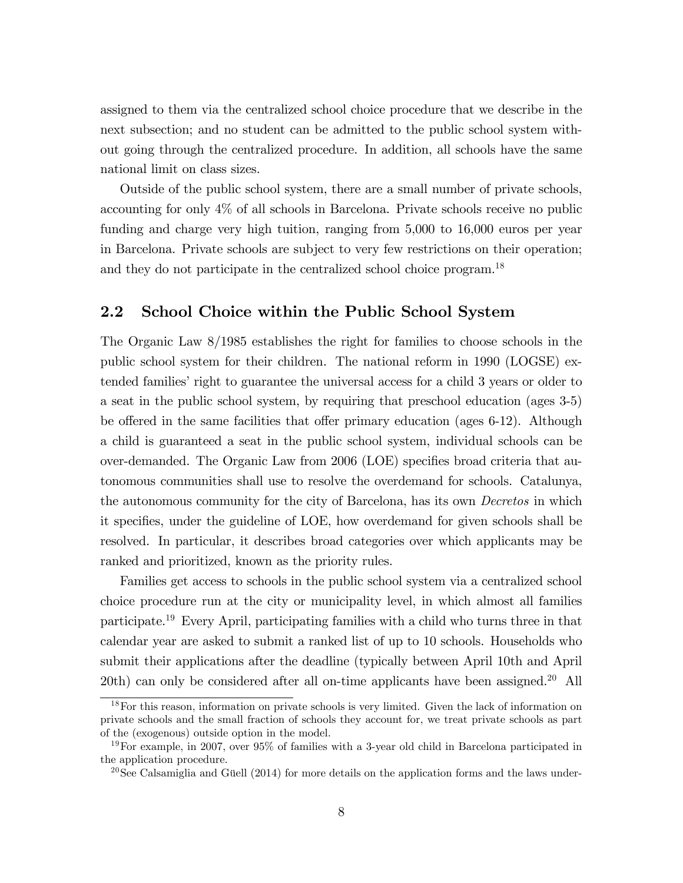assigned to them via the centralized school choice procedure that we describe in the next subsection; and no student can be admitted to the public school system without going through the centralized procedure. In addition, all schools have the same national limit on class sizes.

Outside of the public school system, there are a small number of private schools, accounting for only 4% of all schools in Barcelona. Private schools receive no public funding and charge very high tuition, ranging from 5,000 to 16,000 euros per year in Barcelona. Private schools are subject to very few restrictions on their operation; and they do not participate in the centralized school choice program.<sup>18</sup>

# 2.2 School Choice within the Public School System

The Organic Law 8/1985 establishes the right for families to choose schools in the public school system for their children. The national reform in 1990 (LOGSE) extended families' right to guarantee the universal access for a child 3 years or older to a seat in the public school system, by requiring that preschool education (ages 3-5) be offered in the same facilities that offer primary education (ages  $6-12$ ). Although a child is guaranteed a seat in the public school system, individual schools can be over-demanded. The Organic Law from 2006 (LOE) specifies broad criteria that autonomous communities shall use to resolve the overdemand for schools. Catalunya, the autonomous community for the city of Barcelona, has its own *Decretos* in which it specifies, under the guideline of LOE, how overdemand for given schools shall be resolved. In particular, it describes broad categories over which applicants may be ranked and prioritized, known as the priority rules.

Families get access to schools in the public school system via a centralized school choice procedure run at the city or municipality level, in which almost all families participate.<sup>19</sup> Every April, participating families with a child who turns three in that calendar year are asked to submit a ranked list of up to 10 schools. Households who submit their applications after the deadline (typically between April 10th and April  $20th$ ) can only be considered after all on-time applicants have been assigned.<sup>20</sup> All

<sup>&</sup>lt;sup>18</sup>For this reason, information on private schools is very limited. Given the lack of information on private schools and the small fraction of schools they account for, we treat private schools as part of the (exogenous) outside option in the model.

 $19\,\text{For example, in } 2007$ , over 95% of families with a 3-year old child in Barcelona participated in the application procedure.

 $^{20}$ See Calsamiglia and Güell (2014) for more details on the application forms and the laws under-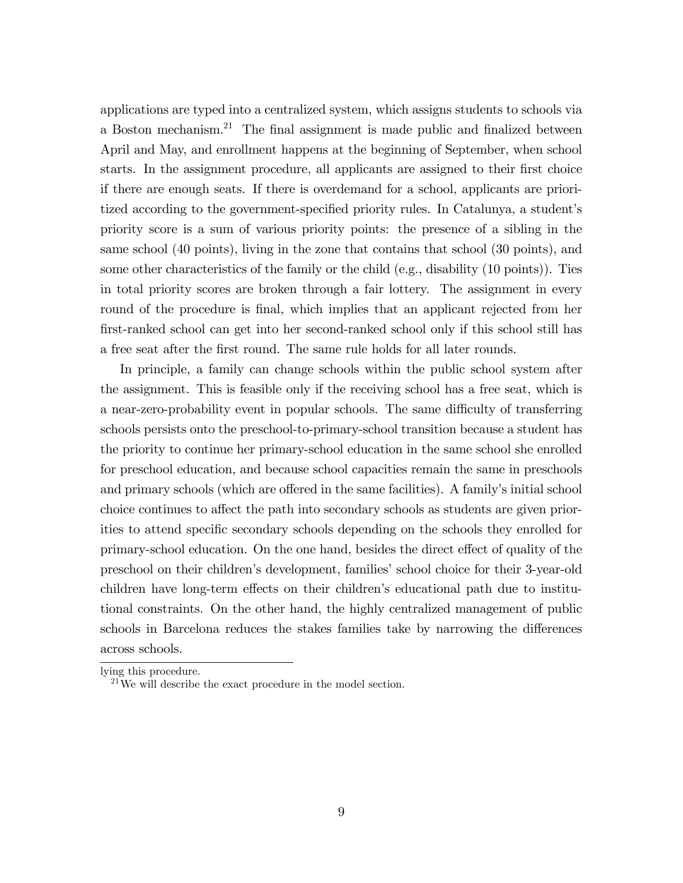applications are typed into a centralized system, which assigns students to schools via a Boston mechanism.<sup>21</sup> The final assignment is made public and finalized between April and May, and enrollment happens at the beginning of September, when school starts. In the assignment procedure, all applicants are assigned to their Örst choice if there are enough seats. If there is overdemand for a school, applicants are prioritized according to the government-specified priority rules. In Catalunya, a student's priority score is a sum of various priority points: the presence of a sibling in the same school (40 points), living in the zone that contains that school (30 points), and some other characteristics of the family or the child (e.g., disability (10 points)). Ties in total priority scores are broken through a fair lottery. The assignment in every round of the procedure is final, which implies that an applicant rejected from her Örst-ranked school can get into her second-ranked school only if this school still has a free seat after the first round. The same rule holds for all later rounds.

In principle, a family can change schools within the public school system after the assignment. This is feasible only if the receiving school has a free seat, which is a near-zero-probability event in popular schools. The same difficulty of transferring schools persists onto the preschool-to-primary-school transition because a student has the priority to continue her primary-school education in the same school she enrolled for preschool education, and because school capacities remain the same in preschools and primary schools (which are offered in the same facilities). A family's initial school choice continues to affect the path into secondary schools as students are given priorities to attend specific secondary schools depending on the schools they enrolled for primary-school education. On the one hand, besides the direct effect of quality of the preschool on their children's development, families' school choice for their 3-year-old children have long-term effects on their children's educational path due to institutional constraints. On the other hand, the highly centralized management of public schools in Barcelona reduces the stakes families take by narrowing the differences across schools.

lying this procedure.

 $^{21}$ We will describe the exact procedure in the model section.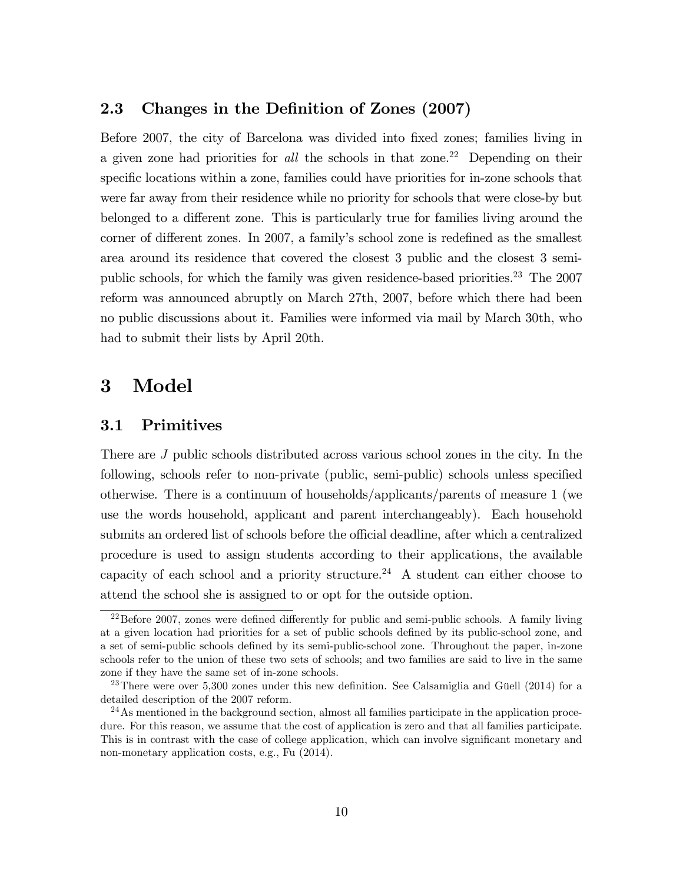# 2.3 Changes in the Definition of Zones (2007)

Before 2007, the city of Barcelona was divided into fixed zones; families living in a given zone had priorities for all the schools in that zone.<sup>22</sup> Depending on their specific locations within a zone, families could have priorities for in-zone schools that were far away from their residence while no priority for schools that were close-by but belonged to a different zone. This is particularly true for families living around the corner of different zones. In 2007, a family's school zone is redefined as the smallest area around its residence that covered the closest 3 public and the closest 3 semipublic schools, for which the family was given residence-based priorities.<sup>23</sup> The 2007 reform was announced abruptly on March 27th, 2007, before which there had been no public discussions about it. Families were informed via mail by March 30th, who had to submit their lists by April 20th.

# 3 Model

# 3.1 Primitives

There are J public schools distributed across various school zones in the city. In the following, schools refer to non-private (public, semi-public) schools unless specified otherwise. There is a continuum of households/applicants/parents of measure 1 (we use the words household, applicant and parent interchangeably). Each household submits an ordered list of schools before the official deadline, after which a centralized procedure is used to assign students according to their applications, the available capacity of each school and a priority structure.<sup>24</sup> A student can either choose to attend the school she is assigned to or opt for the outside option.

 $^{22}$ Before 2007, zones were defined differently for public and semi-public schools. A family living at a given location had priorities for a set of public schools defined by its public-school zone, and a set of semi-public schools defined by its semi-public-school zone. Throughout the paper, in-zone schools refer to the union of these two sets of schools; and two families are said to live in the same zone if they have the same set of in-zone schools.

<sup>&</sup>lt;sup>23</sup>There were over 5,300 zones under this new definition. See Calsamiglia and Güell (2014) for a detailed description of the 2007 reform.

<sup>&</sup>lt;sup>24</sup>As mentioned in the background section, almost all families participate in the application procedure. For this reason, we assume that the cost of application is zero and that all families participate. This is in contrast with the case of college application, which can involve significant monetary and non-monetary application costs, e.g., Fu (2014).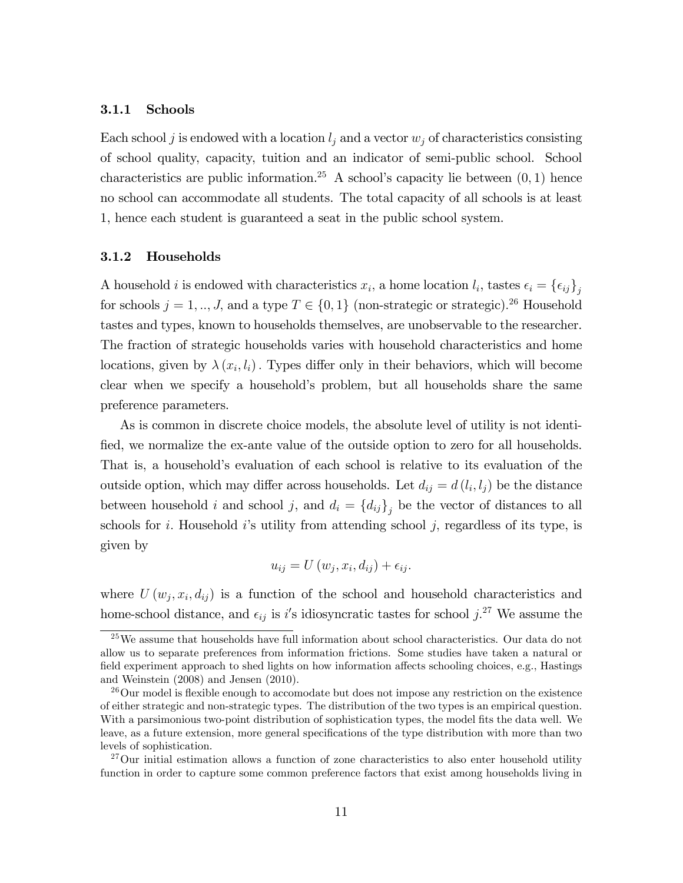#### 3.1.1 Schools

Each school j is endowed with a location  $l_j$  and a vector  $w_j$  of characteristics consisting of school quality, capacity, tuition and an indicator of semi-public school. School characteristics are public information.<sup>25</sup> A school's capacity lie between  $(0, 1)$  hence no school can accommodate all students. The total capacity of all schools is at least 1, hence each student is guaranteed a seat in the public school system.

### 3.1.2 Households

A household *i* is endowed with characteristics  $x_i$ , a home location  $l_i$ , tastes  $\epsilon_i = {\epsilon_{ij}}_{j}$ for schools  $j = 1, ..., J$ , and a type  $T \in \{0, 1\}$  (non-strategic or strategic).<sup>26</sup> Household tastes and types, known to households themselves, are unobservable to the researcher. The fraction of strategic households varies with household characteristics and home locations, given by  $\lambda(x_i, l_i)$ . Types differ only in their behaviors, which will become clear when we specify a household's problem, but all households share the same preference parameters.

As is common in discrete choice models, the absolute level of utility is not identified, we normalize the ex-ante value of the outside option to zero for all households. That is, a household's evaluation of each school is relative to its evaluation of the outside option, which may differ across households. Let  $d_{ij} = d(l_i, l_j)$  be the distance between household *i* and school *j*, and  $d_i = \{d_{ij}\}_j$  be the vector of distances to all schools for *i*. Household *i*'s utility from attending school *j*, regardless of its type, is given by

$$
u_{ij} = U(w_j, x_i, d_{ij}) + \epsilon_{ij}.
$$

where  $U(w_j, x_i, d_{ij})$  is a function of the school and household characteristics and home-school distance, and  $\epsilon_{ij}$  is i's idiosyncratic tastes for school j.<sup>27</sup> We assume the

<sup>&</sup>lt;sup>25</sup>We assume that households have full information about school characteristics. Our data do not allow us to separate preferences from information frictions. Some studies have taken a natural or field experiment approach to shed lights on how information affects schooling choices, e.g., Hastings and Weinstein (2008) and Jensen (2010).

 $26$ Our model is flexible enough to accomodate but does not impose any restriction on the existence of either strategic and non-strategic types. The distribution of the two types is an empirical question. With a parsimonious two-point distribution of sophistication types, the model fits the data well. We leave, as a future extension, more general specifications of the type distribution with more than two levels of sophistication.

 $27$ Our initial estimation allows a function of zone characteristics to also enter household utility function in order to capture some common preference factors that exist among households living in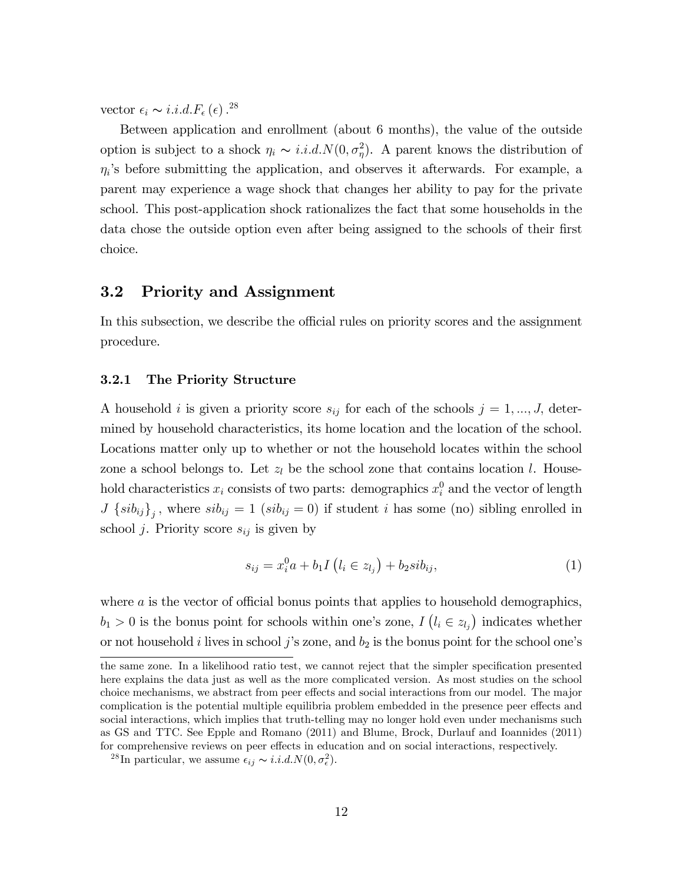vector  $\epsilon_i \sim i.i.d.F_{\epsilon}(\epsilon)$ .<sup>28</sup>

Between application and enrollment (about 6 months), the value of the outside option is subject to a shock  $\eta_i \sim i.i.d. N(0, \sigma_{\eta}^2)$ . A parent knows the distribution of  $\eta_i$ 's before submitting the application, and observes it afterwards. For example, a parent may experience a wage shock that changes her ability to pay for the private school. This post-application shock rationalizes the fact that some households in the data chose the outside option even after being assigned to the schools of their first choice.

# 3.2 Priority and Assignment

In this subsection, we describe the official rules on priority scores and the assignment procedure.

#### 3.2.1 The Priority Structure

A household i is given a priority score  $s_{ij}$  for each of the schools  $j = 1, ..., J$ , determined by household characteristics, its home location and the location of the school. Locations matter only up to whether or not the household locates within the school zone a school belongs to. Let  $z_l$  be the school zone that contains location l. Household characteristics  $x_i$  consists of two parts: demographics  $x_i^0$  and the vector of length  $J\left\{sib_{ij}\right\}_{j}$ , where  $sib_{ij}=1$  ( $sib_{ij}=0$ ) if student i has some (no) sibling enrolled in school *j*. Priority score  $s_{ij}$  is given by

$$
s_{ij} = x_i^0 a + b_1 I(l_i \in z_{l_j}) + b_2 s i b_{ij}, \tag{1}
$$

where  $\alpha$  is the vector of official bonus points that applies to household demographics,  $b_1 > 0$  is the bonus point for schools within one's zone,  $I(l_i \in z_{l_j})$  indicates whether or not household i lives in school j's zone, and  $b_2$  is the bonus point for the school one's

the same zone. In a likelihood ratio test, we cannot reject that the simpler specification presented here explains the data just as well as the more complicated version. As most studies on the school choice mechanisms, we abstract from peer effects and social interactions from our model. The major complication is the potential multiple equilibria problem embedded in the presence peer effects and social interactions, which implies that truth-telling may no longer hold even under mechanisms such as GS and TTC. See Epple and Romano (2011) and Blume, Brock, Durlauf and Ioannides (2011) for comprehensive reviews on peer effects in education and on social interactions, respectively.

<sup>&</sup>lt;sup>28</sup>In particular, we assume  $\epsilon_{ij} \sim i.i.d.N(0, \sigma_{\epsilon}^2)$ .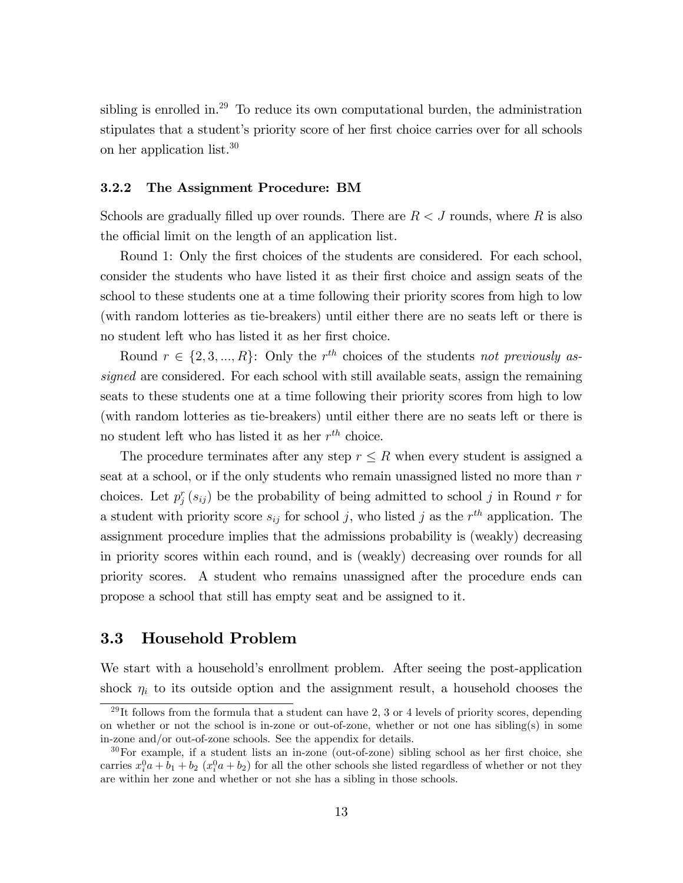sibling is enrolled in.<sup>29</sup> To reduce its own computational burden, the administration stipulates that a student's priority score of her first choice carries over for all schools on her application list.<sup>30</sup>

#### 3.2.2 The Assignment Procedure: BM

Schools are gradually filled up over rounds. There are  $R < J$  rounds, where R is also the official limit on the length of an application list.

Round 1: Only the first choices of the students are considered. For each school, consider the students who have listed it as their first choice and assign seats of the school to these students one at a time following their priority scores from high to low (with random lotteries as tie-breakers) until either there are no seats left or there is no student left who has listed it as her first choice.

Round  $r \in \{2, 3, ..., R\}$ : Only the  $r^{th}$  choices of the students not previously assigned are considered. For each school with still available seats, assign the remaining seats to these students one at a time following their priority scores from high to low (with random lotteries as tie-breakers) until either there are no seats left or there is no student left who has listed it as her  $r^{th}$  choice.

The procedure terminates after any step  $r \leq R$  when every student is assigned a seat at a school, or if the only students who remain unassigned listed no more than  $r$ choices. Let  $p_j^r(s_{ij})$  be the probability of being admitted to school j in Round r for a student with priority score  $s_{ij}$  for school j, who listed j as the  $r^{th}$  application. The assignment procedure implies that the admissions probability is (weakly) decreasing in priority scores within each round, and is (weakly) decreasing over rounds for all priority scores. A student who remains unassigned after the procedure ends can propose a school that still has empty seat and be assigned to it.

# 3.3 Household Problem

We start with a household's enrollment problem. After seeing the post-application shock  $\eta_i$  to its outside option and the assignment result, a household chooses the

 $29$ It follows from the formula that a student can have 2, 3 or 4 levels of priority scores, depending on whether or not the school is in-zone or out-of-zone, whether or not one has sibling(s) in some in-zone and/or out-of-zone schools. See the appendix for details.

 $30\,\text{For example, if a student lists an inzone (out-of-zone) sibling school as her first choice, she}$ carries  $x_i^0a + b_1 + b_2(x_i^0a + b_2)$  for all the other schools she listed regardless of whether or not they are within her zone and whether or not she has a sibling in those schools.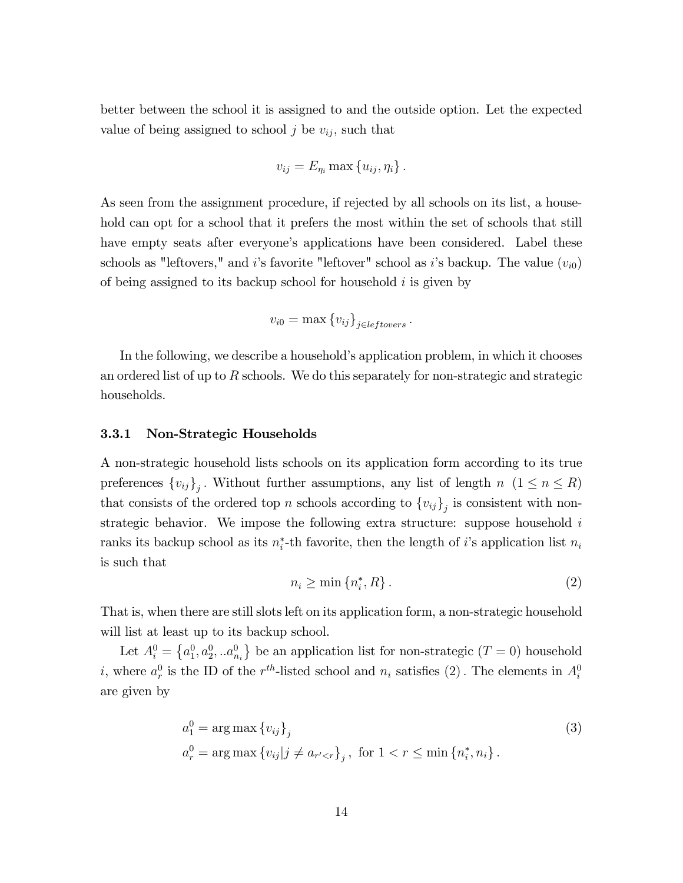better between the school it is assigned to and the outside option. Let the expected value of being assigned to school j be  $v_{ij}$ , such that

$$
v_{ij} = E_{\eta_i} \max\{u_{ij}, \eta_i\}.
$$

As seen from the assignment procedure, if rejected by all schools on its list, a household can opt for a school that it prefers the most within the set of schools that still have empty seats after everyone's applications have been considered. Label these schools as "leftovers," and i's favorite "leftover" school as i's backup. The value  $(v_{i0})$ of being assigned to its backup school for household i is given by

$$
v_{i0} = \max \{v_{ij}\}_{j \in \text{leftovers}}.
$$

In the following, we describe a household's application problem, in which it chooses an ordered list of up to R schools. We do this separately for non-strategic and strategic households.

### 3.3.1 Non-Strategic Households

A non-strategic household lists schools on its application form according to its true preferences  $\{v_{ij}\}_j$ . Without further assumptions, any list of length  $n \ (1 \leq n \leq R)$ that consists of the ordered top n schools according to  $\{v_{ij}\}_j$  is consistent with nonstrategic behavior. We impose the following extra structure: suppose household  $i$ ranks its backup school as its  $n_i^*$ -th favorite, then the length of *i*'s application list  $n_i$ is such that

$$
n_i \ge \min\left\{n_i^*, R\right\}.\tag{2}
$$

That is, when there are still slots left on its application form, a non-strategic household will list at least up to its backup school.

Let  $A_i^0 = \{a_1^0, a_2^0, \ldots, a_{n_i}^0\}$  be an application list for non-strategic  $(T = 0)$  household *i*, where  $a_r^0$  is the ID of the  $r^{th}$ -listed school and  $n_i$  satisfies (2). The elements in  $A_i^0$ are given by

$$
a_1^0 = \arg \max \{ v_{ij} \}_j
$$
  
\n
$$
a_r^0 = \arg \max \{ v_{ij} | j \neq a_{r' < r} \}_j, \text{ for } 1 < r \leq \min \{ n_i^*, n_i \}.
$$
\n(3)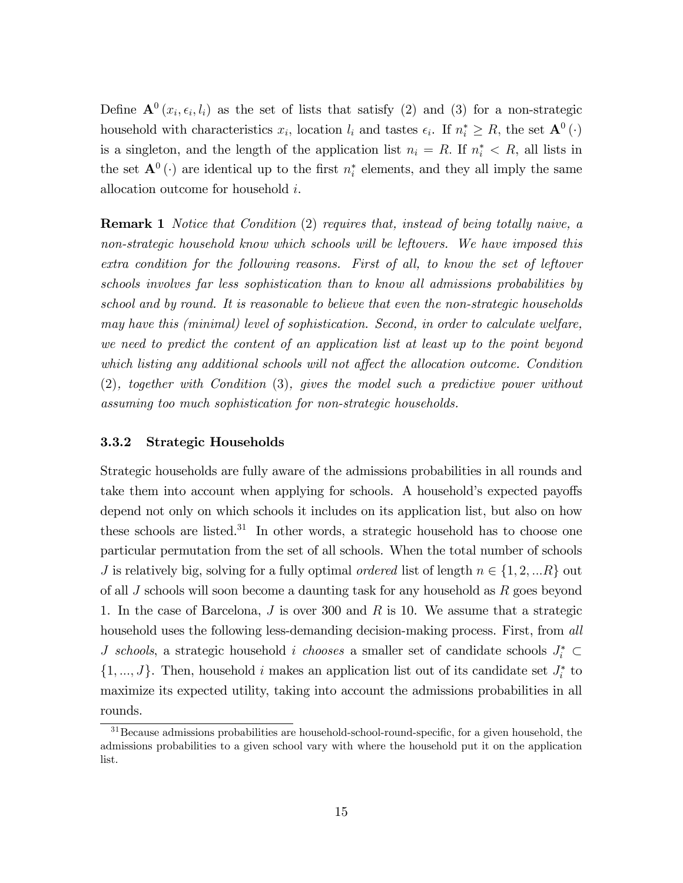Define  $\mathbf{A}^0(x_i, \epsilon_i, l_i)$  as the set of lists that satisfy (2) and (3) for a non-strategic household with characteristics  $x_i$ , location  $l_i$  and tastes  $\epsilon_i$ . If  $n_i^* \geq R$ , the set  $\mathbf{A}^0(\cdot)$ is a singleton, and the length of the application list  $n_i = R$ . If  $n_i^* < R$ , all lists in the set  $\mathbf{A}^0(\cdot)$  are identical up to the first  $n_i^*$  elements, and they all imply the same allocation outcome for household i.

**Remark 1** Notice that Condition (2) requires that, instead of being totally naive, a non-strategic household know which schools will be leftovers. We have imposed this extra condition for the following reasons. First of all, to know the set of leftover schools involves far less sophistication than to know all admissions probabilities by school and by round. It is reasonable to believe that even the non-strategic households may have this (minimal) level of sophistication. Second, in order to calculate welfare, we need to predict the content of an application list at least up to the point beyond which listing any additional schools will not affect the allocation outcome. Condition (2), together with Condition (3), gives the model such a predictive power without assuming too much sophistication for non-strategic households.

### 3.3.2 Strategic Households

Strategic households are fully aware of the admissions probabilities in all rounds and take them into account when applying for schools. A household's expected payoffs depend not only on which schools it includes on its application list, but also on how these schools are listed. $31$  In other words, a strategic household has to choose one particular permutation from the set of all schools. When the total number of schools J is relatively big, solving for a fully optimal *ordered* list of length  $n \in \{1, 2, ...R\}$  out of all  $J$  schools will soon become a daunting task for any household as  $R$  goes beyond 1. In the case of Barcelona,  $J$  is over 300 and  $R$  is 10. We assume that a strategic household uses the following less-demanding decision-making process. First, from all *J* schools, a strategic household *i* chooses a smaller set of candidate schools  $J_i^* \subset$  $\{1, ..., J\}$ . Then, household i makes an application list out of its candidate set  $J_i^*$  to maximize its expected utility, taking into account the admissions probabilities in all rounds.

<sup>&</sup>lt;sup>31</sup>Because admissions probabilities are household-school-round-specific, for a given household, the admissions probabilities to a given school vary with where the household put it on the application list.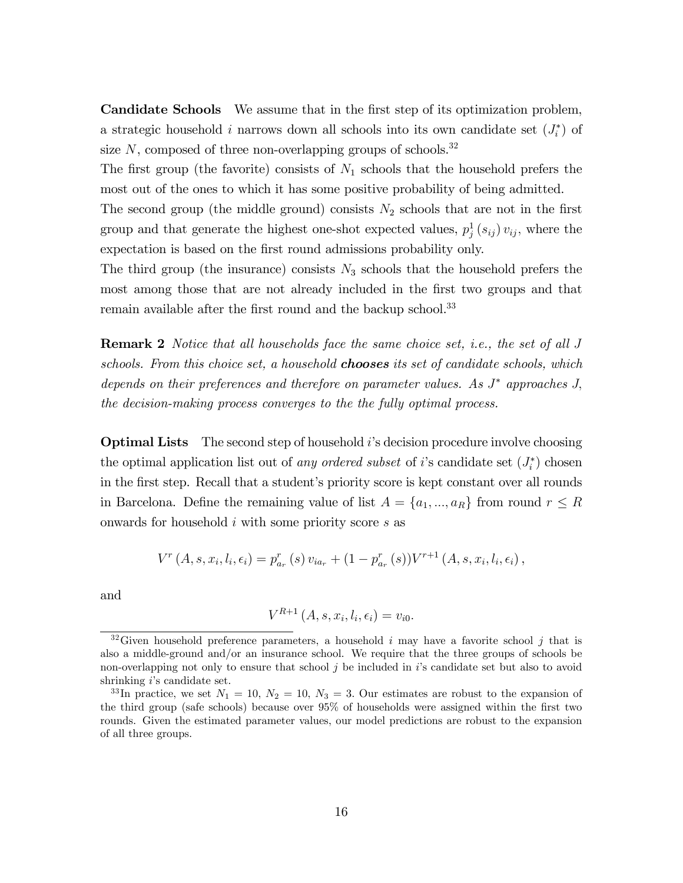Candidate Schools We assume that in the first step of its optimization problem, a strategic household *i* narrows down all schools into its own candidate set  $(J_i^*)$  of size  $N$ , composed of three non-overlapping groups of schools.<sup>32</sup>

The first group (the favorite) consists of  $N_1$  schools that the household prefers the most out of the ones to which it has some positive probability of being admitted.

The second group (the middle ground) consists  $N_2$  schools that are not in the first group and that generate the highest one-shot expected values,  $p_j^1(s_{ij}) v_{ij}$ , where the expectation is based on the first round admissions probability only.

The third group (the insurance) consists  $N_3$  schools that the household prefers the most among those that are not already included in the first two groups and that remain available after the first round and the backup school.<sup>33</sup>

**Remark 2** Notice that all households face the same choice set, i.e., the set of all J schools. From this choice set, a household **chooses** its set of candidate schools, which depends on their preferences and therefore on parameter values. As  $J^*$  approaches  $J$ , the decision-making process converges to the the fully optimal process.

**Optimal Lists** The second step of household  $i$ 's decision procedure involve choosing the optimal application list out of any ordered subset of i's candidate set  $(J_i^*)$  chosen in the first step. Recall that a student's priority score is kept constant over all rounds in Barcelona. Define the remaining value of list  $A = \{a_1, ..., a_R\}$  from round  $r \leq R$ onwards for household i with some priority score s as

$$
V^{r}(A, s, x_{i}, l_{i}, \epsilon_{i}) = p_{a_{r}}^{r}(s) v_{ia_{r}} + (1 - p_{a_{r}}^{r}(s))V^{r+1}(A, s, x_{i}, l_{i}, \epsilon_{i}),
$$

and

$$
V^{R+1}(A, s, x_i, l_i, \epsilon_i) = v_{i0}.
$$

<sup>&</sup>lt;sup>32</sup>Given household preference parameters, a household i may have a favorite school j that is also a middle-ground and/or an insurance school. We require that the three groups of schools be non-overlapping not only to ensure that school  $j$  be included in  $i$ 's candidate set but also to avoid shrinking  $i$ 's candidate set.

<sup>&</sup>lt;sup>33</sup>In practice, we set  $N_1 = 10, N_2 = 10, N_3 = 3$ . Our estimates are robust to the expansion of the third group (safe schools) because over 95% of households were assigned within the first two rounds. Given the estimated parameter values, our model predictions are robust to the expansion of all three groups.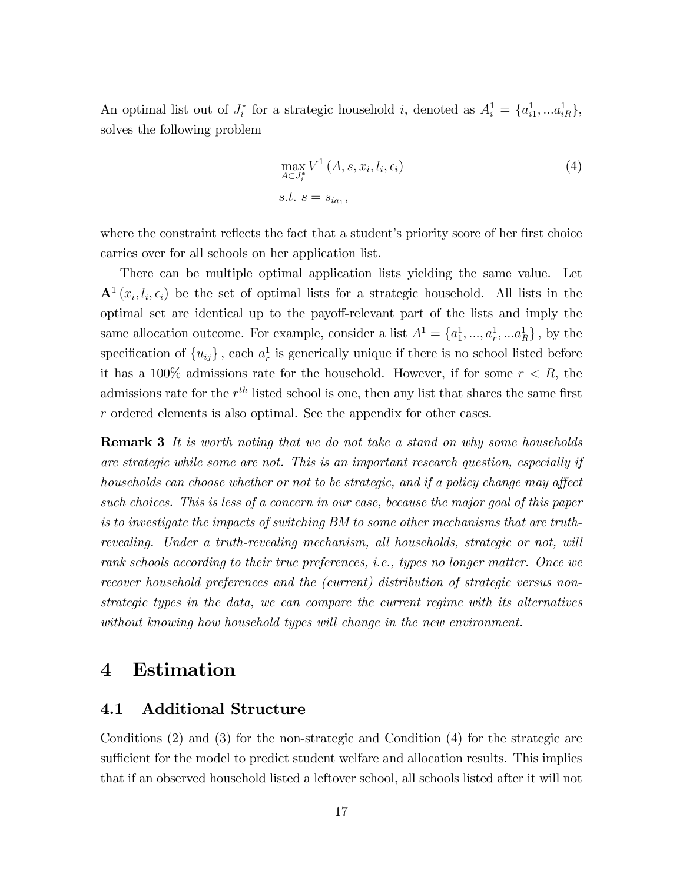An optimal list out of  $J_i^*$  for a strategic household i, denoted as  $A_i^1 = \{a_{i1}^1, \ldots a_{iR}^1\},\$ solves the following problem

$$
\max_{A \subset J_i^*} V^1(A, s, x_i, l_i, \epsilon_i)
$$
  
s.t.  $s = s_{ia_1}$ , (4)

where the constraint reflects the fact that a student's priority score of her first choice carries over for all schools on her application list.

There can be multiple optimal application lists yielding the same value. Let  $\mathbf{A}^1(x_i, l_i, \epsilon_i)$  be the set of optimal lists for a strategic household. All lists in the optimal set are identical up to the payoff-relevant part of the lists and imply the same allocation outcome. For example, consider a list  $A^1 = \{a_1^1, ..., a_r^1, ... a_R^1\}$ , by the specification of  $\{u_{ij}\}\$ , each  $a_r^1$  is generically unique if there is no school listed before it has a 100% admissions rate for the household. However, if for some  $r < R$ , the admissions rate for the  $r^{th}$  listed school is one, then any list that shares the same first  $r$  ordered elements is also optimal. See the appendix for other cases.

**Remark 3** It is worth noting that we do not take a stand on why some households are strategic while some are not. This is an important research question, especially if households can choose whether or not to be strategic, and if a policy change may affect such choices. This is less of a concern in our case, because the major goal of this paper is to investigate the impacts of switching BM to some other mechanisms that are truthrevealing. Under a truth-revealing mechanism, all households, strategic or not, will rank schools according to their true preferences, i.e., types no longer matter. Once we recover household preferences and the (current) distribution of strategic versus nonstrategic types in the data, we can compare the current regime with its alternatives without knowing how household types will change in the new environment.

# 4 Estimation

# 4.1 Additional Structure

Conditions (2) and (3) for the non-strategic and Condition (4) for the strategic are sufficient for the model to predict student welfare and allocation results. This implies that if an observed household listed a leftover school, all schools listed after it will not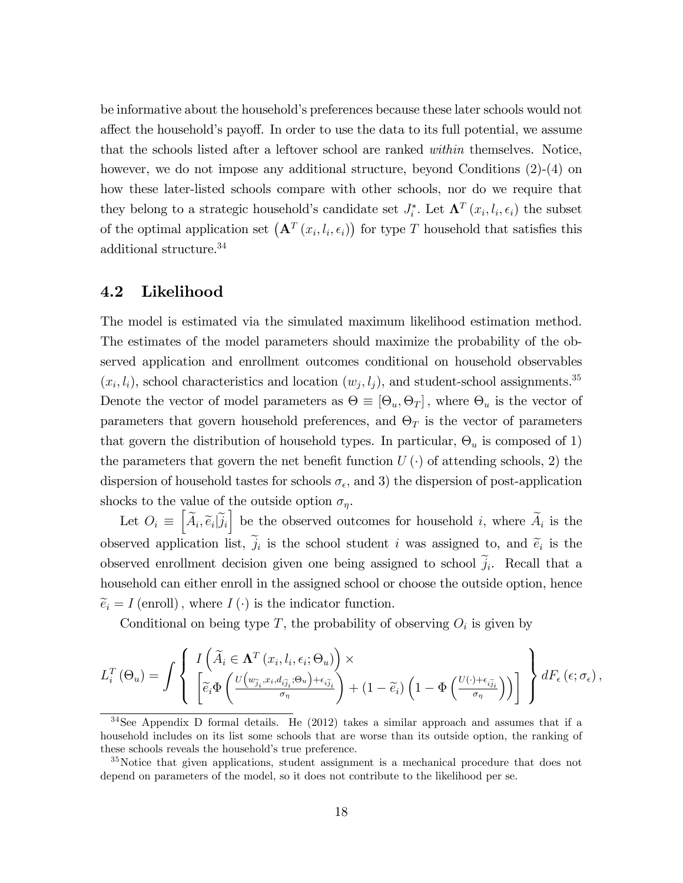be informative about the household's preferences because these later schools would not affect the household's payoff. In order to use the data to its full potential, we assume that the schools listed after a leftover school are ranked within themselves. Notice, however, we do not impose any additional structure, beyond Conditions  $(2)-(4)$  on how these later-listed schools compare with other schools, nor do we require that they belong to a strategic household's candidate set  $J_i^*$ . Let  $\mathbf{\Lambda}^T(x_i, l_i, \epsilon_i)$  the subset of the optimal application set  $(\mathbf{A}^T(x_i, l_i, \epsilon_i))$  for type T household that satisfies this additional structure.<sup>34</sup>

# 4.2 Likelihood

The model is estimated via the simulated maximum likelihood estimation method. The estimates of the model parameters should maximize the probability of the observed application and enrollment outcomes conditional on household observables  $(x_i, l_i)$ , school characteristics and location  $(w_j, l_j)$ , and student-school assignments.<sup>35</sup> Denote the vector of model parameters as  $\Theta \equiv [\Theta_u, \Theta_T]$ , where  $\Theta_u$  is the vector of parameters that govern household preferences, and  $\Theta_T$  is the vector of parameters that govern the distribution of household types. In particular,  $\Theta_u$  is composed of 1) the parameters that govern the net benefit function  $U(\cdot)$  of attending schools, 2) the dispersion of household tastes for schools  $\sigma_{\epsilon}$ , and 3) the dispersion of post-application shocks to the value of the outside option  $\sigma_{\eta}$ .

Let  $O_i \equiv \left[\widetilde{A}_i, \widetilde{e}_i | \widetilde{j}_i\right]$  be the observed outcomes for household i, where  $\widetilde{A}_i$  is the observed application list,  $j_i$  is the school student i was assigned to, and  $\tilde{e}_i$  is the observed enrollment decision given one being assigned to school  $j_i$ . Recall that a household can either enroll in the assigned school or choose the outside option, hence  $\widetilde{e}_i = I$  (enroll), where  $I(\cdot)$  is the indicator function.

Conditional on being type T, the probability of observing  $O_i$  is given by

$$
L_i^T(\Theta_u) = \int \left\{ \begin{array}{l} I\left(\widetilde{A}_i \in \mathbf{\Lambda}^T(x_i, l_i, \epsilon_i; \Theta_u)\right) \times \\ \left[\widetilde{e}_i \Phi\left(\frac{U\left(w_{\widetilde{j}_i}, x_i, d_{i\widetilde{j}_i}; \Theta_u\right) + \epsilon_{i\widetilde{j}_i}}{\sigma_{\eta}}\right) + (1 - \widetilde{e}_i) \left(1 - \Phi\left(\frac{U\left(\cdot\right) + \epsilon_{i\widetilde{j}_i}}{\sigma_{\eta}}\right)\right) \end{array}\right\} dF_{\epsilon}\left(\epsilon; \sigma_{\epsilon}\right),
$$

 $34$ See Appendix D formal details. He (2012) takes a similar approach and assumes that if a household includes on its list some schools that are worse than its outside option, the ranking of these schools reveals the household's true preference.

<sup>&</sup>lt;sup>35</sup>Notice that given applications, student assignment is a mechanical procedure that does not depend on parameters of the model, so it does not contribute to the likelihood per se.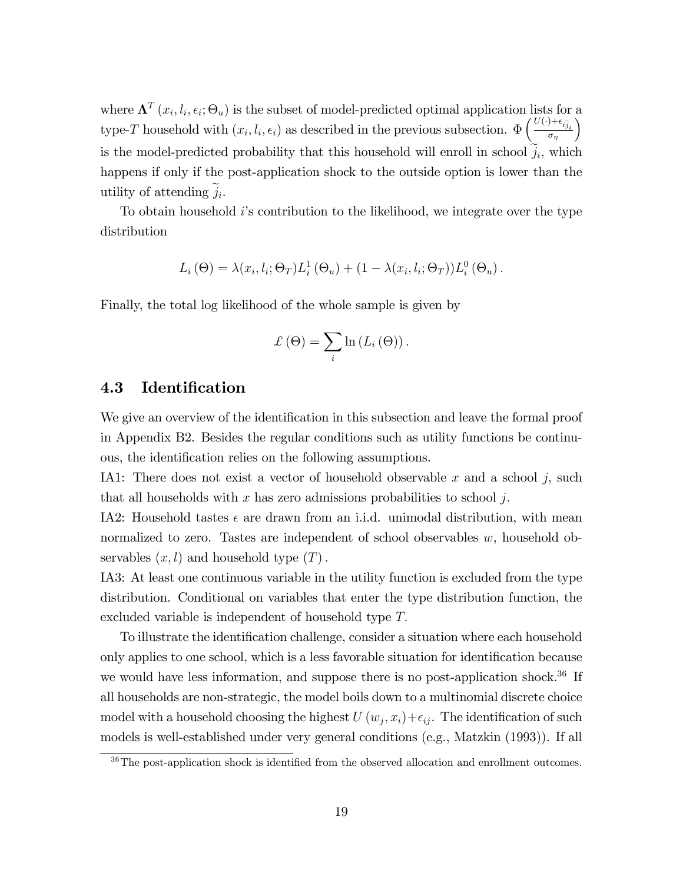where  $\mathbf{\Lambda}^T(x_i, l_i, \epsilon_i; \Theta_u)$  is the subset of model-predicted optimal application lists for a type-T household with  $(x_i, l_i, \epsilon_i)$  as described in the previous subsection.  $\Phi\left(\frac{U(\cdot)+\epsilon_{i\tilde{j}_i}}{\sigma_n}\right)$  $\sigma_{\eta}$  $\setminus$ is the model-predicted probability that this household will enroll in school  $j_i$ , which happens if only if the post-application shock to the outside option is lower than the utility of attending  $j_i$ .

To obtain household  $i$ 's contribution to the likelihood, we integrate over the type distribution

$$
L_i(\Theta) = \lambda(x_i, l_i; \Theta_T) L_i^1(\Theta_u) + (1 - \lambda(x_i, l_i; \Theta_T)) L_i^0(\Theta_u).
$$

Finally, the total log likelihood of the whole sample is given by

$$
\mathcal{L}(\Theta) = \sum_{i} \ln (L_{i}(\Theta)).
$$

# 4.3 Identification

We give an overview of the identification in this subsection and leave the formal proof in Appendix B2. Besides the regular conditions such as utility functions be continuous, the identification relies on the following assumptions.

IA1: There does not exist a vector of household observable  $x$  and a school  $j$ , such that all households with x has zero admissions probabilities to school j.

IA2: Household tastes  $\epsilon$  are drawn from an i.i.d. unimodal distribution, with mean normalized to zero. Tastes are independent of school observables w, household observables  $(x, l)$  and household type  $(T)$ .

IA3: At least one continuous variable in the utility function is excluded from the type distribution. Conditional on variables that enter the type distribution function, the excluded variable is independent of household type  $T$ .

To illustrate the identification challenge, consider a situation where each household only applies to one school, which is a less favorable situation for identification because we would have less information, and suppose there is no post-application shock.<sup>36</sup> If all households are non-strategic, the model boils down to a multinomial discrete choice model with a household choosing the highest  $U(w_j, x_i) + \epsilon_{ij}$ . The identification of such models is well-established under very general conditions (e.g., Matzkin (1993)). If all

 $36$ The post-application shock is identified from the observed allocation and enrollment outcomes.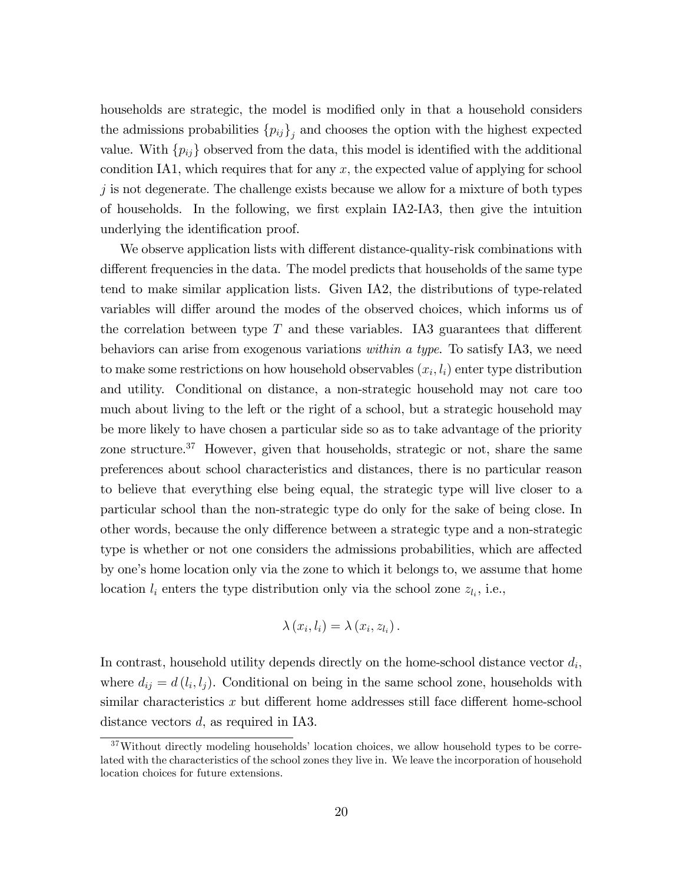households are strategic, the model is modified only in that a household considers the admissions probabilities  ${p_{ij}}_j$  and chooses the option with the highest expected value. With  $\{p_{ij}\}$  observed from the data, this model is identified with the additional condition IA1, which requires that for any  $x$ , the expected value of applying for school  $j$  is not degenerate. The challenge exists because we allow for a mixture of both types of households. In the following, we first explain  $IA2$ - $IA3$ , then give the intuition underlying the identification proof.

We observe application lists with different distance-quality-risk combinations with different frequencies in the data. The model predicts that households of the same type tend to make similar application lists. Given IA2, the distributions of type-related variables will differ around the modes of the observed choices, which informs us of the correlation between type  $T$  and these variables. IA3 guarantees that different behaviors can arise from exogenous variations within a type. To satisfy IA3, we need to make some restrictions on how household observables  $(x_i, l_i)$  enter type distribution and utility. Conditional on distance, a non-strategic household may not care too much about living to the left or the right of a school, but a strategic household may be more likely to have chosen a particular side so as to take advantage of the priority zone structure.<sup>37</sup> However, given that households, strategic or not, share the same preferences about school characteristics and distances, there is no particular reason to believe that everything else being equal, the strategic type will live closer to a particular school than the non-strategic type do only for the sake of being close. In other words, because the only difference between a strategic type and a non-strategic type is whether or not one considers the admissions probabilities, which are affected by one's home location only via the zone to which it belongs to, we assume that home location  $l_i$  enters the type distribution only via the school zone  $z_{l_i}$ , i.e.,

$$
\lambda(x_i, l_i) = \lambda(x_i, z_{l_i}).
$$

In contrast, household utility depends directly on the home-school distance vector  $d_i$ , where  $d_{ij} = d(l_i, l_j)$ . Conditional on being in the same school zone, households with similar characteristics x but different home addresses still face different home-school distance vectors d, as required in IA3.

 $37$ Without directly modeling households' location choices, we allow household types to be correlated with the characteristics of the school zones they live in. We leave the incorporation of household location choices for future extensions.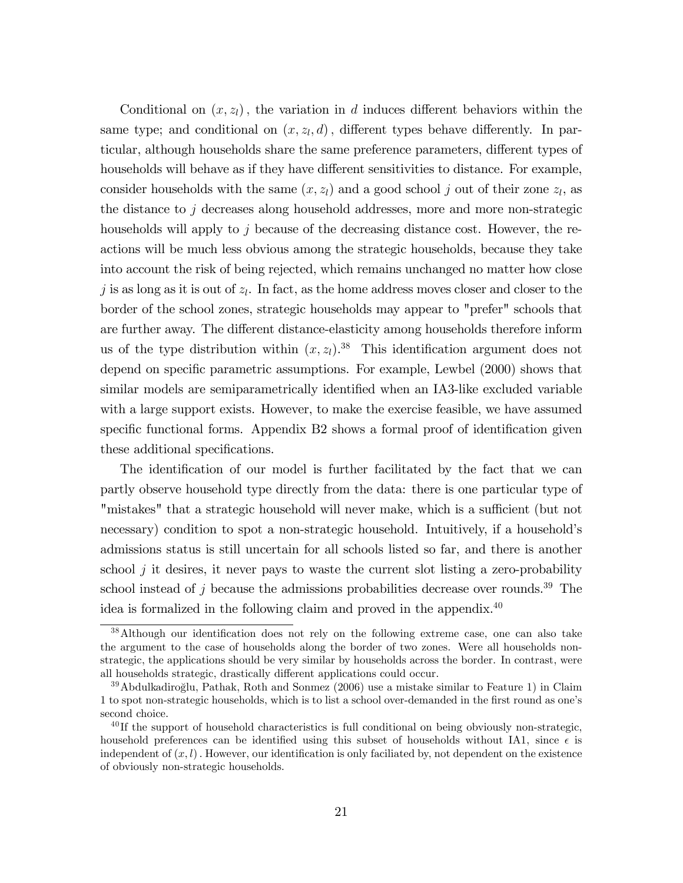Conditional on  $(x, z<sub>l</sub>)$ , the variation in d induces different behaviors within the same type; and conditional on  $(x, z_l, d)$ , different types behave differently. In particular, although households share the same preference parameters, different types of households will behave as if they have different sensitivities to distance. For example, consider households with the same  $(x, z_l)$  and a good school j out of their zone  $z_l$ , as the distance to  $j$  decreases along household addresses, more and more non-strategic households will apply to j because of the decreasing distance cost. However, the reactions will be much less obvious among the strategic households, because they take into account the risk of being rejected, which remains unchanged no matter how close j is as long as it is out of  $z_l$ . In fact, as the home address moves closer and closer to the border of the school zones, strategic households may appear to "prefer" schools that are further away. The different distance-elasticity among households therefore inform us of the type distribution within  $(x, z_l)$ .<sup>38</sup> This identification argument does not depend on specific parametric assumptions. For example, Lewbel (2000) shows that similar models are semiparametrically identified when an IA3-like excluded variable with a large support exists. However, to make the exercise feasible, we have assumed specific functional forms. Appendix B2 shows a formal proof of identification given these additional specifications.

The identification of our model is further facilitated by the fact that we can partly observe household type directly from the data: there is one particular type of "mistakes" that a strategic household will never make, which is a sufficient (but not necessary) condition to spot a non-strategic household. Intuitively, if a household's admissions status is still uncertain for all schools listed so far, and there is another school  $j$  it desires, it never pays to waste the current slot listing a zero-probability school instead of  $j$  because the admissions probabilities decrease over rounds.<sup>39</sup> The idea is formalized in the following claim and proved in the appendix. $40$ 

<sup>&</sup>lt;sup>38</sup>Although our identification does not rely on the following extreme case, one can also take the argument to the case of households along the border of two zones. Were all households nonstrategic, the applications should be very similar by households across the border. In contrast, were all households strategic, drastically different applications could occur.

 $39$ Abdulkadiroğlu, Pathak, Roth and Sonmez (2006) use a mistake similar to Feature 1) in Claim 1 to spot non-strategic households, which is to list a school over-demanded in the first round as one's second choice.

 $^{40}$ If the support of household characteristics is full conditional on being obviously non-strategic, household preferences can be identified using this subset of households without IA1, since  $\epsilon$  is independent of  $(x, l)$ . However, our identification is only faciliated by, not dependent on the existence of obviously non-strategic households.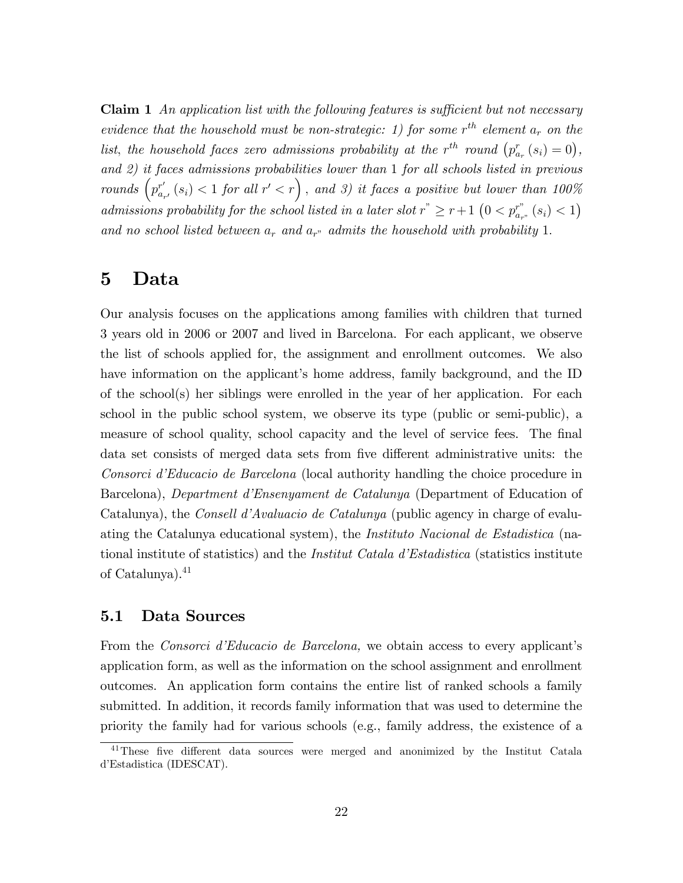**Claim 1** An application list with the following features is sufficient but not necessary evidence that the household must be non-strategic: 1) for some  $r^{th}$  element  $a_r$  on the list, the household faces zero admissions probability at the r<sup>th</sup> round  $(p_{a_r}^r(s_i) = 0)$ , and 2) it faces admissions probabilities lower than 1 for all schools listed in previous rounds  $\left(p_{a_{r'}}^{r'}(s_i) < 1 \text{ for all } r' < r\right)$ , and 3) it faces a positive but lower than 100% admissions probability for the school listed in a later slot  $r^* \geq r+1$   $(0 < p_{a_r}^{r^*} | s_i) < 1$ ) and no school listed between  $a_r$  and  $a_{r}$  admits the household with probability 1.

# 5 Data

Our analysis focuses on the applications among families with children that turned 3 years old in 2006 or 2007 and lived in Barcelona. For each applicant, we observe the list of schools applied for, the assignment and enrollment outcomes. We also have information on the applicant's home address, family background, and the ID of the school(s) her siblings were enrolled in the year of her application. For each school in the public school system, we observe its type (public or semi-public), a measure of school quality, school capacity and the level of service fees. The final data set consists of merged data sets from five different administrative units: the Consorci díEducacio de Barcelona (local authority handling the choice procedure in Barcelona), *Department d'Ensenyament de Catalunya* (Department of Education of Catalunya), the *Consell d'Avaluacio de Catalunya* (public agency in charge of evaluating the Catalunya educational system), the Instituto Nacional de Estadistica (national institute of statistics) and the *Institut Catala d'Estadistica* (statistics institute of Catalunya).<sup>41</sup>

## 5.1 Data Sources

From the *Consorci d'Educacio de Barcelona*, we obtain access to every applicant's application form, as well as the information on the school assignment and enrollment outcomes. An application form contains the entire list of ranked schools a family submitted. In addition, it records family information that was used to determine the priority the family had for various schools (e.g., family address, the existence of a

 $41$ These five different data sources were merged and anonimized by the Institut Catala d'Estadistica (IDESCAT).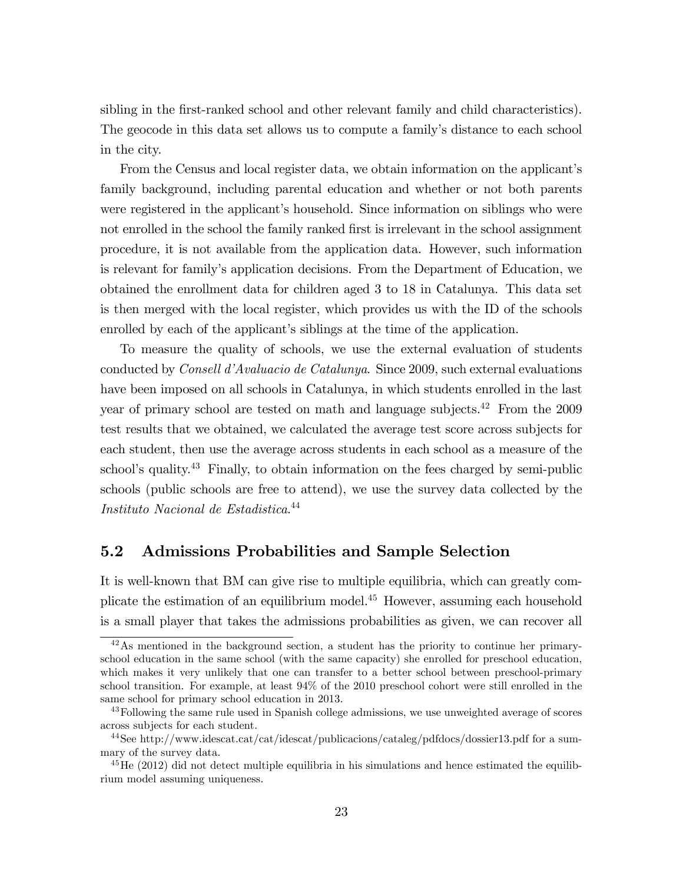sibling in the first-ranked school and other relevant family and child characteristics). The geocode in this data set allows us to compute a family's distance to each school in the city.

From the Census and local register data, we obtain information on the applicant's family background, including parental education and whether or not both parents were registered in the applicant's household. Since information on siblings who were not enrolled in the school the family ranked first is irrelevant in the school assignment procedure, it is not available from the application data. However, such information is relevant for familyís application decisions. From the Department of Education, we obtained the enrollment data for children aged 3 to 18 in Catalunya. This data set is then merged with the local register, which provides us with the ID of the schools enrolled by each of the applicant's siblings at the time of the application.

To measure the quality of schools, we use the external evaluation of students conducted by *Consell d'Avaluacio de Catalunya*. Since 2009, such external evaluations have been imposed on all schools in Catalunya, in which students enrolled in the last year of primary school are tested on math and language subjects.<sup>42</sup> From the 2009 test results that we obtained, we calculated the average test score across subjects for each student, then use the average across students in each school as a measure of the school's quality.<sup>43</sup> Finally, to obtain information on the fees charged by semi-public schools (public schools are free to attend), we use the survey data collected by the Instituto Nacional de Estadistica. 44

# 5.2 Admissions Probabilities and Sample Selection

It is well-known that BM can give rise to multiple equilibria, which can greatly complicate the estimation of an equilibrium model.<sup>45</sup> However, assuming each household is a small player that takes the admissions probabilities as given, we can recover all

<sup>&</sup>lt;sup>42</sup>As mentioned in the background section, a student has the priority to continue her primaryschool education in the same school (with the same capacity) she enrolled for preschool education, which makes it very unlikely that one can transfer to a better school between preschool-primary school transition. For example, at least 94% of the 2010 preschool cohort were still enrolled in the same school for primary school education in 2013.

<sup>&</sup>lt;sup>43</sup>Following the same rule used in Spanish college admissions, we use unweighted average of scores across subjects for each student.

<sup>44</sup>See http://www.idescat.cat/cat/idescat/publicacions/cataleg/pdfdocs/dossier13.pdf for a summary of the survey data.

<sup>&</sup>lt;sup>45</sup>He (2012) did not detect multiple equilibria in his simulations and hence estimated the equilibrium model assuming uniqueness.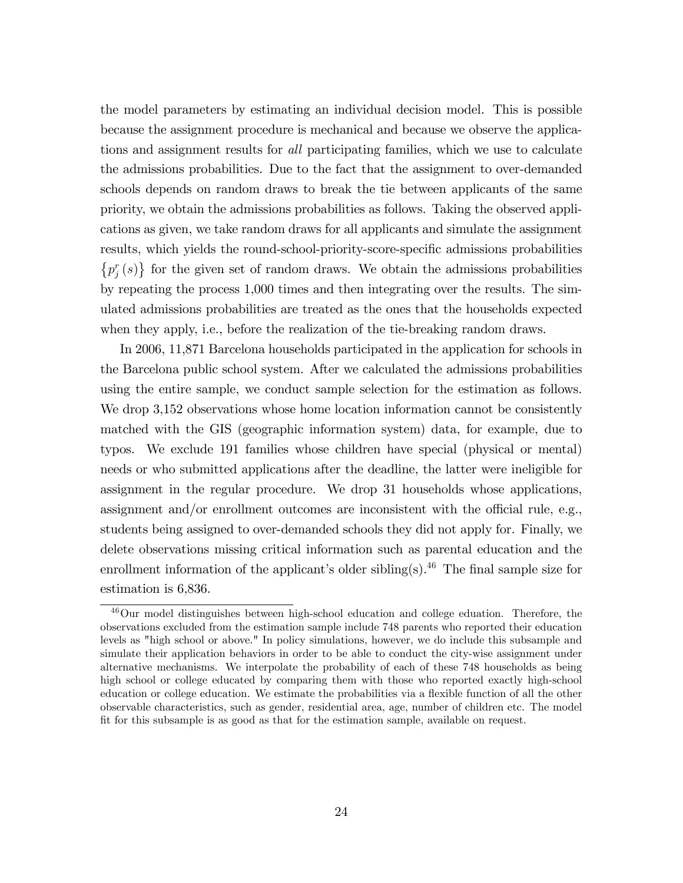the model parameters by estimating an individual decision model. This is possible because the assignment procedure is mechanical and because we observe the applications and assignment results for *all* participating families, which we use to calculate the admissions probabilities. Due to the fact that the assignment to over-demanded schools depends on random draws to break the tie between applicants of the same priority, we obtain the admissions probabilities as follows. Taking the observed applications as given, we take random draws for all applicants and simulate the assignment results, which yields the round-school-priority-score-specific admissions probabilities  $\{p_j^r(s)\}\$  for the given set of random draws. We obtain the admissions probabilities by repeating the process 1,000 times and then integrating over the results. The simulated admissions probabilities are treated as the ones that the households expected when they apply, i.e., before the realization of the tie-breaking random draws.

In 2006, 11,871 Barcelona households participated in the application for schools in the Barcelona public school system. After we calculated the admissions probabilities using the entire sample, we conduct sample selection for the estimation as follows. We drop 3,152 observations whose home location information cannot be consistently matched with the GIS (geographic information system) data, for example, due to typos. We exclude 191 families whose children have special (physical or mental) needs or who submitted applications after the deadline, the latter were ineligible for assignment in the regular procedure. We drop 31 households whose applications, assignment and/or enrollment outcomes are inconsistent with the official rule, e.g., students being assigned to over-demanded schools they did not apply for. Finally, we delete observations missing critical information such as parental education and the enrollment information of the applicant's older sibling(s).<sup>46</sup> The final sample size for estimation is 6,836.

<sup>46</sup>Our model distinguishes between high-school education and college eduation. Therefore, the observations excluded from the estimation sample include 748 parents who reported their education levels as "high school or above." In policy simulations, however, we do include this subsample and simulate their application behaviors in order to be able to conduct the city-wise assignment under alternative mechanisms. We interpolate the probability of each of these 748 households as being high school or college educated by comparing them with those who reported exactly high-school education or college education. We estimate the probabilities via a flexible function of all the other observable characteristics, such as gender, residential area, age, number of children etc. The model fit for this subsample is as good as that for the estimation sample, available on request.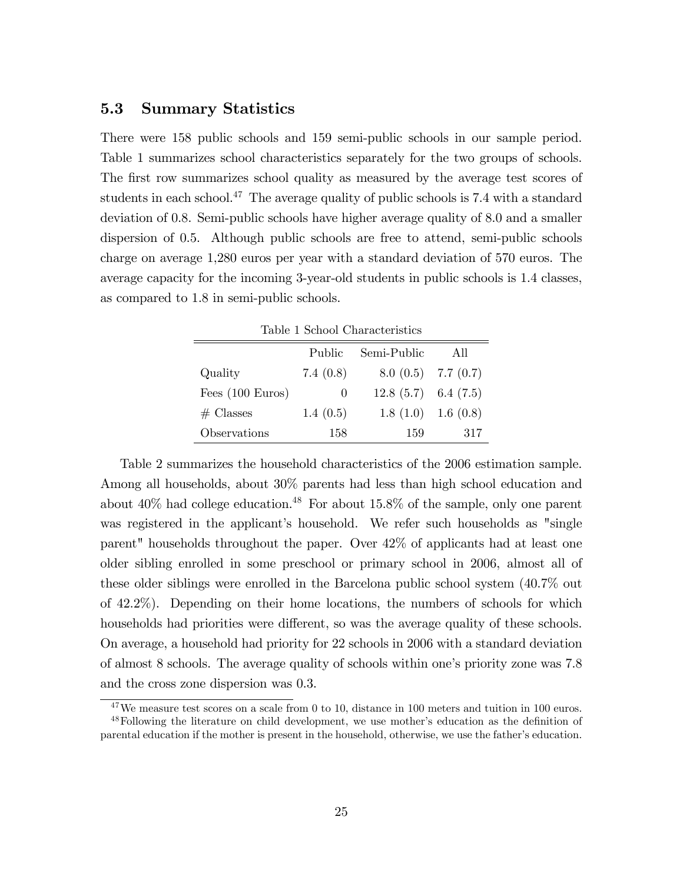# 5.3 Summary Statistics

There were 158 public schools and 159 semi-public schools in our sample period. Table 1 summarizes school characteristics separately for the two groups of schools. The first row summarizes school quality as measured by the average test scores of students in each school.<sup>47</sup> The average quality of public schools is 7.4 with a standard deviation of 0.8. Semi-public schools have higher average quality of 8.0 and a smaller dispersion of 0.5. Although public schools are free to attend, semi-public schools charge on average 1,280 euros per year with a standard deviation of 570 euros. The average capacity for the incoming 3-year-old students in public schools is 1.4 classes, as compared to 1.8 in semi-public schools.

| Table 1 School Characteristics |          |                        |     |  |  |
|--------------------------------|----------|------------------------|-----|--|--|
| Semi-Public<br>Public<br>All   |          |                        |     |  |  |
| Quality                        | 7.4(0.8) | $8.0(0.5)$ 7.7 $(0.7)$ |     |  |  |
| Fees $(100 \text{ Euros})$     | O        | $12.8(5.7)$ 6.4 (7.5)  |     |  |  |
| $#$ Classes                    | 1.4(0.5) | $1.8(1.0)$ 1.6 $(0.8)$ |     |  |  |
| Observations                   | 158      | 159                    | 317 |  |  |

Table 2 summarizes the household characteristics of the 2006 estimation sample. Among all households, about 30% parents had less than high school education and about  $40\%$  had college education.<sup>48</sup> For about  $15.8\%$  of the sample, only one parent was registered in the applicant's household. We refer such households as "single parent" households throughout the paper. Over 42% of applicants had at least one older sibling enrolled in some preschool or primary school in 2006, almost all of these older siblings were enrolled in the Barcelona public school system (40.7% out of 42.2%). Depending on their home locations, the numbers of schools for which households had priorities were different, so was the average quality of these schools. On average, a household had priority for 22 schools in 2006 with a standard deviation of almost 8 schools. The average quality of schools within one's priority zone was 7.8 and the cross zone dispersion was 0.3.

 $47$ We measure test scores on a scale from 0 to 10, distance in 100 meters and tuition in 100 euros.

<sup>&</sup>lt;sup>48</sup>Following the literature on child development, we use mother's education as the definition of parental education if the mother is present in the household, otherwise, we use the father's education.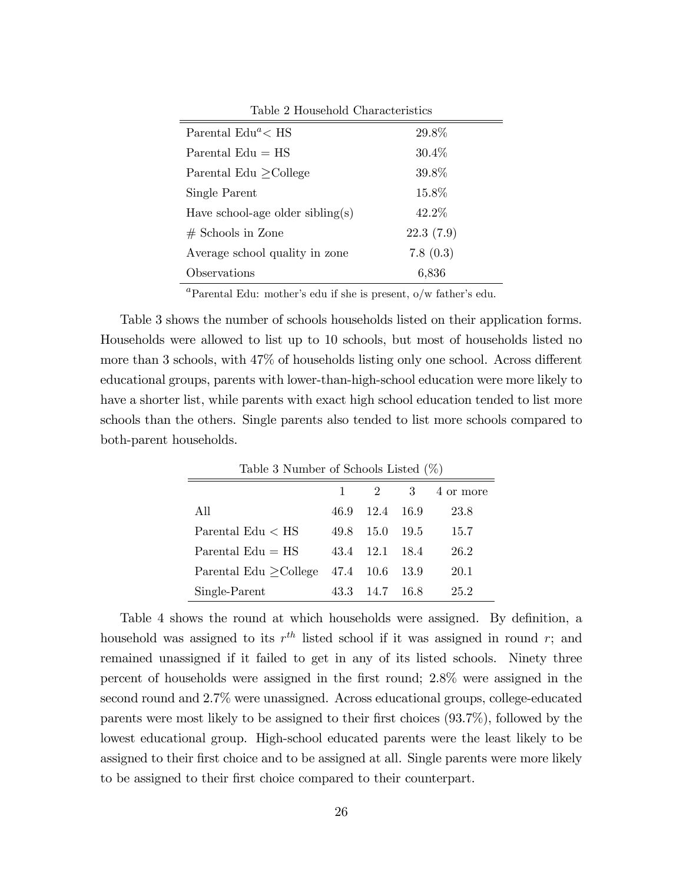| Parental $Edu^a \text{ < } HS$   | 29.8%     |
|----------------------------------|-----------|
| Parental $Edu = HS$              | $30.4\%$  |
| Parental Edu $\geq$ College      | 39.8%     |
| Single Parent                    | 15.8%     |
| Have school-age older sibling(s) | 42.2\%    |
| $#$ Schools in Zone              | 22.3(7.9) |
| Average school quality in zone   | 7.8(0.3)  |
| Observations                     | 6,836     |

Table 2 Household Characteristics

<sup>a</sup>Parental Edu: mother's edu if she is present,  $o/w$  father's edu.

Table 3 shows the number of schools households listed on their application forms. Households were allowed to list up to 10 schools, but most of households listed no more than 3 schools, with  $47\%$  of households listing only one school. Across different educational groups, parents with lower-than-high-school education were more likely to have a shorter list, while parents with exact high school education tended to list more schools than the others. Single parents also tended to list more schools compared to both-parent households.

| Table 3 Number of Schools Listed $(\%)$       |      |                |                   |      |  |  |  |
|-----------------------------------------------|------|----------------|-------------------|------|--|--|--|
| 3 <sup>3</sup><br>$\overline{2}$<br>4 or more |      |                |                   |      |  |  |  |
| All                                           | 46.9 | 12.4 16.9      |                   | 23.8 |  |  |  |
| Parental $Edu < HS$                           | 49.8 |                | $15.0 \quad 19.5$ | 15.7 |  |  |  |
| Parental $Edu = HS$                           |      | 43.4 12.1 18.4 |                   | 26.2 |  |  |  |
| Parental Edu $\geq$ College 47.4 10.6 13.9    |      |                |                   | 20.1 |  |  |  |
| Single-Parent                                 | 43.3 | -- 14.7 - 16.8 |                   | 25.2 |  |  |  |

Table 4 shows the round at which households were assigned. By definition, a household was assigned to its  $r^{th}$  listed school if it was assigned in round r; and remained unassigned if it failed to get in any of its listed schools. Ninety three percent of households were assigned in the Örst round; 2.8% were assigned in the second round and 2.7% were unassigned. Across educational groups, college-educated parents were most likely to be assigned to their first choices  $(93.7\%)$ , followed by the lowest educational group. High-school educated parents were the least likely to be assigned to their first choice and to be assigned at all. Single parents were more likely to be assigned to their first choice compared to their counterpart.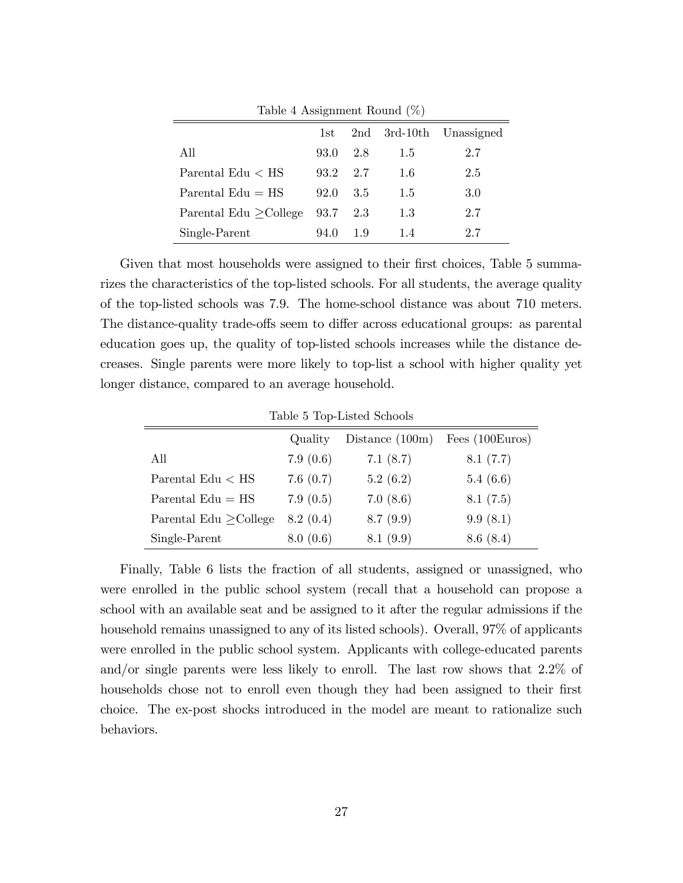|                                      | 1st      |     |         | 2nd 3rd-10th Unassigned |
|--------------------------------------|----------|-----|---------|-------------------------|
| All                                  | 93.0     | 2.8 | 1.5     | 2.7                     |
| Parental Edu $\rm < HS$              | 93.2 2.7 |     | 1.6     | 2.5                     |
| Parental $Edu = HS$                  | 92.0     | 3.5 | 1.5     | 3.0                     |
| Parental Edu $\geq$ College 93.7 2.3 |          |     | $1.3\,$ | 2.7                     |
| Single-Parent                        | 94.0     | 1.9 | 1.4     | 2.7                     |

Table 4 Assignment Round (%)

Given that most households were assigned to their first choices, Table 5 summarizes the characteristics of the top-listed schools. For all students, the average quality of the top-listed schools was 7.9. The home-school distance was about 710 meters. The distance-quality trade-offs seem to differ across educational groups: as parental education goes up, the quality of top-listed schools increases while the distance decreases. Single parents were more likely to top-list a school with higher quality yet longer distance, compared to an average household.

|                             | Quality  | Distance $(100m)$ | Fees $(100 \text{Euros})$ |
|-----------------------------|----------|-------------------|---------------------------|
| All                         | 7.9(0.6) | 7.1(8.7)          | 8.1(7.7)                  |
| Parental Edu $\rm < HS$     | 7.6(0.7) | 5.2(6.2)          | 5.4(6.6)                  |
| Parental $Edu = HS$         | 7.9(0.5) | 7.0(8.6)          | 8.1(7.5)                  |
| Parental Edu $\geq$ College | 8.2(0.4) | 8.7(9.9)          | 9.9(8.1)                  |
| Single-Parent               | 8.0(0.6) | 8.1(9.9)          | 8.6(8.4)                  |

Finally, Table 6 lists the fraction of all students, assigned or unassigned, who were enrolled in the public school system (recall that a household can propose a school with an available seat and be assigned to it after the regular admissions if the household remains unassigned to any of its listed schools). Overall, 97\% of applicants were enrolled in the public school system. Applicants with college-educated parents and/or single parents were less likely to enroll. The last row shows that 2.2% of households chose not to enroll even though they had been assigned to their first choice. The ex-post shocks introduced in the model are meant to rationalize such behaviors.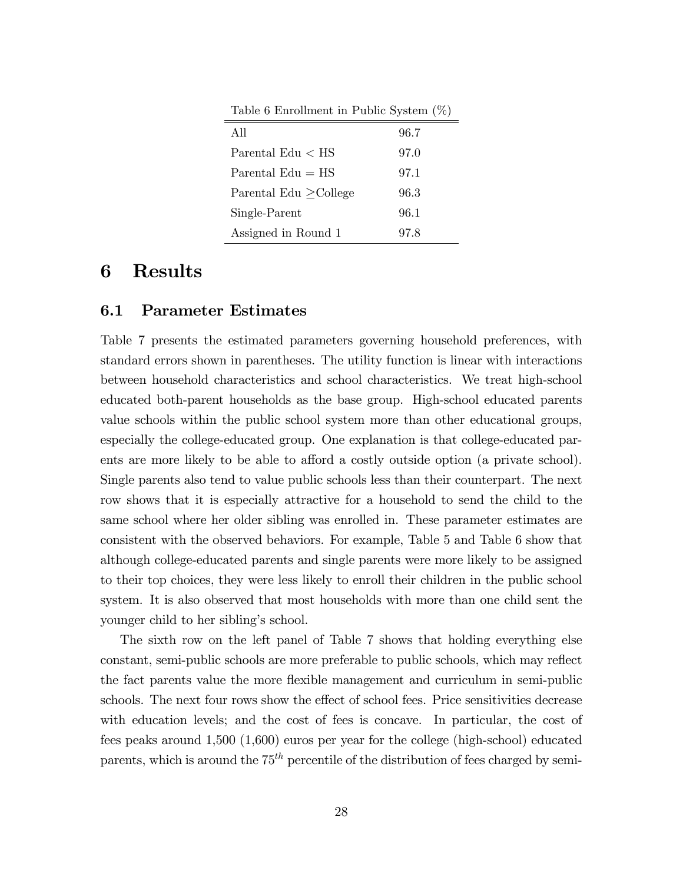| Table 6 Enrollment in Public System $(\%)$ |      |  |  |  |
|--------------------------------------------|------|--|--|--|
| All                                        | 96.7 |  |  |  |
| Parental $Edu < HS$                        | 97.0 |  |  |  |
| Parental $Edu = HS$                        | 97.1 |  |  |  |
| Parental Edu > College                     | 96.3 |  |  |  |
| Single-Parent                              | 96.1 |  |  |  |
| Assigned in Round 1                        | 97.8 |  |  |  |

# 6 Results

### 6.1 Parameter Estimates

Table 7 presents the estimated parameters governing household preferences, with standard errors shown in parentheses. The utility function is linear with interactions between household characteristics and school characteristics. We treat high-school educated both-parent households as the base group. High-school educated parents value schools within the public school system more than other educational groups, especially the college-educated group. One explanation is that college-educated parents are more likely to be able to afford a costly outside option (a private school). Single parents also tend to value public schools less than their counterpart. The next row shows that it is especially attractive for a household to send the child to the same school where her older sibling was enrolled in. These parameter estimates are consistent with the observed behaviors. For example, Table 5 and Table 6 show that although college-educated parents and single parents were more likely to be assigned to their top choices, they were less likely to enroll their children in the public school system. It is also observed that most households with more than one child sent the younger child to her sibling's school.

The sixth row on the left panel of Table 7 shows that holding everything else constant, semi-public schools are more preferable to public schools, which may reflect the fact parents value the more áexible management and curriculum in semi-public schools. The next four rows show the effect of school fees. Price sensitivities decrease with education levels; and the cost of fees is concave. In particular, the cost of fees peaks around 1,500 (1,600) euros per year for the college (high-school) educated parents, which is around the  $75<sup>th</sup>$  percentile of the distribution of fees charged by semi-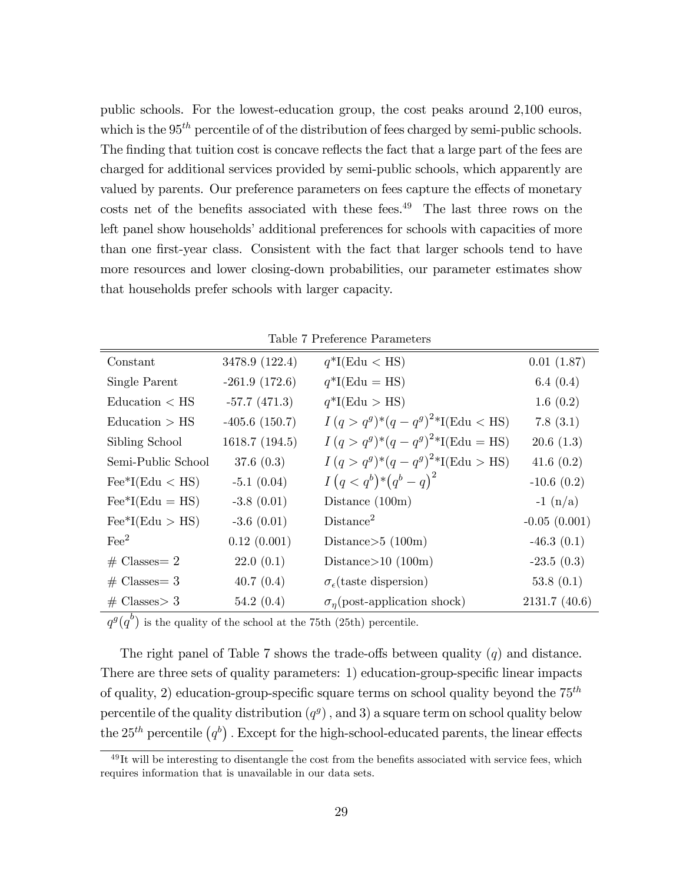public schools. For the lowest-education group, the cost peaks around 2,100 euros, which is the  $95<sup>th</sup>$  percentile of of the distribution of fees charged by semi-public schools. The finding that tuition cost is concave reflects the fact that a large part of the fees are charged for additional services provided by semi-public schools, which apparently are valued by parents. Our preference parameters on fees capture the effects of monetary costs net of the benefits associated with these fees. $^{49}$  The last three rows on the left panel show households' additional preferences for schools with capacities of more than one first-year class. Consistent with the fact that larger schools tend to have more resources and lower closing-down probabilities, our parameter estimates show that households prefer schools with larger capacity.

| Constant                               | 3478.9 (122.4)  | $q^*$ I(Edu < HS)                       | 0.01(1.87)     |
|----------------------------------------|-----------------|-----------------------------------------|----------------|
| Single Parent                          | $-261.9(172.6)$ | $q^*I(Edu = HS)$                        | 6.4 $(0.4)$    |
| Eductation < HS                        | $-57.7(471.3)$  | $q^*I(Edu > HS)$                        | 1.6(0.2)       |
| Education > HS                         | $-405.6(150.7)$ | $I(q > q^g)^*(q - q^g)^{2*}I(Edu < HS)$ | 7.8(3.1)       |
| Sibling School                         | 1618.7 (194.5)  | $I(q > q^g)^*(q - q^g)^{2*}I(Edu = HS)$ | 20.6(1.3)      |
| Semi-Public School                     | 37.6 $(0.3)$    | $I(q > q^g)^*(q - q^g)^{2*}I(Edu > HS)$ | 41.6 $(0.2)$   |
| $\text{Fe}^*I(\text{Edu} < \text{HS})$ | $-5.1(0.04)$    | $I(q < q^b)$ * $(q^b - q)^2$            | $-10.6(0.2)$   |
| $\text{Fe}^*I(\text{Edu} = \text{HS})$ | $-3.8(0.01)$    | Distance $(100m)$                       | $-1 (n/a)$     |
| $\text{Fe}^*I(\text{Edu} > \text{HS})$ | $-3.6(0.01)$    | Distance <sup>2</sup>                   | $-0.05(0.001)$ |
| $\text{Fe}^2$                          | 0.12(0.001)     | Distance $>5 (100m)$                    | $-46.3(0.1)$   |
| $\#$ Classes = 2                       | 22.0(0.1)       | Distance $>10$ (100m)                   | $-23.5(0.3)$   |
| $\#$ Classes = 3                       | 40.7(0.4)       | $\sigma_{\epsilon}$ (taste dispersion)  | 53.8 $(0.1)$   |
| $\#$ Classes > 3                       | 54.2(0.4)       | $\sigma_n$ (post-application shock)     | 2131.7 (40.6)  |

|  |  | Table 7 Preference Parameters |
|--|--|-------------------------------|
|--|--|-------------------------------|

 $q^g(q^b)$  is the quality of the school at the 75th (25th) percentile.

The right panel of Table 7 shows the trade-offs between quality  $(q)$  and distance. There are three sets of quality parameters: 1) education-group-specific linear impacts of quality, 2) education-group-specific square terms on school quality beyond the  $75<sup>th</sup>$ percentile of the quality distribution  $(q<sup>g</sup>)$ , and 3) a square term on school quality below the 25<sup>th</sup> percentile  $(q^b)$  . Except for the high-school-educated parents, the linear effects

 $^{49}$ It will be interesting to disentangle the cost from the benefits associated with service fees, which requires information that is unavailable in our data sets.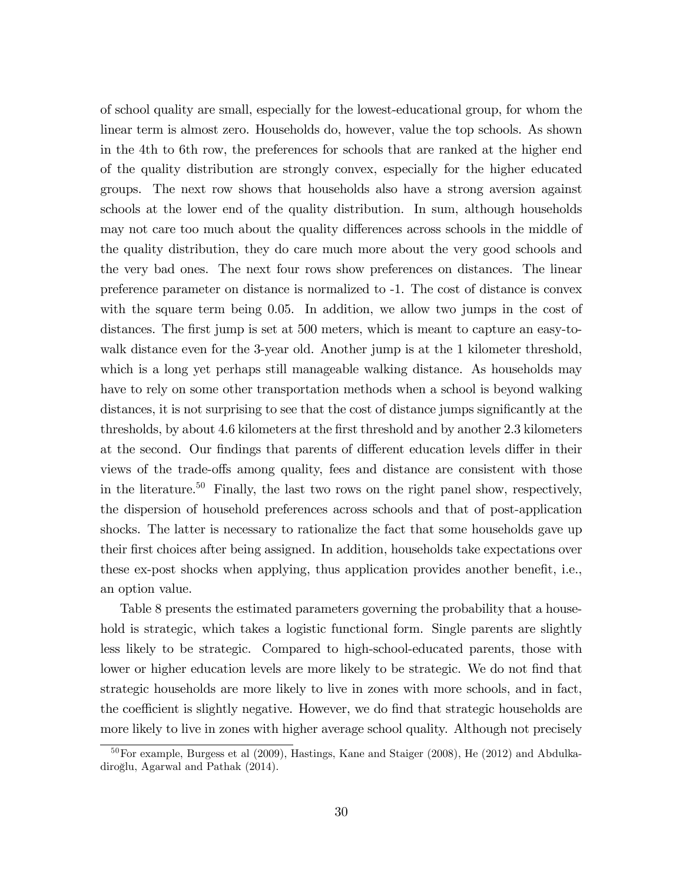of school quality are small, especially for the lowest-educational group, for whom the linear term is almost zero. Households do, however, value the top schools. As shown in the 4th to 6th row, the preferences for schools that are ranked at the higher end of the quality distribution are strongly convex, especially for the higher educated groups. The next row shows that households also have a strong aversion against schools at the lower end of the quality distribution. In sum, although households may not care too much about the quality differences across schools in the middle of the quality distribution, they do care much more about the very good schools and the very bad ones. The next four rows show preferences on distances. The linear preference parameter on distance is normalized to -1. The cost of distance is convex with the square term being 0.05. In addition, we allow two jumps in the cost of distances. The first jump is set at 500 meters, which is meant to capture an easy-towalk distance even for the 3-year old. Another jump is at the 1 kilometer threshold, which is a long yet perhaps still manageable walking distance. As households may have to rely on some other transportation methods when a school is beyond walking distances, it is not surprising to see that the cost of distance jumps significantly at the thresholds, by about 4.6 kilometers at the first threshold and by another 2.3 kilometers at the second. Our findings that parents of different education levels differ in their views of the trade-offs among quality, fees and distance are consistent with those in the literature.<sup>50</sup> Finally, the last two rows on the right panel show, respectively, the dispersion of household preferences across schools and that of post-application shocks. The latter is necessary to rationalize the fact that some households gave up their first choices after being assigned. In addition, households take expectations over these ex-post shocks when applying, thus application provides another benefit, i.e., an option value.

Table 8 presents the estimated parameters governing the probability that a household is strategic, which takes a logistic functional form. Single parents are slightly less likely to be strategic. Compared to high-school-educated parents, those with lower or higher education levels are more likely to be strategic. We do not find that strategic households are more likely to live in zones with more schools, and in fact, the coefficient is slightly negative. However, we do find that strategic households are more likely to live in zones with higher average school quality. Although not precisely

 $50$  For example, Burgess et al (2009), Hastings, Kane and Staiger (2008), He (2012) and Abdulkadiroğlu, Agarwal and Pathak (2014).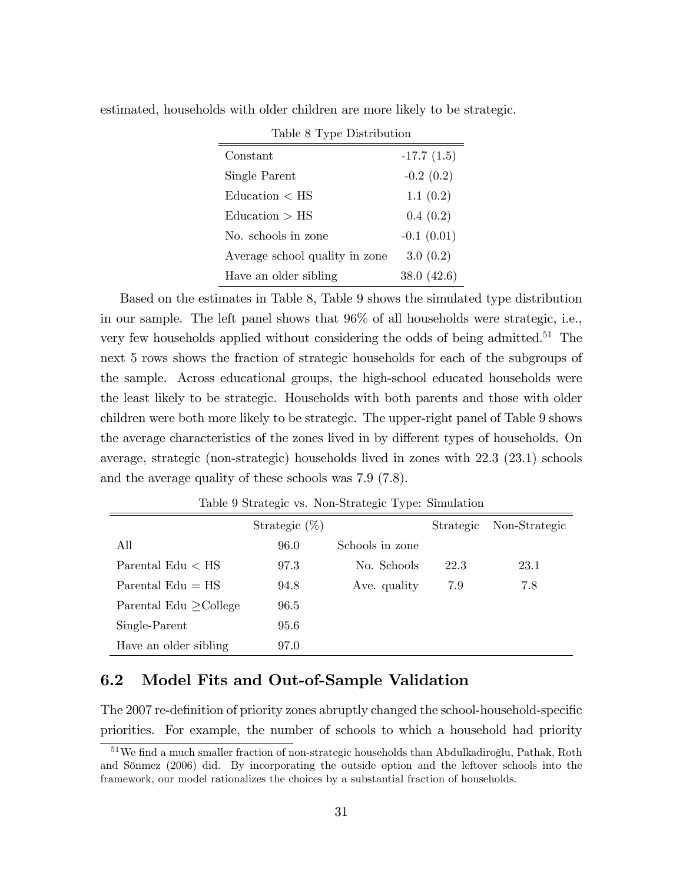| Table 8 Type Distribution      |              |  |  |  |
|--------------------------------|--------------|--|--|--|
| Constant                       | $-17.7(1.5)$ |  |  |  |
| Single Parent                  | $-0.2(0.2)$  |  |  |  |
| Education < HS                 | 1.1(0.2)     |  |  |  |
| Education > HS                 | 0.4(0.2)     |  |  |  |
| No. schools in zone            | $-0.1(0.01)$ |  |  |  |
| Average school quality in zone | 3.0(0.2)     |  |  |  |
| Have an older sibling          | 38.0(42.6)   |  |  |  |

estimated, households with older children are more likely to be strategic.

ċ

Based on the estimates in Table 8, Table 9 shows the simulated type distribution in our sample. The left panel shows that 96% of all households were strategic, i.e., very few households applied without considering the odds of being admitted.<sup>51</sup> The next 5 rows shows the fraction of strategic households for each of the subgroups of the sample. Across educational groups, the high-school educated households were the least likely to be strategic. Households with both parents and those with older children were both more likely to be strategic. The upper-right panel of Table 9 shows the average characteristics of the zones lived in by different types of households. On average, strategic (non-strategic) households lived in zones with 22.3 (23.1) schools and the average quality of these schools was 7.9 (7.8).

|                             | Strategic $(\%)$ |                 |      | Strategic Non-Strategic |
|-----------------------------|------------------|-----------------|------|-------------------------|
| All                         | 96.0             | Schools in zone |      |                         |
| Parental $Edu < HS$         | 97.3             | No. Schools     | 22.3 | 23.1                    |
| Parental $Edu = HS$         | 94.8             | Ave. quality    | 7.9  | 7.8                     |
| Parental Edu $\geq$ College | 96.5             |                 |      |                         |
| Single-Parent               | 95.6             |                 |      |                         |
| Have an older sibling       | 97.0             |                 |      |                         |

Table 9 Strategic vs. Non-Strategic Type: Simulation

# 6.2 Model Fits and Out-of-Sample Validation

The 2007 re-definition of priority zones abruptly changed the school-household-specific priorities. For example, the number of schools to which a household had priority

<sup>&</sup>lt;sup>51</sup>We find a much smaller fraction of non-strategic households than Abdulkadiroglu, Pathak, Roth and Sönmez (2006) did. By incorporating the outside option and the leftover schools into the framework, our model rationalizes the choices by a substantial fraction of households.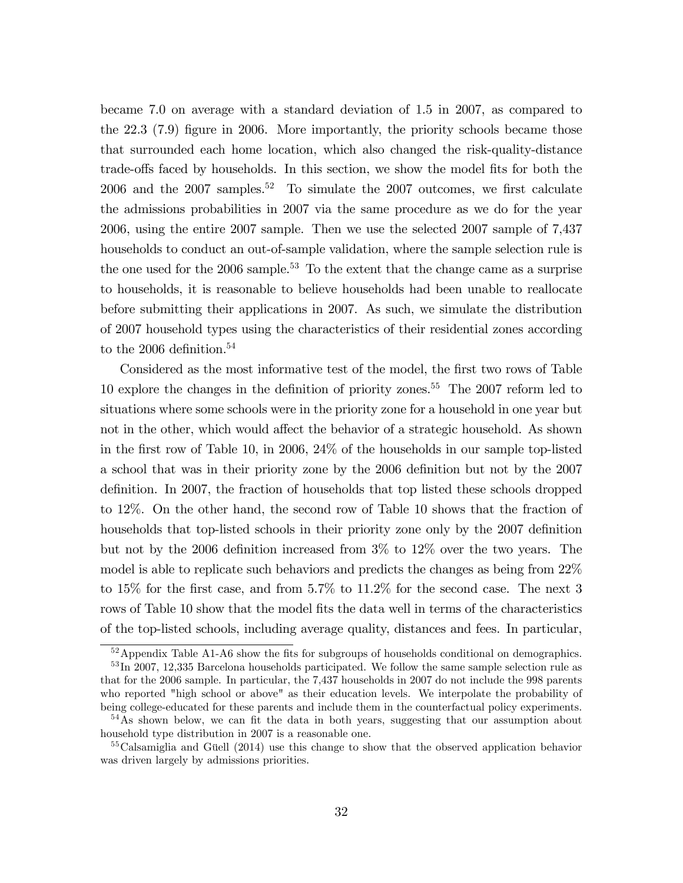became 7.0 on average with a standard deviation of 1.5 in 2007, as compared to the 22.3 (7.9) figure in 2006. More importantly, the priority schools became those that surrounded each home location, which also changed the risk-quality-distance trade-offs faced by households. In this section, we show the model fits for both the 2006 and the  $2007$  samples.<sup>52</sup> To simulate the 2007 outcomes, we first calculate the admissions probabilities in 2007 via the same procedure as we do for the year 2006, using the entire 2007 sample. Then we use the selected 2007 sample of 7,437 households to conduct an out-of-sample validation, where the sample selection rule is the one used for the  $2006$  sample.<sup>53</sup> To the extent that the change came as a surprise to households, it is reasonable to believe households had been unable to reallocate before submitting their applications in 2007. As such, we simulate the distribution of 2007 household types using the characteristics of their residential zones according to the 2006 definition.<sup>54</sup>

Considered as the most informative test of the model, the first two rows of Table 10 explore the changes in the definition of priority zones.<sup>55</sup> The  $2007$  reform led to situations where some schools were in the priority zone for a household in one year but not in the other, which would affect the behavior of a strategic household. As shown in the first row of Table 10, in 2006,  $24\%$  of the households in our sample top-listed a school that was in their priority zone by the 2006 deÖnition but not by the 2007 definition. In 2007, the fraction of households that top listed these schools dropped to 12%. On the other hand, the second row of Table 10 shows that the fraction of households that top-listed schools in their priority zone only by the 2007 definition but not by the 2006 definition increased from  $3\%$  to  $12\%$  over the two years. The model is able to replicate such behaviors and predicts the changes as being from 22% to 15% for the first case, and from 5.7% to 11.2% for the second case. The next 3 rows of Table 10 show that the model fits the data well in terms of the characteristics of the top-listed schools, including average quality, distances and fees. In particular,

 $52$ Appendix Table A1-A6 show the fits for subgroups of households conditional on demographics.

<sup>&</sup>lt;sup>53</sup>In 2007, 12,335 Barcelona households participated. We follow the same sample selection rule as that for the 2006 sample. In particular, the 7,437 households in 2007 do not include the 998 parents who reported "high school or above" as their education levels. We interpolate the probability of being college-educated for these parents and include them in the counterfactual policy experiments.

 $54\text{As}$  shown below, we can fit the data in both years, suggesting that our assumption about household type distribution in 2007 is a reasonable one.

 $55$ Calsamiglia and Güell (2014) use this change to show that the observed application behavior was driven largely by admissions priorities.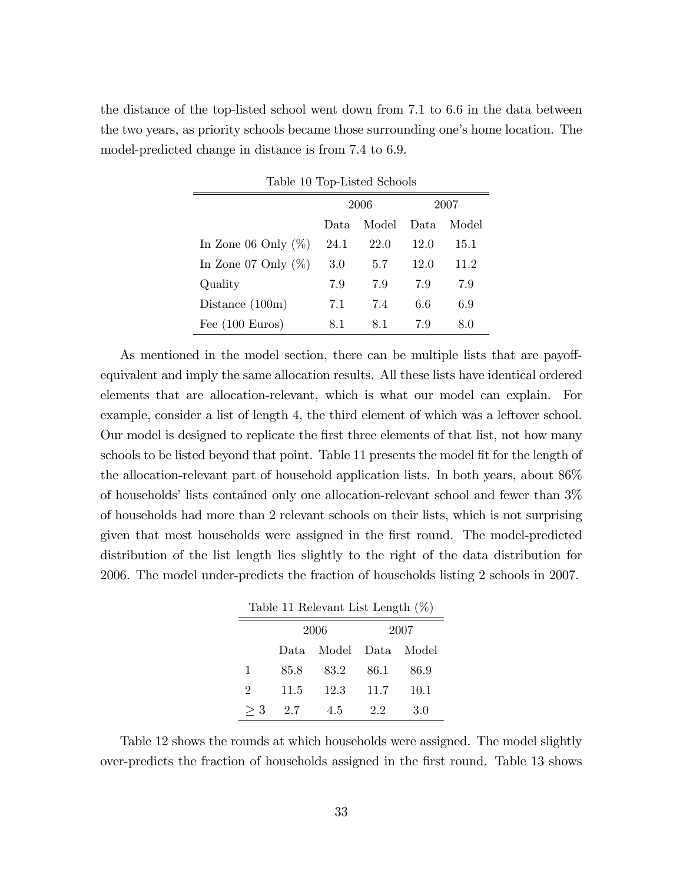the distance of the top-listed school went down from 7.1 to 6.6 in the data between the two years, as priority schools became those surrounding one's home location. The model-predicted change in distance is from 7.4 to 6.9.

| Table 10 Top-Listed Schools |                                  |      |      |      |  |
|-----------------------------|----------------------------------|------|------|------|--|
|                             |                                  | 2006 | 2007 |      |  |
|                             | Model<br>Model<br>Data.<br>Data. |      |      |      |  |
| In Zone 06 Only $(\%)$      | 24.1                             | 22.0 | 12.0 | 15.1 |  |
| In Zone 07 Only $(\%)$      | 3.0                              | 5.7  | 12.0 | 11.2 |  |
| Quality                     | 7.9                              | 7.9  | 7.9  | 7.9  |  |
| Distance $(100m)$           | 7.1                              | 7.4  | 6.6  | 6.9  |  |
| Fee $(100 \text{ Euros})$   | 8.1                              | 8.1  | 7.9  | 8.0  |  |

As mentioned in the model section, there can be multiple lists that are payoffequivalent and imply the same allocation results. All these lists have identical ordered elements that are allocation-relevant, which is what our model can explain. For example, consider a list of length 4, the third element of which was a leftover school. Our model is designed to replicate the first three elements of that list, not how many schools to be listed beyond that point. Table 11 presents the model fit for the length of the allocation-relevant part of household application lists. In both years, about 86% of households' lists contained only one allocation-relevant school and fewer than  $3\%$ of households had more than 2 relevant schools on their lists, which is not surprising given that most households were assigned in the first round. The model-predicted distribution of the list length lies slightly to the right of the data distribution for 2006. The model under-predicts the fraction of households listing 2 schools in 2007.

| Table 11 Relevant List Length $(\%)$ |       |       |       |       |  |  |
|--------------------------------------|-------|-------|-------|-------|--|--|
|                                      |       | 2006  | 2007  |       |  |  |
|                                      | Data. | Model | Data. | Model |  |  |
| 1                                    | 85.8  | 83.2  | 86.1  | 86.9  |  |  |
| 2                                    | 11.5  | 12.3  | 11.7  | 10.1  |  |  |
| $\geq 3$                             | 2.7   | 4.5   | 22    | 3.0   |  |  |

Table 12 shows the rounds at which households were assigned. The model slightly over-predicts the fraction of households assigned in the Örst round. Table 13 shows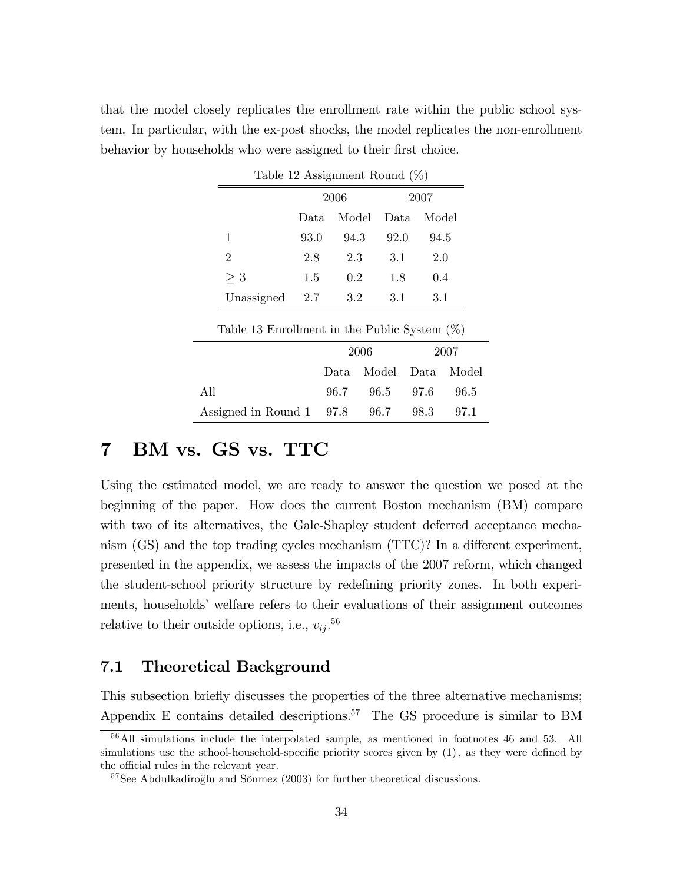that the model closely replicates the enrollment rate within the public school system. In particular, with the ex-post shocks, the model replicates the non-enrollment behavior by households who were assigned to their first choice.

| Table 12 Assignment Round $(\%)$                |      |         |       |       |       |  |  |
|-------------------------------------------------|------|---------|-------|-------|-------|--|--|
|                                                 | 2006 |         |       | 2007  |       |  |  |
|                                                 | Data | Model   | Data  | Model |       |  |  |
| 1                                               | 93.0 | 94.3    | 92.0  | 94.5  |       |  |  |
| $\overline{2}$                                  | 2.8  | 2.3     | 3.1   | 2.0   |       |  |  |
| $\geq 3$                                        | 1.5  | $0.2\,$ | 1.8   | 0.4   |       |  |  |
| Unassigned                                      | 2.7  | 3.2     | 3.1   | 3.1   |       |  |  |
| Table 13 Enrollment in the Public System $(\%)$ |      |         |       |       |       |  |  |
|                                                 |      | 2006    |       |       | 2007  |  |  |
|                                                 |      | Data    | Model | Data  | Model |  |  |
| All                                             |      | 96.7    | 96.5  | 97.6  | 96.5  |  |  |
| Assigned in Round 1                             |      | 97.8    | 96.7  | 98.3  | 97.1  |  |  |

Table 12 Assignment Round (%)

# 7 BM vs. GS vs. TTC

Using the estimated model, we are ready to answer the question we posed at the beginning of the paper. How does the current Boston mechanism (BM) compare with two of its alternatives, the Gale-Shapley student deferred acceptance mechanism  $(GS)$  and the top trading cycles mechanism  $(TTC)$ ? In a different experiment, presented in the appendix, we assess the impacts of the 2007 reform, which changed the student-school priority structure by redefining priority zones. In both experiments, households' welfare refers to their evaluations of their assignment outcomes relative to their outside options, i.e.,  $v_{ij}$ <sup>56</sup>

# 7.1 Theoretical Background

This subsection briefly discusses the properties of the three alternative mechanisms; Appendix E contains detailed descriptions.<sup>57</sup> The GS procedure is similar to BM

<sup>56</sup>All simulations include the interpolated sample, as mentioned in footnotes 46 and 53. All simulations use the school-household-specific priority scores given by  $(1)$ , as they were defined by the official rules in the relevant year.

 $57$ See Abdulkadiroğlu and Sönmez (2003) for further theoretical discussions.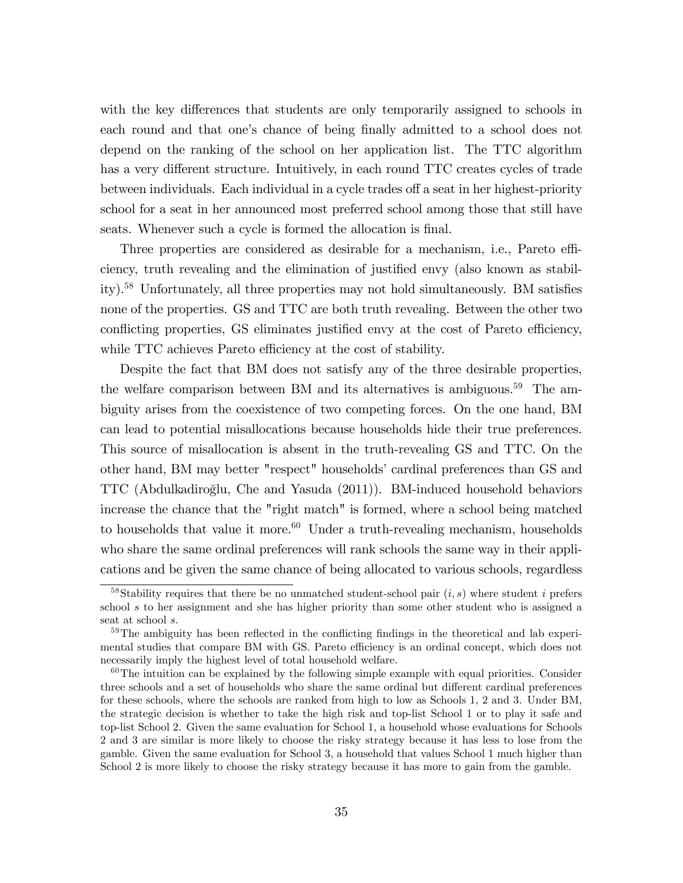with the key differences that students are only temporarily assigned to schools in each round and that one's chance of being finally admitted to a school does not depend on the ranking of the school on her application list. The TTC algorithm has a very different structure. Intuitively, in each round TTC creates cycles of trade between individuals. Each individual in a cycle trades of a seat in her highest-priority school for a seat in her announced most preferred school among those that still have seats. Whenever such a cycle is formed the allocation is final.

Three properties are considered as desirable for a mechanism, i.e., Pareto efficiency, truth revealing and the elimination of justified envy (also known as stability).<sup>58</sup> Unfortunately, all three properties may not hold simultaneously. BM satisfies none of the properties. GS and TTC are both truth revealing. Between the other two conflicting properties, GS eliminates justified envy at the cost of Pareto efficiency, while TTC achieves Pareto efficiency at the cost of stability.

Despite the fact that BM does not satisfy any of the three desirable properties, the welfare comparison between BM and its alternatives is ambiguous.<sup>59</sup> The ambiguity arises from the coexistence of two competing forces. On the one hand, BM can lead to potential misallocations because households hide their true preferences. This source of misallocation is absent in the truth-revealing GS and TTC. On the other hand, BM may better "respect" householdsícardinal preferences than GS and TTC (Abdulkadiroglu, Che and Yasuda (2011)). BM-induced household behaviors º increase the chance that the "right match" is formed, where a school being matched to households that value it more.<sup>60</sup> Under a truth-revealing mechanism, households who share the same ordinal preferences will rank schools the same way in their applications and be given the same chance of being allocated to various schools, regardless

<sup>&</sup>lt;sup>58</sup>Stability requires that there be no unmatched student-school pair  $(i, s)$  where student i prefers school s to her assignment and she has higher priority than some other student who is assigned a seat at school s.

 $59$ The ambiguity has been reflected in the conflicting findings in the theoretical and lab experimental studies that compare BM with GS. Pareto efficiency is an ordinal concept, which does not necessarily imply the highest level of total household welfare.

 $60$ The intuition can be explained by the following simple example with equal priorities. Consider three schools and a set of households who share the same ordinal but different cardinal preferences for these schools, where the schools are ranked from high to low as Schools 1, 2 and 3. Under BM, the strategic decision is whether to take the high risk and top-list School 1 or to play it safe and top-list School 2. Given the same evaluation for School 1, a household whose evaluations for Schools 2 and 3 are similar is more likely to choose the risky strategy because it has less to lose from the gamble. Given the same evaluation for School 3, a household that values School 1 much higher than School 2 is more likely to choose the risky strategy because it has more to gain from the gamble.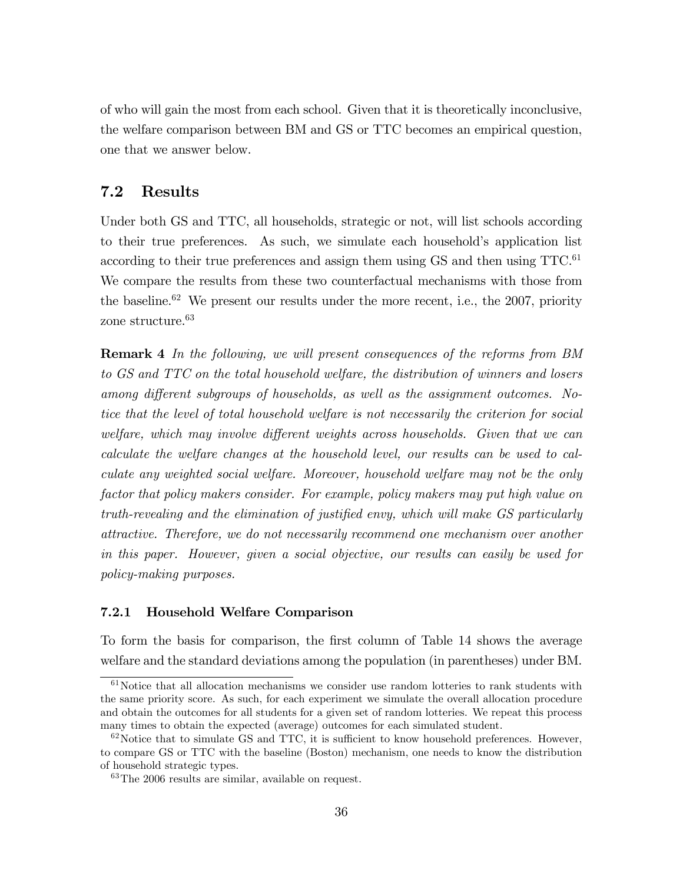of who will gain the most from each school. Given that it is theoretically inconclusive, the welfare comparison between BM and GS or TTC becomes an empirical question, one that we answer below.

# 7.2 Results

Under both GS and TTC, all households, strategic or not, will list schools according to their true preferences. As such, we simulate each household's application list according to their true preferences and assign them using  $\text{GS}$  and then using  $\text{TTC}^{61}$ We compare the results from these two counterfactual mechanisms with those from the baseline.<sup>62</sup> We present our results under the more recent, i.e., the 2007, priority zone structure.<sup>63</sup>

Remark 4 In the following, we will present consequences of the reforms from BM to GS and TTC on the total household welfare, the distribution of winners and losers among different subgroups of households, as well as the assignment outcomes. Notice that the level of total household welfare is not necessarily the criterion for social welfare, which may involve different weights across households. Given that we can calculate the welfare changes at the household level, our results can be used to calculate any weighted social welfare. Moreover, household welfare may not be the only factor that policy makers consider. For example, policy makers may put high value on truth-revealing and the elimination of justified envy, which will make GS particularly attractive. Therefore, we do not necessarily recommend one mechanism over another in this paper. However, given a social objective, our results can easily be used for policy-making purposes.

### 7.2.1 Household Welfare Comparison

To form the basis for comparison, the first column of Table 14 shows the average welfare and the standard deviations among the population (in parentheses) under BM.

 $61$ Notice that all allocation mechanisms we consider use random lotteries to rank students with the same priority score. As such, for each experiment we simulate the overall allocation procedure and obtain the outcomes for all students for a given set of random lotteries. We repeat this process many times to obtain the expected (average) outcomes for each simulated student.

 $62\,\text{Notice that to simulate GS and TTC, it is sufficient to know household preferences. However, }$ to compare GS or TTC with the baseline (Boston) mechanism, one needs to know the distribution of household strategic types.

<sup>63</sup>The 2006 results are similar, available on request.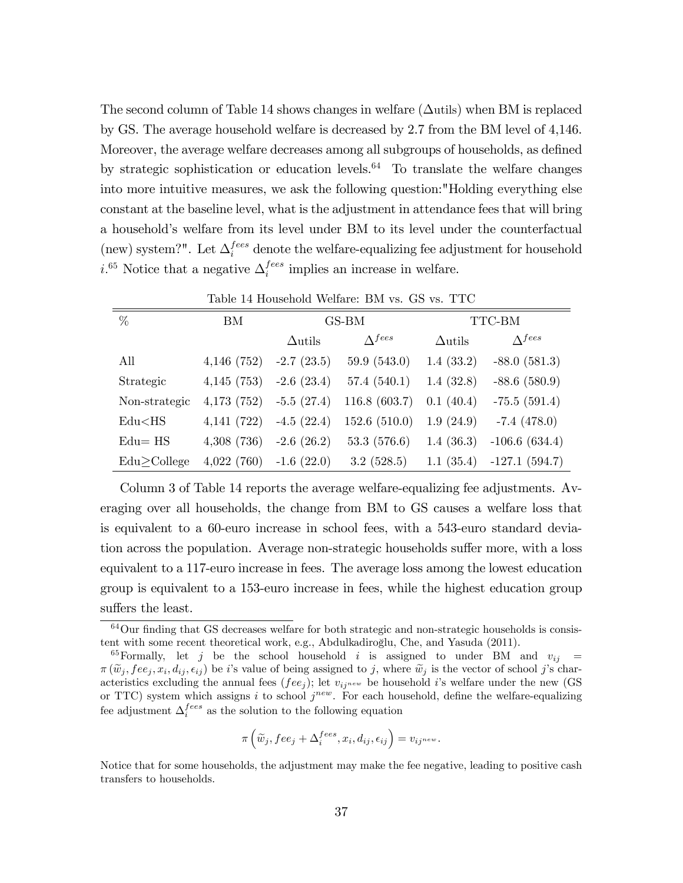The second column of Table 14 shows changes in welfare  $(\Delta u$ tils) when BM is replaced by GS. The average household welfare is decreased by 2.7 from the BM level of 4,146. Moreover, the average welfare decreases among all subgroups of households, as defined by strategic sophistication or education levels. $64$  To translate the welfare changes into more intuitive measures, we ask the following question:"Holding everything else constant at the baseline level, what is the adjustment in attendance fees that will bring a household's welfare from its level under BM to its level under the counterfactual (new) system?". Let  $\Delta_i^{fees}$  denote the welfare-equalizing fee adjustment for household *i*.<sup>65</sup> Notice that a negative  $\Delta_i^{fees}$  $i^{ees}$  implies an increase in welfare.

| Table 14 Household Welfare: BM vs. GS vs. TTC |            |                |                           |                |                           |  |  |
|-----------------------------------------------|------------|----------------|---------------------------|----------------|---------------------------|--|--|
| $\%$                                          | BМ         |                | GS-BM                     | TTC-BM         |                           |  |  |
|                                               |            | $\Delta$ utils | $\Lambda$ <sup>fees</sup> | $\Delta$ utils | $\Lambda$ <sup>fees</sup> |  |  |
| All                                           | 4,146(752) | $-2.7(23.5)$   | 59.9(543.0)               | 1.4(33.2)      | $-88.0(581.3)$            |  |  |
| Strategic                                     | 4,145(753) | $-2.6(23.4)$   | 57.4(540.1)               | 1.4(32.8)      | $-88.6(580.9)$            |  |  |
| Non-strategic                                 | 4,173(752) | $-5.5(27.4)$   | 116.8(603.7)              | 0.1(40.4)      | $-75.5(591.4)$            |  |  |
| $Edu<$ HS                                     | 4,141(722) | $-4.5(22.4)$   | 152.6(510.0)              | 1.9(24.9)      | $-7.4(478.0)$             |  |  |
| $Edu = HS$                                    | 4,308(736) | $-2.6(26.2)$   | 53.3(576.6)               | 1.4(36.3)      | $-106.6(634.4)$           |  |  |
| Edu>College                                   | 4,022(760) | $-1.6(22.0)$   | 3.2(528.5)                | 1.1(35.4)      | $-127.1(594.7)$           |  |  |

Column 3 of Table 14 reports the average welfare-equalizing fee adjustments. Averaging over all households, the change from BM to GS causes a welfare loss that is equivalent to a 60-euro increase in school fees, with a 543-euro standard deviation across the population. Average non-strategic households suffer more, with a loss equivalent to a 117-euro increase in fees. The average loss among the lowest education group is equivalent to a 153-euro increase in fees, while the highest education group suffers the least.

$$
\pi\left(\widetilde{w}_j, fee_j + \Delta_i^{fees}, x_i, d_{ij}, \epsilon_{ij}\right) = v_{ij^{new}}.
$$

Notice that for some households, the adjustment may make the fee negative, leading to positive cash transfers to households.

 $64$ Our finding that GS decreases welfare for both strategic and non-strategic households is consistent with some recent theoretical work, e.g., Abdulkadiroğlu, Che, and Yasuda (2011).

<sup>&</sup>lt;sup>65</sup>Formally, let j be the school household i is assigned to under BM and  $v_{ij}$  =  $\pi(\widetilde{w}_j, fee_j, x_i, d_{ij}, \epsilon_{ij})$  be *i*'s value of being assigned to *j*, where  $\widetilde{w}_j$  is the vector of school *j*'s char-<br>catalities real line the second face (for ) literature the handball is realised on the name (CS acteristics excluding the annual fees ( $fee_j$ ); let  $v_{ij}$ <sup>new</sup> be household i's welfare under the new (GS or TTC) system which assigns i to school  $j^{new}$ . For each household, define the welfare-equalizing fee adjustment  $\Delta_i^{fees}$  as the solution to the following equation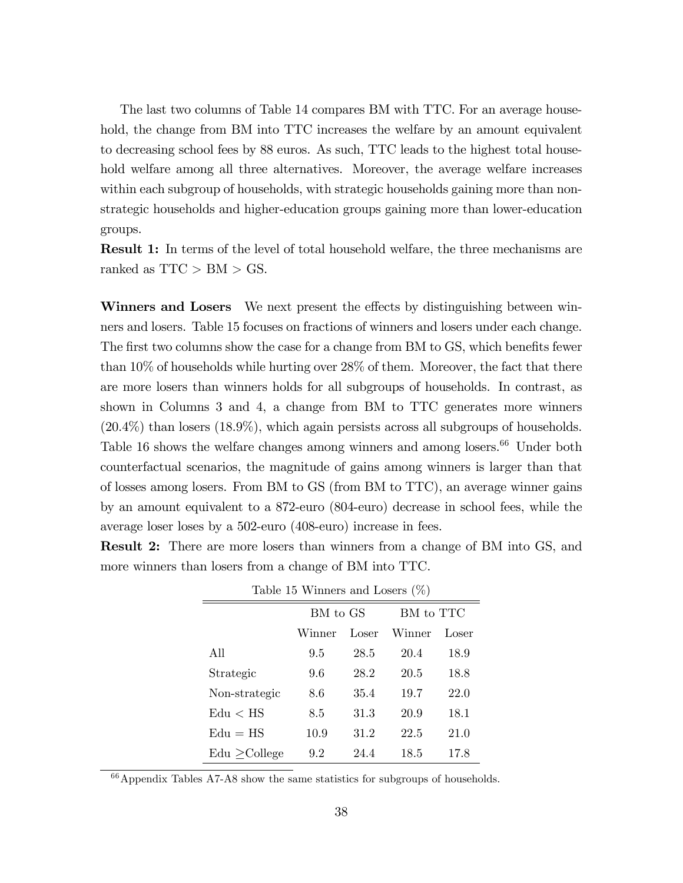The last two columns of Table 14 compares BM with TTC. For an average household, the change from BM into TTC increases the welfare by an amount equivalent to decreasing school fees by 88 euros. As such, TTC leads to the highest total household welfare among all three alternatives. Moreover, the average welfare increases within each subgroup of households, with strategic households gaining more than nonstrategic households and higher-education groups gaining more than lower-education groups.

Result 1: In terms of the level of total household welfare, the three mechanisms are ranked as  $TTC > BM > GS$ .

Winners and Losers We next present the effects by distinguishing between winners and losers. Table 15 focuses on fractions of winners and losers under each change. The first two columns show the case for a change from BM to GS, which benefits fewer than 10% of households while hurting over 28% of them. Moreover, the fact that there are more losers than winners holds for all subgroups of households. In contrast, as shown in Columns 3 and 4, a change from BM to TTC generates more winners (20.4%) than losers (18.9%), which again persists across all subgroups of households. Table 16 shows the welfare changes among winners and among losers.<sup>66</sup> Under both counterfactual scenarios, the magnitude of gains among winners is larger than that of losses among losers. From BM to GS (from BM to TTC), an average winner gains by an amount equivalent to a 872-euro (804-euro) decrease in school fees, while the average loser loses by a 502-euro (408-euro) increase in fees.

Result 2: There are more losers than winners from a change of BM into GS, and more winners than losers from a change of BM into TTC.

| Table 15 Winners and Losers $(\% )$ |          |       |           |       |  |  |  |  |
|-------------------------------------|----------|-------|-----------|-------|--|--|--|--|
|                                     | BM to GS |       | BM to TTC |       |  |  |  |  |
|                                     | Winner   | Loser | Winner    | Loser |  |  |  |  |
| All                                 | 9.5      | 28.5  | 20.4      | 18.9  |  |  |  |  |
| Strategic                           | 9.6      | 28.2  | 20.5      | 18.8  |  |  |  |  |
| Non-strategic                       | 8.6      | 35.4  | 19.7      | 22.0  |  |  |  |  |
| $_{\rm Edu} <$ HS                   | 8.5      | 31.3  | 20.9      | 18.1  |  |  |  |  |
| $Edu = HS$                          | 10.9     | 31.2  | 22.5      | 21.0  |  |  |  |  |
| $Edu >$ College                     | 9.2      | 24.4  | 18.5      | 17.8  |  |  |  |  |

Table 15 Winners and Losers (%)

 $66$ Appendix Tables A7-A8 show the same statistics for subgroups of households.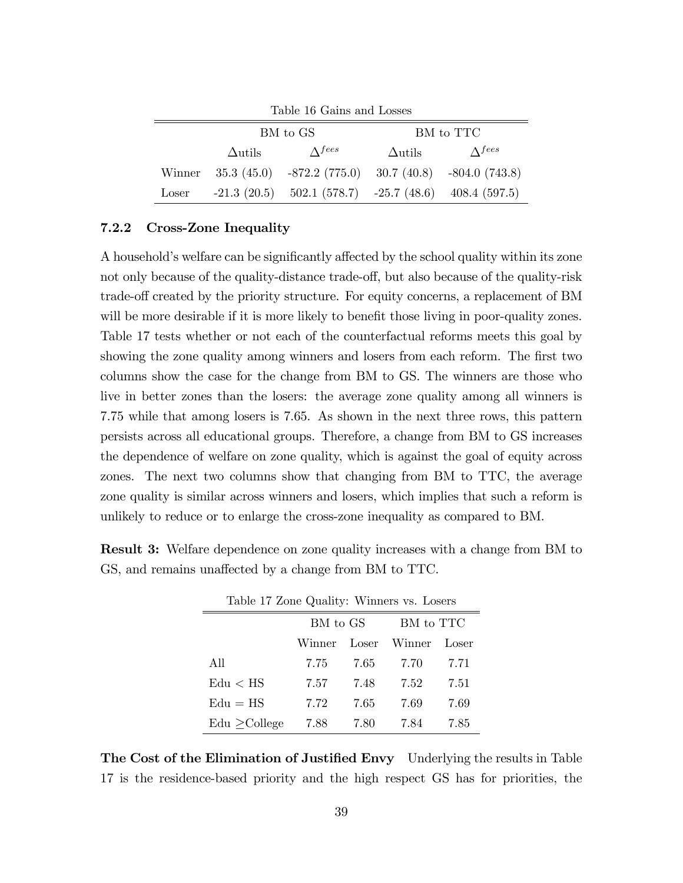| Table 16 Gains and Losses |                |                                                               |                |                |  |  |  |
|---------------------------|----------------|---------------------------------------------------------------|----------------|----------------|--|--|--|
|                           |                | BM to GS                                                      | BM to TTC      |                |  |  |  |
|                           | $\Delta$ utils | $\Lambda$ fees                                                | $\Delta$ utils | $\Lambda$ fees |  |  |  |
| Winner                    |                | $35.3$ (45.0) $-872.2$ (775.0) $30.7$ (40.8) $-804.0$ (743.8) |                |                |  |  |  |
| Loser                     |                | $-21.3$ (20.5) $502.1$ (578.7) $-25.7$ (48.6) 408.4 (597.5)   |                |                |  |  |  |

### 7.2.2 Cross-Zone Inequality

A household's welfare can be significantly affected by the school quality within its zone not only because of the quality-distance trade-off, but also because of the quality-risk trade-off created by the priority structure. For equity concerns, a replacement of BM will be more desirable if it is more likely to benefit those living in poor-quality zones. Table 17 tests whether or not each of the counterfactual reforms meets this goal by showing the zone quality among winners and losers from each reform. The first two columns show the case for the change from BM to GS. The winners are those who live in better zones than the losers: the average zone quality among all winners is 7.75 while that among losers is 7.65. As shown in the next three rows, this pattern persists across all educational groups. Therefore, a change from BM to GS increases the dependence of welfare on zone quality, which is against the goal of equity across zones. The next two columns show that changing from BM to TTC, the average zone quality is similar across winners and losers, which implies that such a reform is unlikely to reduce or to enlarge the cross-zone inequality as compared to BM.

Result 3: Welfare dependence on zone quality increases with a change from BM to GS, and remains unaffected by a change from BM to TTC.

| Table 17 Zone Quality: Winners vs. Losers |          |      |              |       |  |  |  |
|-------------------------------------------|----------|------|--------------|-------|--|--|--|
|                                           | BM to GS |      | BM to TTC    |       |  |  |  |
|                                           | Winner   |      | Loser Winner | Loser |  |  |  |
| All                                       | 7.75     | 7.65 | 7.70         | 7.71  |  |  |  |
| $_{\rm Edu} <$ HS                         | 7.57     | 7.48 | 7.52         | 7.51  |  |  |  |
| $Edu = HS$                                | 7.72     | 7.65 | 7.69         | 7.69  |  |  |  |
| $Edu >$ College                           | 7.88     | 7.80 | 7.84         | 7.85  |  |  |  |

The Cost of the Elimination of Justified Envy Underlying the results in Table 17 is the residence-based priority and the high respect GS has for priorities, the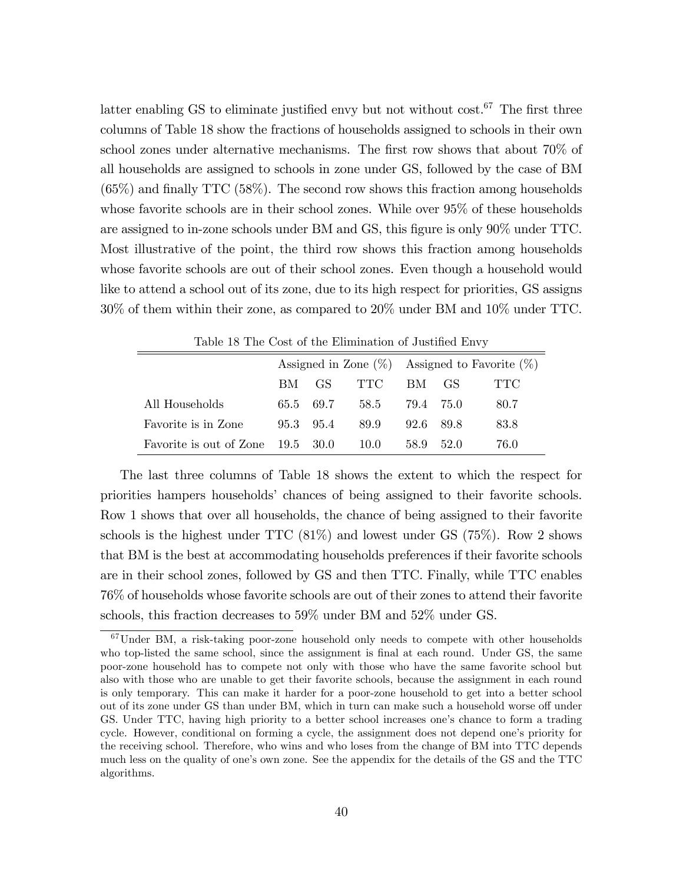latter enabling GS to eliminate justified envy but not without  $cost<sup>67</sup>$  The first three columns of Table 18 show the fractions of households assigned to schools in their own school zones under alternative mechanisms. The first row shows that about 70% of all households are assigned to schools in zone under GS, followed by the case of BM  $(65\%)$  and finally TTC (58%). The second row shows this fraction among households whose favorite schools are in their school zones. While over 95% of these households are assigned to in-zone schools under BM and GS, this figure is only 90% under TTC. Most illustrative of the point, the third row shows this fraction among households whose favorite schools are out of their school zones. Even though a household would like to attend a school out of its zone, due to its high respect for priorities, GS assigns 30% of them within their zone, as compared to 20% under BM and 10% under TTC.

|                                   |     |               |      | Assigned in Zone $(\%)$ Assigned to Favorite $(\%)$ |      |      |
|-----------------------------------|-----|---------------|------|-----------------------------------------------------|------|------|
|                                   | BM. | GS.           | TTC  | BM.                                                 | GS.  | TTC. |
| All Households                    |     | 65.5 69.7     | 58.5 | 79.4 75.0                                           |      | 80.7 |
| Favorite is in Zone               |     | $95.3$ $95.4$ | 89.9 | 92.6 89.8                                           |      | 83.8 |
| Favorite is out of Zone 19.5 30.0 |     |               | 10.0 | 58.9                                                | 52.0 | 76.0 |

Table 18 The Cost of the Elimination of Justified Envy

The last three columns of Table 18 shows the extent to which the respect for priorities hampers households' chances of being assigned to their favorite schools. Row 1 shows that over all households, the chance of being assigned to their favorite schools is the highest under  $TTC(81\%)$  and lowest under GS (75%). Row 2 shows that BM is the best at accommodating households preferences if their favorite schools are in their school zones, followed by GS and then TTC. Finally, while TTC enables 76% of households whose favorite schools are out of their zones to attend their favorite schools, this fraction decreases to 59% under BM and 52% under GS.

<sup>67</sup>Under BM, a risk-taking poor-zone household only needs to compete with other households who top-listed the same school, since the assignment is final at each round. Under GS, the same poor-zone household has to compete not only with those who have the same favorite school but also with those who are unable to get their favorite schools, because the assignment in each round is only temporary. This can make it harder for a poor-zone household to get into a better school out of its zone under GS than under BM, which in turn can make such a household worse off under GS. Under TTC, having high priority to a better school increases one's chance to form a trading cycle. However, conditional on forming a cycle, the assignment does not depend one's priority for the receiving school. Therefore, who wins and who loses from the change of BM into TTC depends much less on the quality of one's own zone. See the appendix for the details of the GS and the TTC algorithms.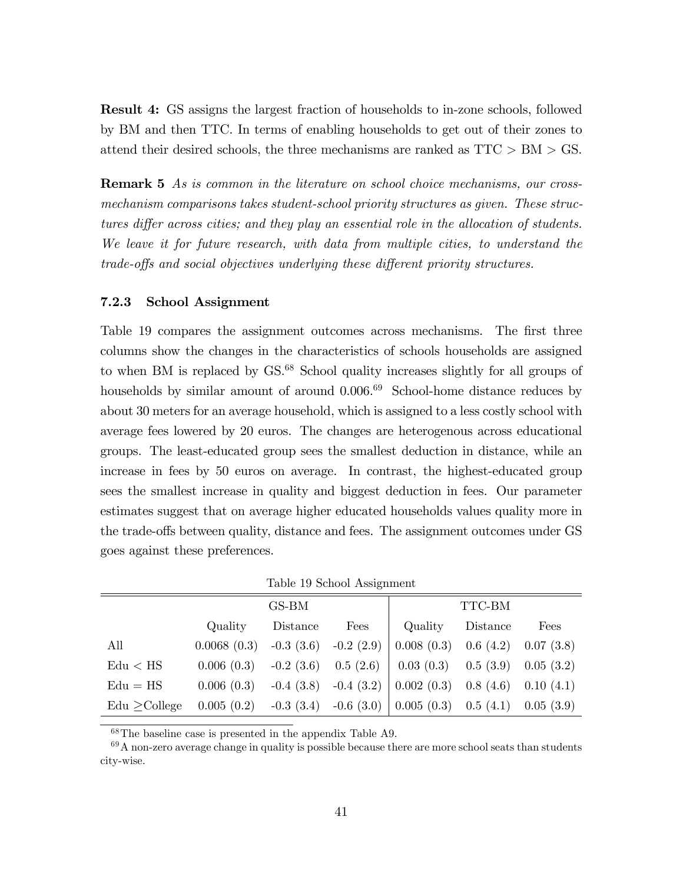Result 4: GS assigns the largest fraction of households to in-zone schools, followed by BM and then TTC. In terms of enabling households to get out of their zones to attend their desired schools, the three mechanisms are ranked as TTC > BM > GS.

**Remark 5** As is common in the literature on school choice mechanisms, our crossmechanism comparisons takes student-school priority structures as given. These structures differ across cities; and they play an essential role in the allocation of students. We leave it for future research, with data from multiple cities, to understand the trade-offs and social objectives underlying these different priority structures.

#### 7.2.3 School Assignment

Table 19 compares the assignment outcomes across mechanisms. The first three columns show the changes in the characteristics of schools households are assigned to when BM is replaced by GS.<sup>68</sup> School quality increases slightly for all groups of households by similar amount of around  $0.006<sup>69</sup>$  School-home distance reduces by about 30 meters for an average household, which is assigned to a less costly school with average fees lowered by 20 euros. The changes are heterogenous across educational groups. The least-educated group sees the smallest deduction in distance, while an increase in fees by 50 euros on average. In contrast, the highest-educated group sees the smallest increase in quality and biggest deduction in fees. Our parameter estimates suggest that on average higher educated households values quality more in the trade-offs between quality, distance and fees. The assignment outcomes under GS goes against these preferences.

|                 |                                       | GS-BM    |      | TTC-BM                                                                 |          |      |  |
|-----------------|---------------------------------------|----------|------|------------------------------------------------------------------------|----------|------|--|
|                 | Quality                               | Distance | Fees | Quality                                                                | Distance | Fees |  |
| All             | $0.0068(0.3)$ $-0.3(3.6)$ $-0.2(2.9)$ |          |      | $0.008(0.3)$ $0.6(4.2)$ $0.07(3.8)$                                    |          |      |  |
| Edu < HS        |                                       |          |      | $0.006(0.3)$ $-0.2(3.6)$ $0.5(2.6)$ $0.03(0.3)$ $0.5(3.9)$ $0.05(3.2)$ |          |      |  |
| $Edu = HS$      |                                       |          |      | $0.006(0.3)$ -0.4 (3.8) -0.4 (3.2)   0.002 (0.3) 0.8 (4.6) 0.10 (4.1)  |          |      |  |
| $Edu >$ College |                                       |          |      | $0.005(0.2)$ -0.3 (3.4) -0.6 (3.0) 0.005 (0.3) 0.5 (4.1) 0.05 (3.9)    |          |      |  |

<sup>68</sup>The baseline case is presented in the appendix Table A9.

 $69A$  non-zero average change in quality is possible because there are more school seats than students city-wise.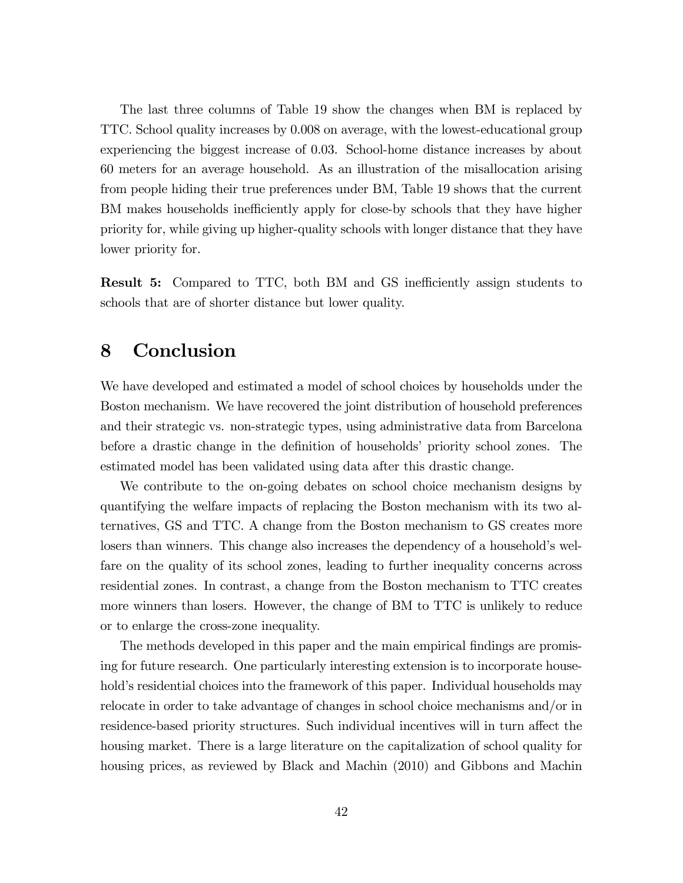The last three columns of Table 19 show the changes when BM is replaced by TTC. School quality increases by 0.008 on average, with the lowest-educational group experiencing the biggest increase of 0.03. School-home distance increases by about 60 meters for an average household. As an illustration of the misallocation arising from people hiding their true preferences under BM, Table 19 shows that the current BM makes households inefficiently apply for close-by schools that they have higher priority for, while giving up higher-quality schools with longer distance that they have lower priority for.

**Result 5:** Compared to TTC, both BM and GS inefficiently assign students to schools that are of shorter distance but lower quality.

# 8 Conclusion

We have developed and estimated a model of school choices by households under the Boston mechanism. We have recovered the joint distribution of household preferences and their strategic vs. non-strategic types, using administrative data from Barcelona before a drastic change in the definition of households' priority school zones. The estimated model has been validated using data after this drastic change.

We contribute to the on-going debates on school choice mechanism designs by quantifying the welfare impacts of replacing the Boston mechanism with its two alternatives, GS and TTC. A change from the Boston mechanism to GS creates more losers than winners. This change also increases the dependency of a household's welfare on the quality of its school zones, leading to further inequality concerns across residential zones. In contrast, a change from the Boston mechanism to TTC creates more winners than losers. However, the change of BM to TTC is unlikely to reduce or to enlarge the cross-zone inequality.

The methods developed in this paper and the main empirical findings are promising for future research. One particularly interesting extension is to incorporate household's residential choices into the framework of this paper. Individual households may relocate in order to take advantage of changes in school choice mechanisms and/or in residence-based priority structures. Such individual incentives will in turn affect the housing market. There is a large literature on the capitalization of school quality for housing prices, as reviewed by Black and Machin (2010) and Gibbons and Machin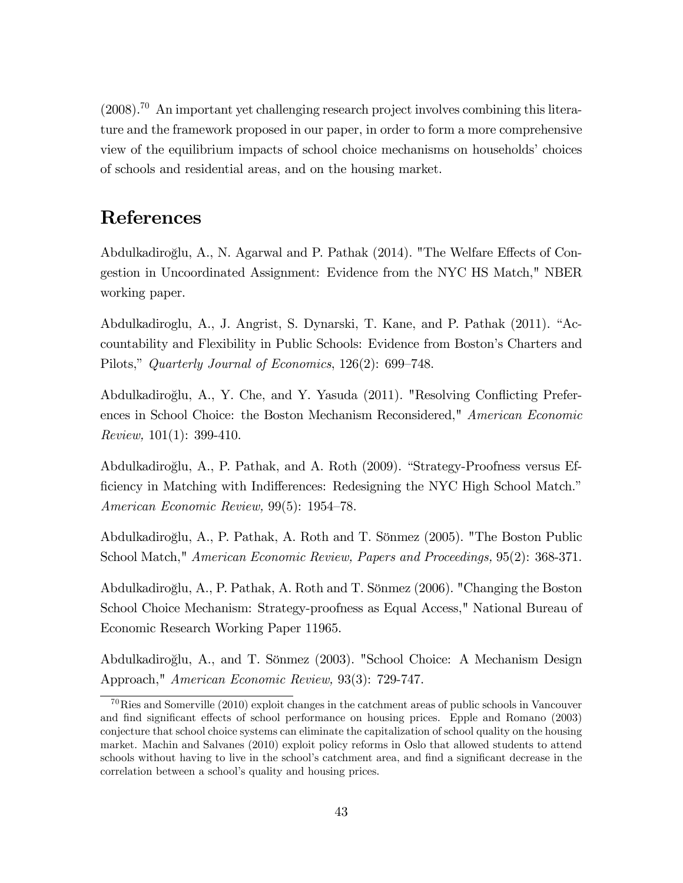$(2008).^{70}$  An important yet challenging research project involves combining this literature and the framework proposed in our paper, in order to form a more comprehensive view of the equilibrium impacts of school choice mechanisms on households' choices of schools and residential areas, and on the housing market.

# References

Abdulkadiroğlu, A., N. Agarwal and P. Pathak (2014). "The Welfare Effects of Congestion in Uncoordinated Assignment: Evidence from the NYC HS Match," NBER working paper.

Abdulkadiroglu, A., J. Angrist, S. Dynarski, T. Kane, and P. Pathak (2011). "Accountability and Flexibility in Public Schools: Evidence from Bostonís Charters and Pilots," Quarterly Journal of Economics, 126(2): 699-748.

Abdulkadiroğlu, A., Y. Che, and Y. Yasuda (2011). "Resolving Conflicting Preferences in School Choice: the Boston Mechanism Reconsidered," American Economic Review, 101(1): 399-410.

Abdulkadiroğlu, A., P. Pathak, and A. Roth (2009). "Strategy-Proofness versus Efficiency in Matching with Indifferences: Redesigning the NYC High School Match.<sup>n</sup> American Economic Review,  $99(5)$ : 1954–78.

Abdulkadiroğlu, A., P. Pathak, A. Roth and T. Sönmez (2005). "The Boston Public School Match," American Economic Review, Papers and Proceedings, 95(2): 368-371.

Abdulkadiroğlu, A., P. Pathak, A. Roth and T. Sönmez (2006). "Changing the Boston School Choice Mechanism: Strategy-proofness as Equal Access," National Bureau of Economic Research Working Paper 11965.

Abdulkadiroğlu, A., and T. Sönmez (2003). "School Choice: A Mechanism Design Approach," American Economic Review, 93(3): 729-747.

 $^{70}$ Ries and Somerville (2010) exploit changes in the catchment areas of public schools in Vancouver and find significant effects of school performance on housing prices. Epple and Romano (2003) conjecture that school choice systems can eliminate the capitalization of school quality on the housing market. Machin and Salvanes (2010) exploit policy reforms in Oslo that allowed students to attend schools without having to live in the school's catchment area, and find a significant decrease in the correlation between a school's quality and housing prices.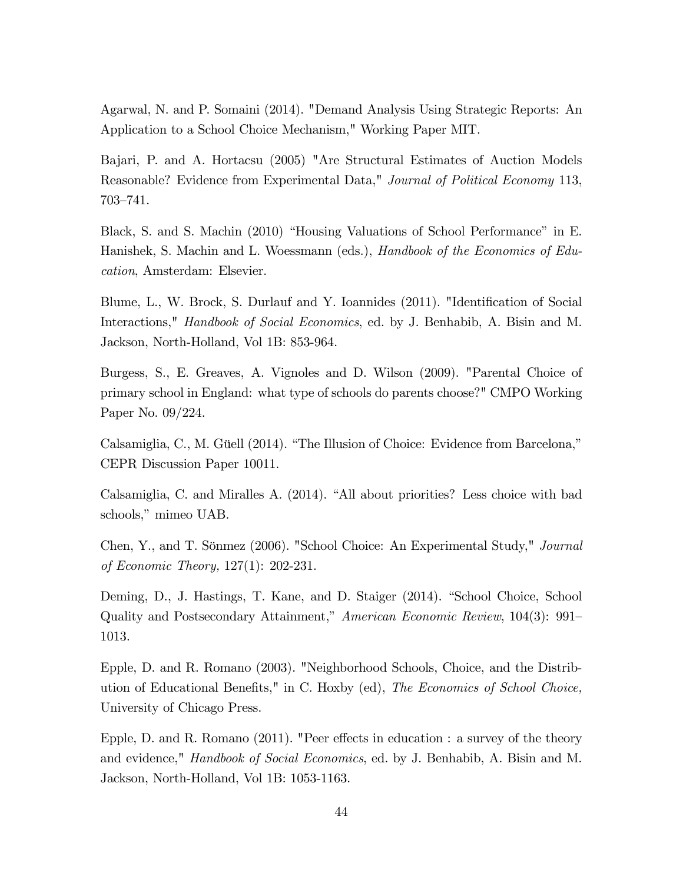Agarwal, N. and P. Somaini (2014). "Demand Analysis Using Strategic Reports: An Application to a School Choice Mechanism," Working Paper MIT.

Bajari, P. and A. Hortacsu (2005) "Are Structural Estimates of Auction Models Reasonable? Evidence from Experimental Data," Journal of Political Economy 113, 703–741.

Black, S. and S. Machin (2010) "Housing Valuations of School Performance" in E. Hanishek, S. Machin and L. Woessmann (eds.), *Handbook of the Economics of Edu*cation, Amsterdam: Elsevier.

Blume, L., W. Brock, S. Durlauf and Y. Ioannides (2011). "Identification of Social Interactions," Handbook of Social Economics, ed. by J. Benhabib, A. Bisin and M. Jackson, North-Holland, Vol 1B: 853-964.

Burgess, S., E. Greaves, A. Vignoles and D. Wilson (2009). "Parental Choice of primary school in England: what type of schools do parents choose?" CMPO Working Paper No. 09/224.

Calsamiglia, C., M. Güell (2014). "The Illusion of Choice: Evidence from Barcelona," CEPR Discussion Paper 10011.

Calsamiglia, C. and Miralles A.  $(2014)$ . "All about priorities? Less choice with bad schools," mimeo UAB.

Chen, Y., and T. Sönmez (2006). "School Choice: An Experimental Study," Journal of Economic Theory, 127(1): 202-231.

Deming, D., J. Hastings, T. Kane, and D. Staiger (2014). "School Choice, School Quality and Postsecondary Attainment," American Economic Review, 104(3): 991– 1013.

Epple, D. and R. Romano (2003). "Neighborhood Schools, Choice, and the Distribution of Educational Benefits," in C. Hoxby  $(ed)$ , The Economics of School Choice, University of Chicago Press.

Epple, D. and R. Romano  $(2011)$ . "Peer effects in education : a survey of the theory and evidence," Handbook of Social Economics, ed. by J. Benhabib, A. Bisin and M. Jackson, North-Holland, Vol 1B: 1053-1163.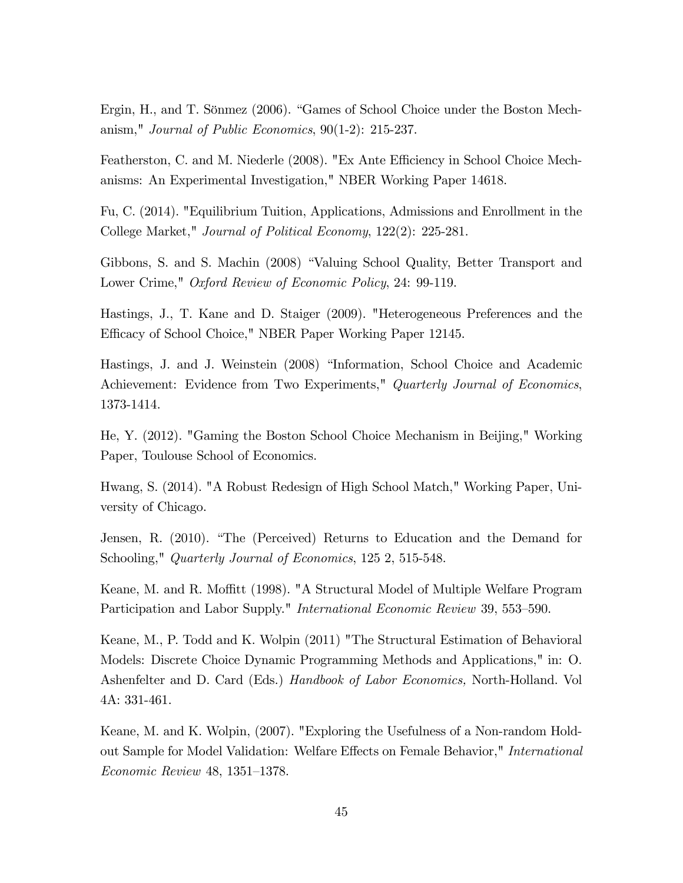Ergin, H., and T. Sönmez (2006). "Games of School Choice under the Boston Mechanism," Journal of Public Economics, 90(1-2): 215-237.

Featherston, C. and M. Niederle (2008). "Ex Ante Efficiency in School Choice Mechanisms: An Experimental Investigation," NBER Working Paper 14618.

Fu, C. (2014). "Equilibrium Tuition, Applications, Admissions and Enrollment in the College Market," Journal of Political Economy, 122(2): 225-281.

Gibbons, S. and S. Machin (2008) "Valuing School Quality, Better Transport and Lower Crime," Oxford Review of Economic Policy, 24: 99-119.

Hastings, J., T. Kane and D. Staiger (2009). "Heterogeneous Preferences and the Efficacy of School Choice," NBER Paper Working Paper 12145.

Hastings, J. and J. Weinstein (2008) "Information, School Choice and Academic Achievement: Evidence from Two Experiments," Quarterly Journal of Economics, 1373-1414.

He, Y. (2012). "Gaming the Boston School Choice Mechanism in Beijing," Working Paper, Toulouse School of Economics.

Hwang, S. (2014). "A Robust Redesign of High School Match," Working Paper, University of Chicago.

Jensen, R. (2010). "The (Perceived) Returns to Education and the Demand for Schooling," Quarterly Journal of Economics, 125 2, 515-548.

Keane, M. and R. Moffitt (1998). "A Structural Model of Multiple Welfare Program Participation and Labor Supply." *International Economic Review* 39, 553–590.

Keane, M., P. Todd and K. Wolpin (2011) "The Structural Estimation of Behavioral Models: Discrete Choice Dynamic Programming Methods and Applications," in: O. Ashenfelter and D. Card (Eds.) Handbook of Labor Economics, North-Holland. Vol 4A: 331-461.

Keane, M. and K. Wolpin, (2007). "Exploring the Usefulness of a Non-random Holdout Sample for Model Validation: Welfare Effects on Female Behavior," International  $Economic$  Review 48, 1351-1378.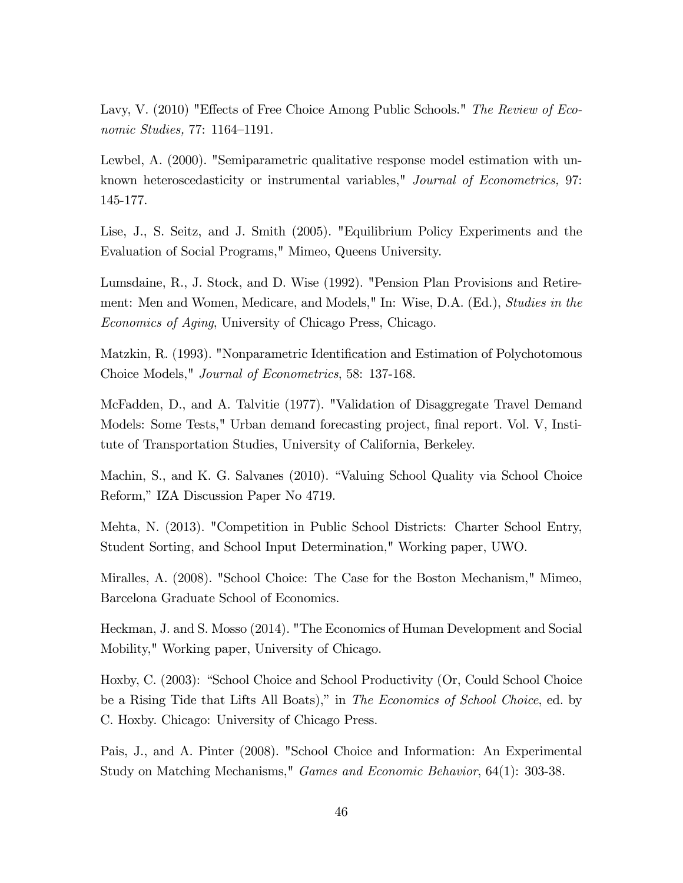Lavy, V. (2010) "Effects of Free Choice Among Public Schools." The Review of Economic Studies,  $77: 1164-1191$ .

Lewbel, A. (2000). "Semiparametric qualitative response model estimation with unknown heteroscedasticity or instrumental variables," *Journal of Econometrics*, 97: 145-177.

Lise, J., S. Seitz, and J. Smith (2005). "Equilibrium Policy Experiments and the Evaluation of Social Programs," Mimeo, Queens University.

Lumsdaine, R., J. Stock, and D. Wise (1992). "Pension Plan Provisions and Retirement: Men and Women, Medicare, and Models," In: Wise, D.A. (Ed.), Studies in the Economics of Aging, University of Chicago Press, Chicago.

Matzkin, R. (1993). "Nonparametric Identification and Estimation of Polychotomous Choice Models," Journal of Econometrics, 58: 137-168.

McFadden, D., and A. Talvitie (1977). "Validation of Disaggregate Travel Demand Models: Some Tests," Urban demand forecasting project, final report. Vol. V, Institute of Transportation Studies, University of California, Berkeley.

Machin, S., and K. G. Salvanes (2010). "Valuing School Quality via School Choice Reform," IZA Discussion Paper No 4719.

Mehta, N. (2013). "Competition in Public School Districts: Charter School Entry, Student Sorting, and School Input Determination," Working paper, UWO.

Miralles, A. (2008). "School Choice: The Case for the Boston Mechanism," Mimeo, Barcelona Graduate School of Economics.

Heckman, J. and S. Mosso (2014). "The Economics of Human Development and Social Mobility," Working paper, University of Chicago.

Hoxby, C. (2003): "School Choice and School Productivity (Or, Could School Choice be a Rising Tide that Lifts All Boats)," in *The Economics of School Choice*, ed. by C. Hoxby. Chicago: University of Chicago Press.

Pais, J., and A. Pinter (2008). "School Choice and Information: An Experimental Study on Matching Mechanisms," Games and Economic Behavior, 64(1): 303-38.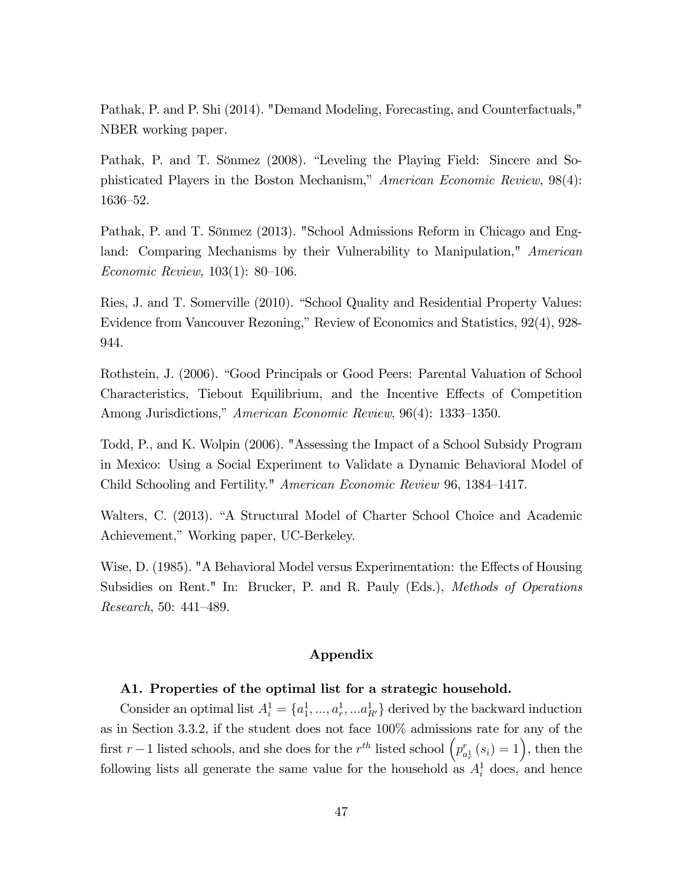Pathak, P. and P. Shi (2014). "Demand Modeling, Forecasting, and Counterfactuals," NBER working paper.

Pathak, P. and T. Sönmez (2008). "Leveling the Playing Field: Sincere and Sophisticated Players in the Boston Mechanism," American Economic Review,  $98(4)$ : 1636–52.

Pathak, P. and T. Sönmez (2013). "School Admissions Reform in Chicago and England: Comparing Mechanisms by their Vulnerability to Manipulation," American Economic Review,  $103(1)$ : 80–106.

Ries, J. and T. Somerville (2010). "School Quality and Residential Property Values: Evidence from Vancouver Rezoning," Review of Economics and Statistics, 92(4), 928-944.

Rothstein, J. (2006). "Good Principals or Good Peers: Parental Valuation of School Characteristics, Tiebout Equilibrium, and the Incentive Effects of Competition Among Jurisdictions," American Economic Review, 96(4): 1333–1350.

Todd, P., and K. Wolpin (2006). "Assessing the Impact of a School Subsidy Program in Mexico: Using a Social Experiment to Validate a Dynamic Behavioral Model of Child Schooling and Fertility." American Economic Review 96, 1384–1417.

Walters, C. (2013). "A Structural Model of Charter School Choice and Academic Achievement," Working paper, UC-Berkeley.

Wise, D. (1985). "A Behavioral Model versus Experimentation: the Effects of Housing Subsidies on Rent." In: Brucker, P. and R. Pauly (Eds.), Methods of Operations Research, 50:  $441-489$ .

### Appendix

### A1. Properties of the optimal list for a strategic household.

Consider an optimal list  $A_i^1 = \{a_1^1, ..., a_r^1, ... a_{R'}^1\}$  derived by the backward induction as in Section 3.3.2, if the student does not face 100% admissions rate for any of the first  $r-1$  listed schools, and she does for the  $r^{th}$  listed school  $\left( p^r_a \right)$  $\binom{r}{a_r^1}(s_i) = 1, \text{ then the }$ following lists all generate the same value for the household as  $A_i^1$  does, and hence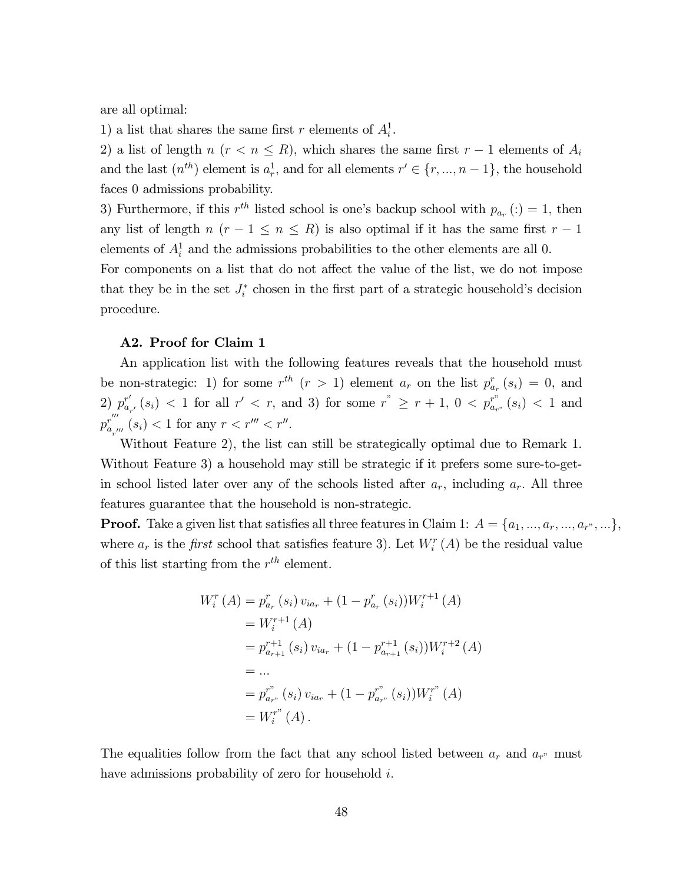are all optimal:

1) a list that shares the same first r elements of  $A_i^1$ .

2) a list of length  $n \ (r \leq n \leq R)$ , which shares the same first  $r-1$  elements of  $A_i$ and the last  $(n^{th})$  element is  $a_r^1$ , and for all elements  $r' \in \{r, ..., n-1\}$ , the household faces 0 admissions probability.

3) Furthermore, if this  $r^{th}$  listed school is one's backup school with  $p_{a_r}(t) = 1$ , then any list of length  $n (r - 1 \le n \le R)$  is also optimal if it has the same first  $r - 1$ elements of  $A_i^1$  and the admissions probabilities to the other elements are all 0.

For components on a list that do not affect the value of the list, we do not impose that they be in the set  $J_i^*$  chosen in the first part of a strategic household's decision procedure.

### A2. Proof for Claim 1

An application list with the following features reveals that the household must be non-strategic: 1) for some  $r^{th}$   $(r > 1)$  element  $a_r$  on the list  $p_{a_r}^r(s_i) = 0$ , and 2)  $p_{a_{r'}}^{r'}(s_i)$  < 1 for all  $r' < r$ , and 3) for some  $r^* \geq r+1$ ,  $0 < p_{a_{r'}}^{r''}(s_i) < 1$  and  $p^r_a$  ,  $\sum_{a_{r''}}^r (s_i) < 1$  for any  $r < r''' < r''$ .

Without Feature 2), the list can still be strategically optimal due to Remark 1. Without Feature 3) a household may still be strategic if it prefers some sure-to-getin school listed later over any of the schools listed after  $a_r$ , including  $a_r$ . All three features guarantee that the household is non-strategic.

**Proof.** Take a given list that satisfies all three features in Claim 1:  $A = \{a_1, ..., a_r, ..., a_r, ...\}$ , where  $a_r$  is the *first* school that satisfies feature 3). Let  $W_i^r(A)$  be the residual value of this list starting from the  $r^{th}$  element.

$$
W_i^r(A) = p_{a_r}^r(s_i) v_{ia_r} + (1 - p_{a_r}^r(s_i))W_i^{r+1}(A)
$$
  
=  $W_i^{r+1}(A)$   
=  $p_{a_{r+1}}^{r+1}(s_i) v_{ia_r} + (1 - p_{a_{r+1}}^{r+1}(s_i))W_i^{r+2}(A)$   
= ...  
=  $p_{a_{r}}^{r^*}(s_i) v_{ia_r} + (1 - p_{a_{r}}^{r^*}(s_i))W_i^{r^*}(A)$   
=  $W_i^{r^*}(A)$ .

The equalities follow from the fact that any school listed between  $a_r$  and  $a_{r^*}$  must have admissions probability of zero for household  $i$ .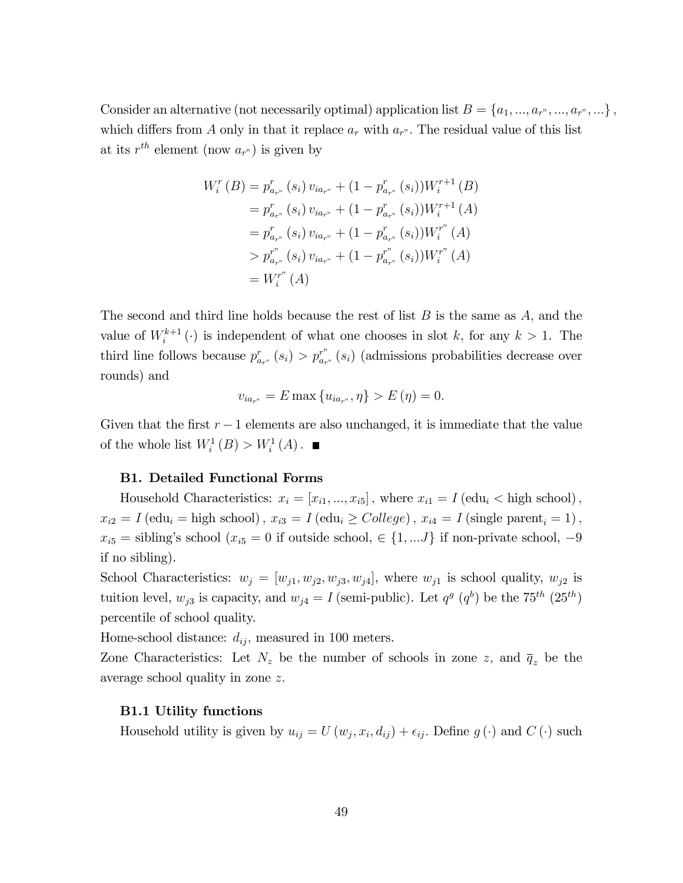Consider an alternative (not necessarily optimal) application list  $B = \{a_1, ..., a_r, ..., a_r, ...\}$ , which differs from A only in that it replace  $a_r$  with  $a_{r}$ ". The residual value of this list at its  $r^{th}$  element (now  $a_{r}$ ) is given by

$$
W_i^r(B) = p_{a_{r^*}}^r(s_i) v_{ia_{r^*}} + (1 - p_{a_{r^*}}^r(s_i))W_i^{r+1}(B)
$$
  
\n
$$
= p_{a_{r^*}}^r(s_i) v_{ia_{r^*}} + (1 - p_{a_{r^*}}^r(s_i))W_i^{r+1}(A)
$$
  
\n
$$
= p_{a_{r^*}}^r(s_i) v_{ia_{r^*}} + (1 - p_{a_{r^*}}^r(s_i))W_i^{r^*}(A)
$$
  
\n
$$
> p_{a_{r^*}}^{r^*}(s_i) v_{ia_{r^*}} + (1 - p_{a_{r^*}}^{r^*}(s_i))W_i^{r^*}(A)
$$
  
\n
$$
= W_i^{r^*}(A)
$$

The second and third line holds because the rest of list  $B$  is the same as  $A$ , and the value of  $W_i^{k+1}(\cdot)$  is independent of what one chooses in slot k, for any  $k > 1$ . The third line follows because  $p_{a_{r}}^{r}(s_i) > p_{a_{r}}^{r''}(s_i)$  (admissions probabilities decrease over rounds) and

$$
v_{ia_{r''}} = E \max \{ u_{ia_{r''}}, \eta \} > E(\eta) = 0.
$$

Given that the first  $r - 1$  elements are also unchanged, it is immediate that the value of the whole list  $W_i^1(B) > W_i^1(A)$ .

### B1. Detailed Functional Forms

Household Characteristics:  $x_i = [x_{i1}, ..., x_{i5}]$ , where  $x_{i1} = I$  (edu<sub>i</sub> < high school),  $x_{i2} = I$  (edu<sub>i</sub> = high school),  $x_{i3} = I$  (edu<sub>i</sub>  $\geq$  College),  $x_{i4} = I$  (single parent<sub>i</sub> = 1),  $x_{i5}$  = sibling's school  $(x_{i5} = 0$  if outside school,  $\in \{1, ...J\}$  if non-private school, -9 if no sibling).

School Characteristics:  $w_j = [w_{j1}, w_{j2}, w_{j3}, w_{j4}]$ , where  $w_{j1}$  is school quality,  $w_{j2}$  is tuition level,  $w_{j3}$  is capacity, and  $w_{j4} = I$  (semi-public). Let  $q^{g} (q^{b})$  be the 75<sup>th</sup> (25<sup>th</sup>) percentile of school quality.

Home-school distance:  $d_{ij}$ , measured in 100 meters.

Zone Characteristics: Let  $N_z$  be the number of schools in zone z, and  $\overline{q}_z$  be the average school quality in zone z:

### B1.1 Utility functions

Household utility is given by  $u_{ij} = U(w_j, x_i, d_{ij}) + \epsilon_{ij}$ . Define  $g(\cdot)$  and  $C(\cdot)$  such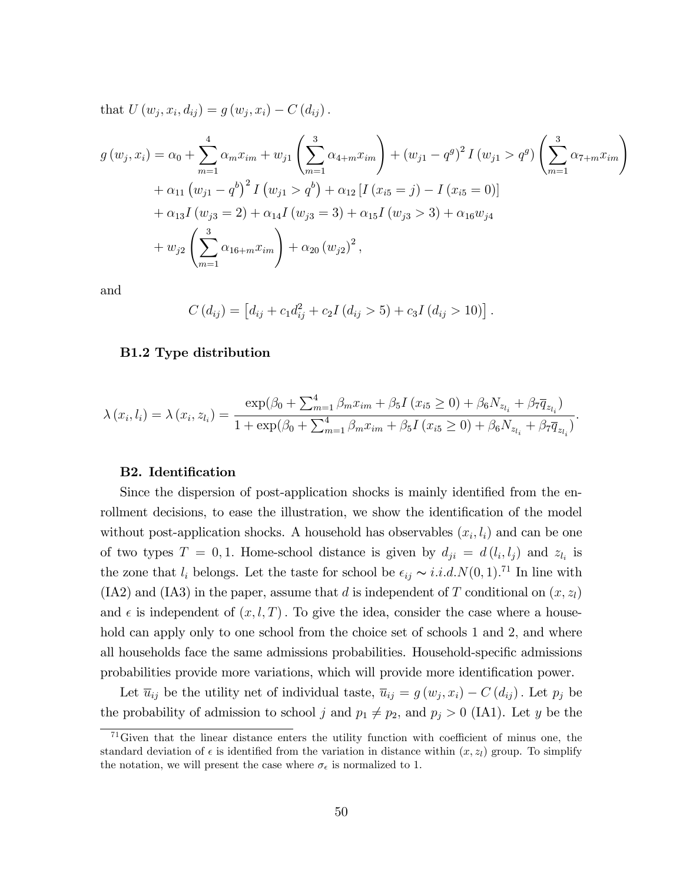that  $U(w_j, x_i, d_{ij}) = g(w_j, x_i) - C(d_{ij}).$ 

$$
g(w_j, x_i) = \alpha_0 + \sum_{m=1}^{4} \alpha_m x_{im} + w_{j1} \left( \sum_{m=1}^{3} \alpha_{4+m} x_{im} \right) + (w_{j1} - q^g)^2 I(w_{j1} > q^g) \left( \sum_{m=1}^{3} \alpha_{7+m} x_{im} \right)
$$
  
+  $\alpha_{11} (w_{j1} - q^b)^2 I(w_{j1} > q^b) + \alpha_{12} [I(x_{i5} = j) - I(x_{i5} = 0)]$   
+  $\alpha_{13} I(w_{j3} = 2) + \alpha_{14} I(w_{j3} = 3) + \alpha_{15} I(w_{j3} > 3) + \alpha_{16} w_{j4}$   
+  $w_{j2} \left( \sum_{m=1}^{3} \alpha_{16+m} x_{im} \right) + \alpha_{20} (w_{j2})^2,$ 

and

$$
C(d_{ij}) = [d_{ij} + c_1 d_{ij}^2 + c_2 I (d_{ij} > 5) + c_3 I (d_{ij} > 10)].
$$

### B1.2 Type distribution

$$
\lambda(x_i, l_i) = \lambda(x_i, z_{l_i}) = \frac{\exp(\beta_0 + \sum_{m=1}^4 \beta_m x_{im} + \beta_5 I(x_{i5} \ge 0) + \beta_6 N_{z_{l_i}} + \beta_7 \overline{q}_{z_{l_i}})}{1 + \exp(\beta_0 + \sum_{m=1}^4 \beta_m x_{im} + \beta_5 I(x_{i5} \ge 0) + \beta_6 N_{z_{l_i}} + \beta_7 \overline{q}_{z_{l_i}})}.
$$

#### B2. Identification

Since the dispersion of post-application shocks is mainly identified from the enrollment decisions, to ease the illustration, we show the identification of the model without post-application shocks. A household has observables  $(x_i, l_i)$  and can be one of two types  $T = 0, 1$ . Home-school distance is given by  $d_{ji} = d(l_i, l_j)$  and  $z_{l_i}$  is the zone that  $l_i$  belongs. Let the taste for school be  $\epsilon_{ij} \sim i.i.d. N(0, 1).$ <sup>71</sup> In line with  $(IA2)$  and  $(IA3)$  in the paper, assume that d is independent of T conditional on  $(x, z<sub>l</sub>)$ and  $\epsilon$  is independent of  $(x, l, T)$ . To give the idea, consider the case where a household can apply only to one school from the choice set of schools 1 and 2, and where all households face the same admissions probabilities. Household-specific admissions probabilities provide more variations, which will provide more identification power.

Let  $\overline{u}_{ij}$  be the utility net of individual taste,  $\overline{u}_{ij} = g(w_j, x_i) - C(d_{ij})$ . Let  $p_j$  be the probability of admission to school j and  $p_1 \neq p_2$ , and  $p_j > 0$  (IA1). Let y be the

 $71$  Given that the linear distance enters the utility function with coefficient of minus one, the standard deviation of  $\epsilon$  is identified from the variation in distance within  $(x, z_l)$  group. To simplify the notation, we will present the case where  $\sigma_{\epsilon}$  is normalized to 1.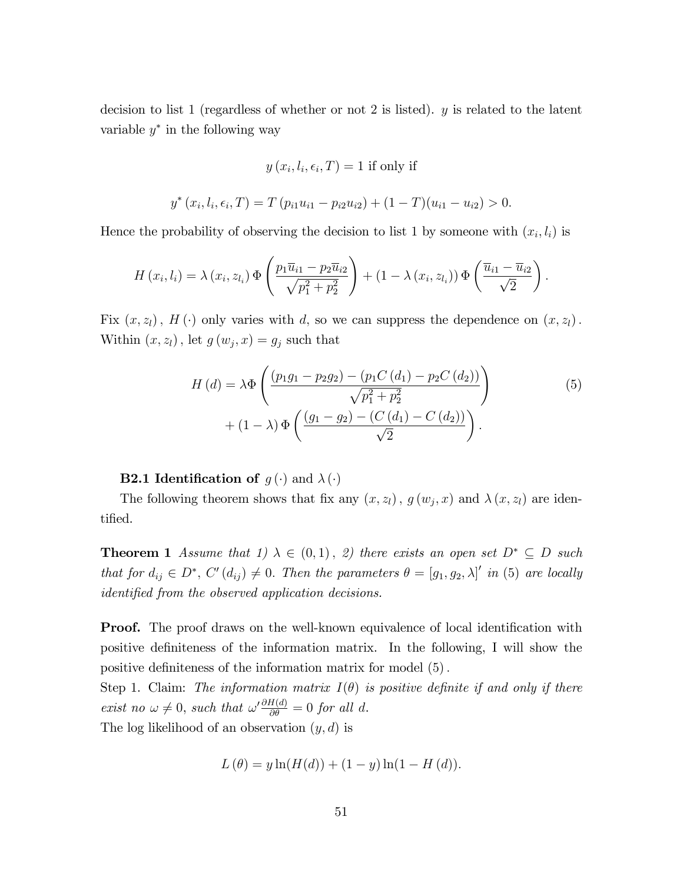decision to list 1 (regardless of whether or not 2 is listed). y is related to the latent variable  $y^*$  in the following way

$$
y(x_i, l_i, \epsilon_i, T) = 1
$$
 if only if

$$
y^*(x_i, l_i, \epsilon_i, T) = T (p_{i1}u_{i1} - p_{i2}u_{i2}) + (1 - T)(u_{i1} - u_{i2}) > 0.
$$

Hence the probability of observing the decision to list 1 by someone with  $(x_i, l_i)$  is

$$
H(x_i, l_i) = \lambda(x_i, z_{l_i}) \Phi\left(\frac{p_1 \overline{u}_{i1} - p_2 \overline{u}_{i2}}{\sqrt{p_1^2 + p_2^2}}\right) + (1 - \lambda(x_i, z_{l_i})) \Phi\left(\frac{\overline{u}_{i1} - \overline{u}_{i2}}{\sqrt{2}}\right).
$$

Fix  $(x, z_l)$ ,  $H(\cdot)$  only varies with d, so we can suppress the dependence on  $(x, z_l)$ . Within  $(x, z_l)$ , let  $g(w_j, x) = g_j$  such that

$$
H(d) = \lambda \Phi \left( \frac{(p_1 g_1 - p_2 g_2) - (p_1 C(d_1) - p_2 C(d_2))}{\sqrt{p_1^2 + p_2^2}} \right) + (1 - \lambda) \Phi \left( \frac{(g_1 - g_2) - (C(d_1) - C(d_2))}{\sqrt{2}} \right).
$$
\n(5)

### **B2.1 Identification of**  $g(\cdot)$  and  $\lambda(\cdot)$

The following theorem shows that fix any  $(x, z_l)$ ,  $g(w_j, x)$  and  $\lambda(x, z_l)$  are identified.

**Theorem 1** Assume that 1)  $\lambda \in (0,1)$ , 2) there exists an open set  $D^* \subseteq D$  such that for  $d_{ij} \in D^*$ ,  $C'(d_{ij}) \neq 0$ . Then the parameters  $\theta = [g_1, g_2, \lambda]'$  in (5) are locally identified from the observed application decisions.

**Proof.** The proof draws on the well-known equivalence of local identification with positive definiteness of the information matrix. In the following, I will show the positive definiteness of the information matrix for model  $(5)$ .

Step 1. Claim: The information matrix  $I(\theta)$  is positive definite if and only if there exist no  $\omega \neq 0$ , such that  $\omega' \frac{\partial H(d)}{\partial \theta} = 0$  for all d.

The log likelihood of an observation  $(y, d)$  is

$$
L(\theta) = y \ln(H(d)) + (1 - y) \ln(1 - H(d)).
$$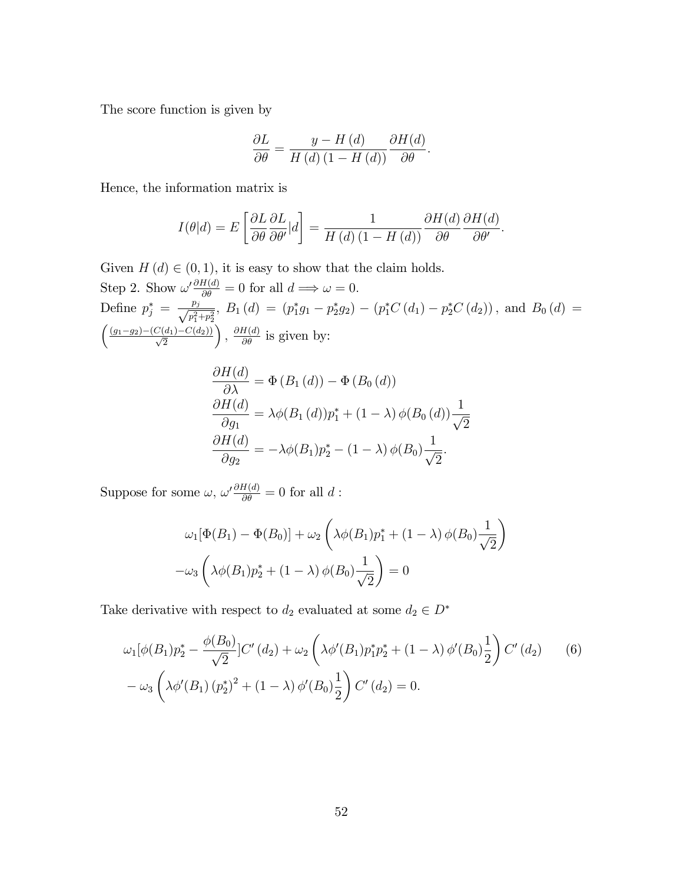The score function is given by

$$
\frac{\partial L}{\partial \theta} = \frac{y - H(d)}{H(d) (1 - H(d))} \frac{\partial H(d)}{\partial \theta}.
$$

Hence, the information matrix is

$$
I(\theta|d) = E\left[\frac{\partial L}{\partial \theta}\frac{\partial L}{\partial \theta'}|d\right] = \frac{1}{H\left(d\right)\left(1 - H\left(d\right)\right)}\frac{\partial H(d)}{\partial \theta}\frac{\partial H(d)}{\partial \theta'}.
$$

Given  $H(d) \in (0, 1)$ , it is easy to show that the claim holds. Step 2. Show  $\omega' \frac{\partial H(d)}{\partial \theta} = 0$  for all  $d \implies \omega = 0$ . Define  $p_j^* = \frac{p_j}{\sqrt{n^2}}$  $\frac{p_j}{p_1^2+p_2^2}$ ,  $B_1(d) = (p_1^*g_1-p_2^*g_2) - (p_1^*C(d_1)-p_2^*C(d_2))$ , and  $B_0(d) =$  $\left(\frac{(g_1-g_2)-(C(d_1)-C(d_2))}{\sqrt{2}}\right)$ ),  $\frac{\partial H(d)}{\partial \theta}$  is given by:

$$
\frac{\partial H(d)}{\partial \lambda} = \Phi(B_1(d)) - \Phi(B_0(d))
$$
  

$$
\frac{\partial H(d)}{\partial g_1} = \lambda \phi(B_1(d)) p_1^* + (1 - \lambda) \phi(B_0(d)) \frac{1}{\sqrt{2}}
$$
  

$$
\frac{\partial H(d)}{\partial g_2} = -\lambda \phi(B_1) p_2^* - (1 - \lambda) \phi(B_0) \frac{1}{\sqrt{2}}.
$$

Suppose for some  $\omega$ ,  $\omega' \frac{\partial H(d)}{\partial \theta} = 0$  for all d:

$$
\omega_1[\Phi(B_1) - \Phi(B_0)] + \omega_2 \left(\lambda \phi(B_1) p_1^* + (1 - \lambda) \phi(B_0) \frac{1}{\sqrt{2}}\right)
$$

$$
-\omega_3 \left(\lambda \phi(B_1) p_2^* + (1 - \lambda) \phi(B_0) \frac{1}{\sqrt{2}}\right) = 0
$$

Take derivative with respect to  $d_2$  evaluated at some  $d_2 \in D^*$ 

$$
\omega_1[\phi(B_1)p_2^* - \frac{\phi(B_0)}{\sqrt{2}}]C'(d_2) + \omega_2\left(\lambda\phi'(B_1)p_1^*p_2^* + (1-\lambda)\phi'(B_0)\frac{1}{2}\right)C'(d_2)
$$
(6)  

$$
-\omega_3\left(\lambda\phi'(B_1)(p_2^*)^2 + (1-\lambda)\phi'(B_0)\frac{1}{2}\right)C'(d_2) = 0.
$$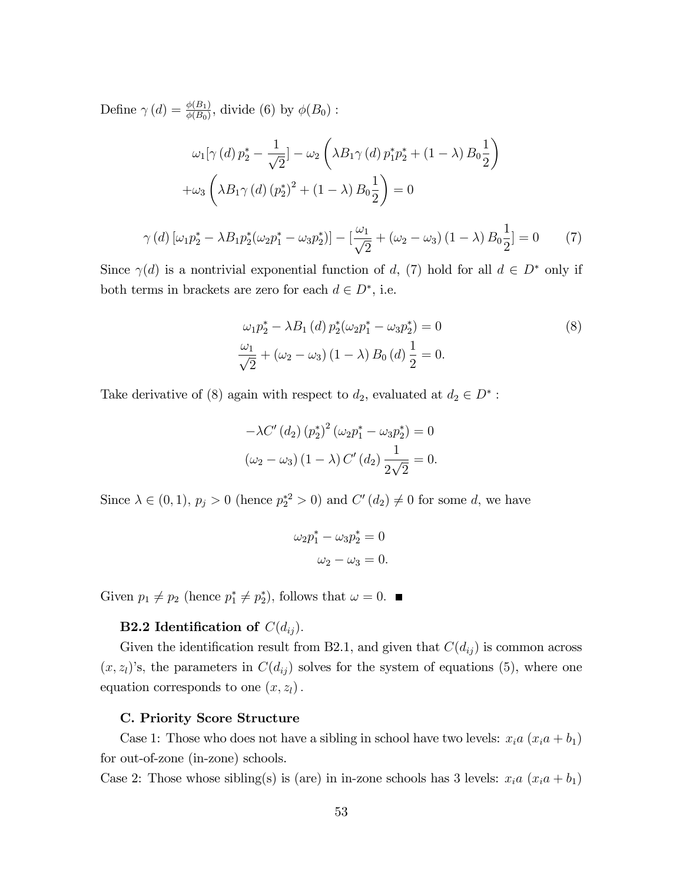Define  $\gamma(d) = \frac{\phi(B_1)}{\phi(B_0)}$ , divide (6) by  $\phi(B_0)$ :

$$
\omega_1[\gamma(d) \, p_2^* - \frac{1}{\sqrt{2}}] - \omega_2 \left( \lambda B_1 \gamma(d) \, p_1^* p_2^* + (1 - \lambda) \, B_0 \frac{1}{2} \right)
$$

$$
+ \omega_3 \left( \lambda B_1 \gamma(d) \left( p_2^* \right)^2 + (1 - \lambda) \, B_0 \frac{1}{2} \right) = 0
$$

$$
\gamma(d) \left[ \omega_1 p_2^* - \lambda B_1 p_2^* (\omega_2 p_1^* - \omega_3 p_2^*) \right] - \left[ \frac{\omega_1}{\sqrt{2}} + (\omega_2 - \omega_3) \left( 1 - \lambda \right) B_0 \frac{1}{2} \right] = 0 \tag{7}
$$

Since  $\gamma(d)$  is a nontrivial exponential function of d, (7) hold for all  $d \in D^*$  only if both terms in brackets are zero for each  $d \in D^*$ , i.e.

$$
\omega_1 p_2^* - \lambda B_1 (d) p_2^* (\omega_2 p_1^* - \omega_3 p_2^*) = 0
$$
\n
$$
\frac{\omega_1}{\sqrt{2}} + (\omega_2 - \omega_3) (1 - \lambda) B_0 (d) \frac{1}{2} = 0.
$$
\n(8)

Take derivative of (8) again with respect to  $d_2$ , evaluated at  $d_2 \in D^*$ :

$$
-\lambda C' (d_2) (p_2^*)^2 (\omega_2 p_1^* - \omega_3 p_2^*) = 0
$$
  

$$
(\omega_2 - \omega_3) (1 - \lambda) C' (d_2) \frac{1}{2\sqrt{2}} = 0.
$$

Since  $\lambda \in (0, 1), p_j > 0$  (hence  $p_2^{*2} > 0$ ) and  $C'(d_2) \neq 0$  for some d, we have

$$
\omega_2 p_1^* - \omega_3 p_2^* = 0
$$
  

$$
\omega_2 - \omega_3 = 0.
$$

Given  $p_1 \neq p_2$  (hence  $p_1^* \neq p_2^*$ ), follows that  $\omega = 0$ .

### **B2.2** Identification of  $C(d_{ij})$ .

Given the identification result from B2.1, and given that  $C(d_{ij})$  is common across  $(x, z<sub>l</sub>)$ 's, the parameters in  $C(d_{ij})$  solves for the system of equations (5), where one equation corresponds to one  $(x, z_l)$ .

#### C. Priority Score Structure

Case 1: Those who does not have a sibling in school have two levels:  $x_i a (x_i a + b_1)$ for out-of-zone (in-zone) schools.

Case 2: Those whose sibling(s) is (are) in in-zone schools has 3 levels:  $x_i a (x_i a + b_1)$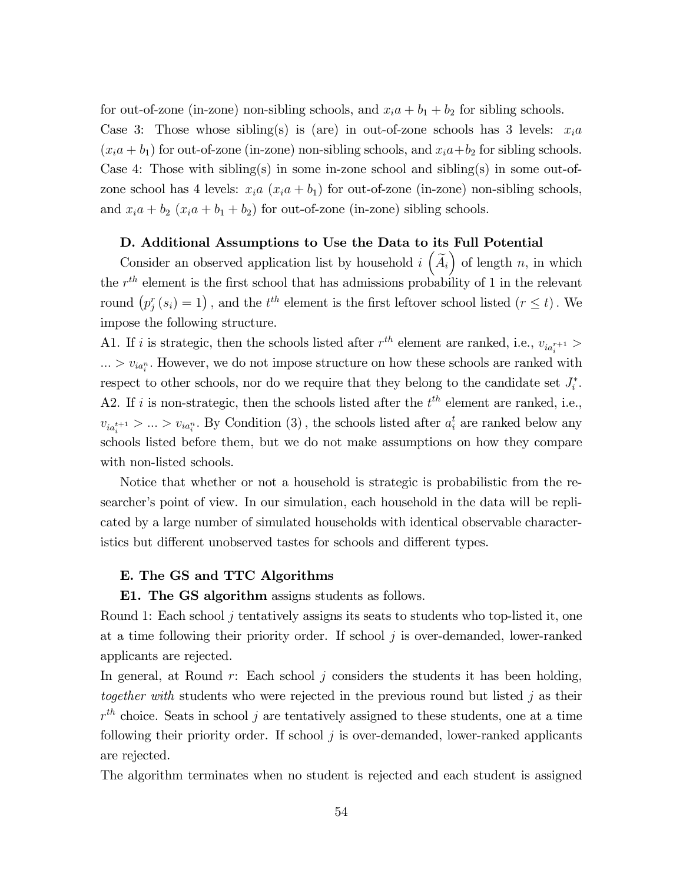for out-of-zone (in-zone) non-sibling schools, and  $x_ia + b_1 + b_2$  for sibling schools. Case 3: Those whose sibling(s) is (are) in out-of-zone schools has 3 levels:  $x_i a$  $(x<sub>i</sub>a + b<sub>1</sub>)$  for out-of-zone (in-zone) non-sibling schools, and  $x<sub>i</sub>a+b<sub>2</sub>$  for sibling schools. Case 4: Those with sibling(s) in some in-zone school and sibling(s) in some out-ofzone school has 4 levels:  $x_i a (x_i a + b_1)$  for out-of-zone (in-zone) non-sibling schools, and  $x_ia + b_2$   $(x_ia + b_1 + b_2)$  for out-of-zone (in-zone) sibling schools.

### D. Additional Assumptions to Use the Data to its Full Potential

Consider an observed application list by household  $i\left(\tilde{A}_{i}\right)$  of length n, in which the  $r^{th}$  element is the first school that has admissions probability of 1 in the relevant round  $(p_j^r(s_i) = 1)$ , and the  $t^{th}$  element is the first leftover school listed  $(r \le t)$ . We impose the following structure.

A1. If *i* is strategic, then the schools listed after  $r^{th}$  element are ranked, i.e.,  $v_{ia_i^{r+1}} >$  $\ldots > v_{ia_i^n}$ . However, we do not impose structure on how these schools are ranked with respect to other schools, nor do we require that they belong to the candidate set  $J_i^*$ . A2. If i is non-strategic, then the schools listed after the  $t<sup>th</sup>$  element are ranked, i.e.,  $v_{ia_i^{t+1}} > ... > v_{ia_i^n}$ . By Condition (3), the schools listed after  $a_i^t$  are ranked below any schools listed before them, but we do not make assumptions on how they compare with non-listed schools.

Notice that whether or not a household is strategic is probabilistic from the researcher's point of view. In our simulation, each household in the data will be replicated by a large number of simulated households with identical observable characteristics but different unobserved tastes for schools and different types.

#### E. The GS and TTC Algorithms

#### E1. The GS algorithm assigns students as follows.

Round 1: Each school j tentatively assigns its seats to students who top-listed it, one at a time following their priority order. If school  $j$  is over-demanded, lower-ranked applicants are rejected.

In general, at Round  $r$ : Each school  $j$  considers the students it has been holding, together with students who were rejected in the previous round but listed  $j$  as their  $r^{th}$  choice. Seats in school j are tentatively assigned to these students, one at a time following their priority order. If school  $j$  is over-demanded, lower-ranked applicants are rejected.

The algorithm terminates when no student is rejected and each student is assigned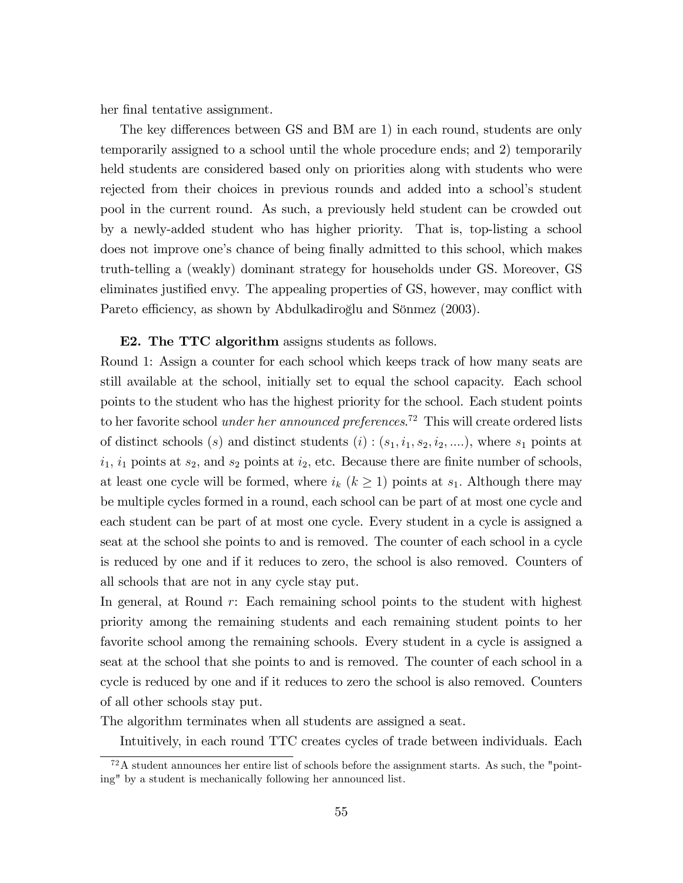her final tentative assignment.

The key differences between GS and BM are 1) in each round, students are only temporarily assigned to a school until the whole procedure ends; and 2) temporarily held students are considered based only on priorities along with students who were rejected from their choices in previous rounds and added into a schoolís student pool in the current round. As such, a previously held student can be crowded out by a newly-added student who has higher priority. That is, top-listing a school does not improve one's chance of being finally admitted to this school, which makes truth-telling a (weakly) dominant strategy for households under GS. Moreover, GS eliminates justified envy. The appealing properties of GS, however, may conflict with Pareto efficiency, as shown by Abdulkadiroğlu and Sönmez (2003).

#### E2. The TTC algorithm assigns students as follows.

Round 1: Assign a counter for each school which keeps track of how many seats are still available at the school, initially set to equal the school capacity. Each school points to the student who has the highest priority for the school. Each student points to her favorite school *under her announced preferences*.<sup>72</sup> This will create ordered lists of distinct schools (s) and distinct students  $(i)$ :  $(s_1, i_1, s_2, i_2, \ldots)$ , where  $s_1$  points at  $i_1$ ,  $i_1$  points at  $s_2$ , and  $s_2$  points at  $i_2$ , etc. Because there are finite number of schools, at least one cycle will be formed, where  $i_k$   $(k \geq 1)$  points at  $s_1$ . Although there may be multiple cycles formed in a round, each school can be part of at most one cycle and each student can be part of at most one cycle. Every student in a cycle is assigned a seat at the school she points to and is removed. The counter of each school in a cycle is reduced by one and if it reduces to zero, the school is also removed. Counters of all schools that are not in any cycle stay put.

In general, at Round r: Each remaining school points to the student with highest priority among the remaining students and each remaining student points to her favorite school among the remaining schools. Every student in a cycle is assigned a seat at the school that she points to and is removed. The counter of each school in a cycle is reduced by one and if it reduces to zero the school is also removed. Counters of all other schools stay put.

The algorithm terminates when all students are assigned a seat.

Intuitively, in each round TTC creates cycles of trade between individuals. Each

 $72A$  student announces her entire list of schools before the assignment starts. As such, the "pointing" by a student is mechanically following her announced list.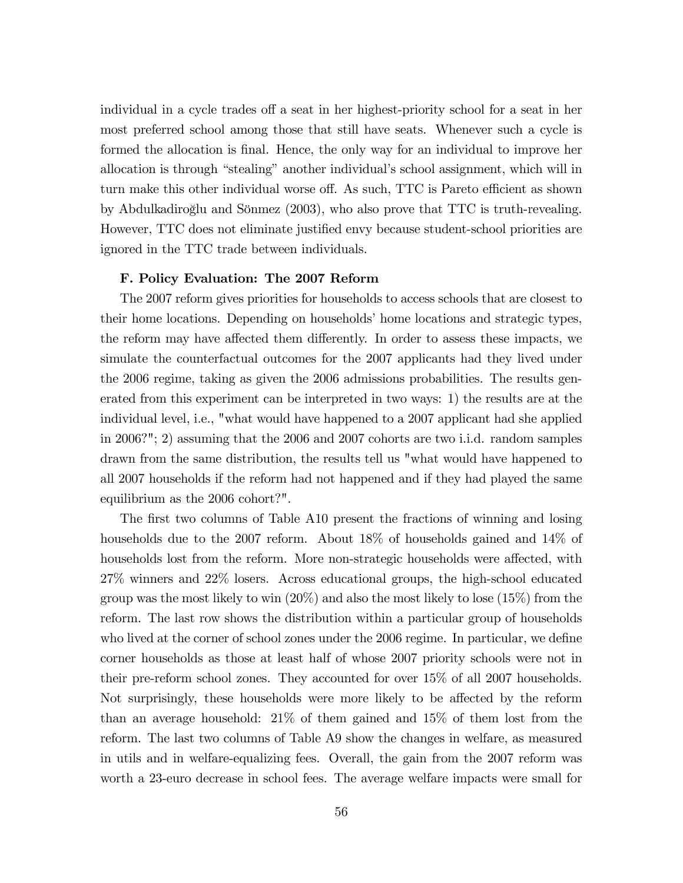individual in a cycle trades off a seat in her highest-priority school for a seat in her most preferred school among those that still have seats. Whenever such a cycle is formed the allocation is final. Hence, the only way for an individual to improve her allocation is through "stealing" another individual's school assignment, which will in turn make this other individual worse off. As such, TTC is Pareto efficient as shown by Abdulkadiroğlu and Sönmez (2003), who also prove that TTC is truth-revealing. However, TTC does not eliminate justified envy because student-school priorities are ignored in the TTC trade between individuals.

#### F. Policy Evaluation: The 2007 Reform

The 2007 reform gives priorities for households to access schools that are closest to their home locations. Depending on households' home locations and strategic types, the reform may have affected them differently. In order to assess these impacts, we simulate the counterfactual outcomes for the 2007 applicants had they lived under the 2006 regime, taking as given the 2006 admissions probabilities. The results generated from this experiment can be interpreted in two ways: 1) the results are at the individual level, i.e., "what would have happened to a 2007 applicant had she applied in 2006?"; 2) assuming that the 2006 and 2007 cohorts are two i.i.d. random samples drawn from the same distribution, the results tell us "what would have happened to all 2007 households if the reform had not happened and if they had played the same equilibrium as the 2006 cohort?".

The first two columns of Table A10 present the fractions of winning and losing households due to the 2007 reform. About 18% of households gained and 14% of households lost from the reform. More non-strategic households were affected, with 27% winners and 22% losers. Across educational groups, the high-school educated group was the most likely to win  $(20\%)$  and also the most likely to lose  $(15\%)$  from the reform. The last row shows the distribution within a particular group of households who lived at the corner of school zones under the 2006 regime. In particular, we define corner households as those at least half of whose 2007 priority schools were not in their pre-reform school zones. They accounted for over 15% of all 2007 households. Not surprisingly, these households were more likely to be affected by the reform than an average household: 21% of them gained and 15% of them lost from the reform. The last two columns of Table A9 show the changes in welfare, as measured in utils and in welfare-equalizing fees. Overall, the gain from the 2007 reform was worth a 23-euro decrease in school fees. The average welfare impacts were small for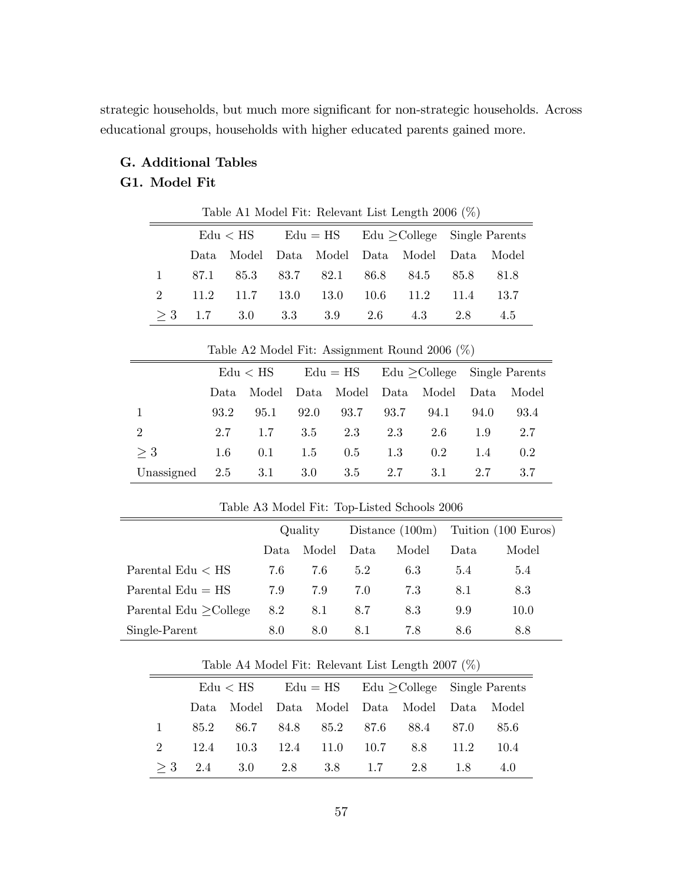strategic households, but much more significant for non-strategic households. Across educational groups, households with higher educated parents gained more.

# G. Additional Tables G1. Model Fit

 $Edu < HS$   $Edu = HS$   $Edu \geq College$  Single Parents Data Model Data Model Data Model Data Model 1 87.1 85.3 83.7 82.1 86.8 84.5 85.8 81.8 2 11.2 11.7 13.0 13.0 10.6 11.2 11.4 13.7  $\geq$  3 1.7 3.0 3.3 3.9 2.6 4.3 2.8 4.5

Table A1 Model Fit: Relevant List Length 2006 (%)

|                | $\rm Edu < HS$ |      |      |                             | $Edu = HS$ $Edu >$ College Single Parents |               |        |       |  |
|----------------|----------------|------|------|-----------------------------|-------------------------------------------|---------------|--------|-------|--|
|                | Data.          |      |      | Model Data Model Data Model |                                           |               | - Data | Model |  |
| 1              | 93.2           | 95.1 | 92.0 | 93.7                        | 93.7                                      | 94.1          | 94.0   | 93.4  |  |
| 2              | 2.7            | 1.7  | 3.5  | 2.3                         | 2.3                                       | 2.6           | 1.9    | 2.7   |  |
| $>$ 3          | 1.6            | 0.1  | 1.5  | 0.5                         | 1.3                                       | $0.2^{\circ}$ | 1.4    | 0.2   |  |
| Unassigned 2.5 |                | 3.1  | 3.0  | 3.5                         | 2.7                                       | 3.1           | 2.7    | 3.7   |  |

Table A2 Model Fit: Assignment Round 2006 (%)

|                             | Quality |       |      |       | Distance $(100m)$ Tuition $(100 Euros)$ |       |
|-----------------------------|---------|-------|------|-------|-----------------------------------------|-------|
|                             | Data    | Model | Data | Model | Data                                    | Model |
| Parental $Edu < HS$         | 7.6     | 7.6   | 5.2  | 6.3   | 5.4                                     | 5.4   |
| Parental $Edu = HS$         | 7.9     | 7.9   | 7.0  | 7.3   | 8.1                                     | 8.3   |
| Parental Edu $\geq$ College | 8.2     | 8.1   | 8.7  | 8.3   | 9.9                                     | 10.0  |
| Single-Parent               | 8.0     | 8.0   | 8.1  | 7.8   | 8.6                                     | 8.8   |

Table A3 Model Fit: Top-Listed Schools 2006

| Table A4 Model Fit: Relevant List Length 2007 $(\%)$ |  |  |  |  |
|------------------------------------------------------|--|--|--|--|
|------------------------------------------------------|--|--|--|--|

|              |      |  | $Edu < HS$ $Edu = HS$ $Edu > College$ $Single$ Parents |  |  |                                             |  |      |
|--------------|------|--|--------------------------------------------------------|--|--|---------------------------------------------|--|------|
|              |      |  |                                                        |  |  | Data Model Data Model Data Model Data Model |  |      |
| $\mathbf{1}$ |      |  |                                                        |  |  | 85.2 86.7 84.8 85.2 87.6 88.4 87.0          |  | 85.6 |
| $2^{\circ}$  | 12.4 |  |                                                        |  |  | $10.3$ $12.4$ $11.0$ $10.7$ $8.8$ $11.2$    |  | 10.4 |
|              |      |  |                                                        |  |  | $\geq 3$ 2.4 3.0 2.8 3.8 1.7 2.8 1.8        |  | 4.0  |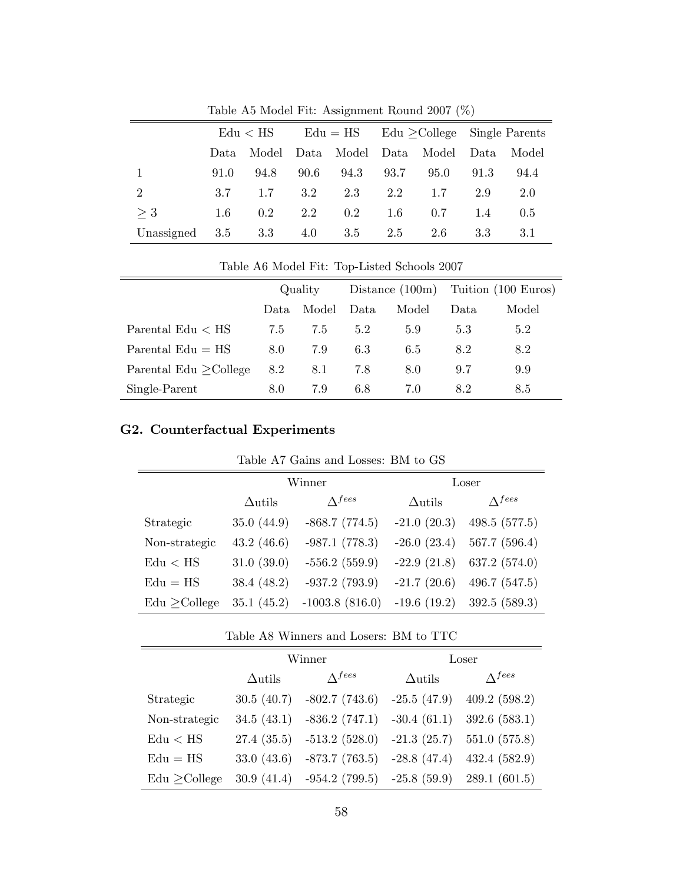|                                    | $\rm Edu < HS$ |      |      |                  | $Edu = HS$ $Edu > College$ Single Parents |                                  |      |         |
|------------------------------------|----------------|------|------|------------------|-------------------------------------------|----------------------------------|------|---------|
|                                    | Data           |      |      |                  |                                           | Model Data Model Data Model Data |      | – Model |
|                                    | 91.0           | 94.8 | 90.6 | 94.3             | 93.7                                      | 95.0                             | 91.3 | 94.4    |
| $\overline{2}$                     | 37             | 1.7  |      | $3.2 \qquad 2.3$ | 2.2                                       | 1.7                              | 2.9  | 2.0     |
| $>$ 3                              | 1.6            | 0.2  | 2.2  | 0.2              | 1.6                                       | 0.7                              | 1.4  | 0.5     |
| Unassigned $3.5$ $3.3$ $4.0$ $3.5$ |                |      |      |                  | 2.5                                       | 2.6                              | -3.3 | 3.1     |

Table A5 Model Fit: Assignment Round 2007 (%)

| Table A6 Model Fit: Top-Listed Schools 2007 |                                                    |       |      |       |       |       |  |
|---------------------------------------------|----------------------------------------------------|-------|------|-------|-------|-------|--|
|                                             | Distance $(100m)$ Tuition $(100 Euros)$<br>Quality |       |      |       |       |       |  |
|                                             | Data                                               | Model | Data | Model | Data. | Model |  |
| Parental $Edu < HS$                         | 7.5                                                | 7.5   | 5.2  | 5.9   | 5.3   | 5.2   |  |
| Parental $Edu = HS$                         | 8.0                                                | 7.9   | 6.3  | 6.5   | 8.2   | 8.2   |  |
| Parental Edu $\geq$ College                 | 8.2                                                | 8.1   | 7.8  | 8.0   | 9.7   | 9.9   |  |
| Single-Parent                               | 8.0                                                | 7.9   | 6.8  | 7.0   | 8.2   | 8.5   |  |

# G2. Counterfactual Experiments

| Table A7 Gains and Losses: BM to GS |  |  |  |  |  |  |
|-------------------------------------|--|--|--|--|--|--|
|-------------------------------------|--|--|--|--|--|--|

|                 |                | Winner                    | Loser          |                |  |
|-----------------|----------------|---------------------------|----------------|----------------|--|
|                 | $\Delta$ utils | $\Lambda$ <sup>fees</sup> | $\Delta$ utils | $\Lambda$ fees |  |
| Strategic       | 35.0(44.9)     | $-868.7(774.5)$           | $-21.0(20.3)$  | 498.5 (577.5)  |  |
| Non-strategic   | 43.2(46.6)     | $-987.1(778.3)$           | $-26.0(23.4)$  | 567.7 (596.4)  |  |
| Edu < HS        | 31.0(39.0)     | $-556.2(559.9)$           | $-22.9(21.8)$  | 637.2 (574.0)  |  |
| $Edu = HS$      | 38.4(48.2)     | $-937.2(793.9)$           | $-21.7(20.6)$  | 496.7(547.5)   |  |
| $Edu >$ College | 35.1(45.2)     | $-1003.8(816.0)$          | $-19.6(19.2)$  | 392.5(589.3)   |  |

Table A8 Winners and Losers: BM to TTC

|                          |                | Winner                        | Loser          |                |  |
|--------------------------|----------------|-------------------------------|----------------|----------------|--|
|                          | $\Delta$ utils | $\Lambda$ fees                | $\Delta$ utils | $\Lambda$ fees |  |
| Strategic                | 30.5(40.7)     | $-802.7(743.6)$               | $-25.5(47.9)$  | 409.2(598.2)   |  |
| Non-strategic            | 34.5(43.1)     | $-836.2(747.1)$               | $-30.4(61.1)$  | 392.6(583.1)   |  |
| $\text{Edu} < \text{HS}$ | 27.4(35.5)     | $-513.2(528.0)$               | $-21.3(25.7)$  | 551.0 (575.8)  |  |
| $Edu = HS$               | 33.0(43.6)     | $-873.7(763.5)$               | $-28.8(47.4)$  | 432.4(582.9)   |  |
| $Edu >$ College          | 30.9(41.4)     | $-954.2(799.5)$ $-25.8(59.9)$ |                | 289.1(601.5)   |  |